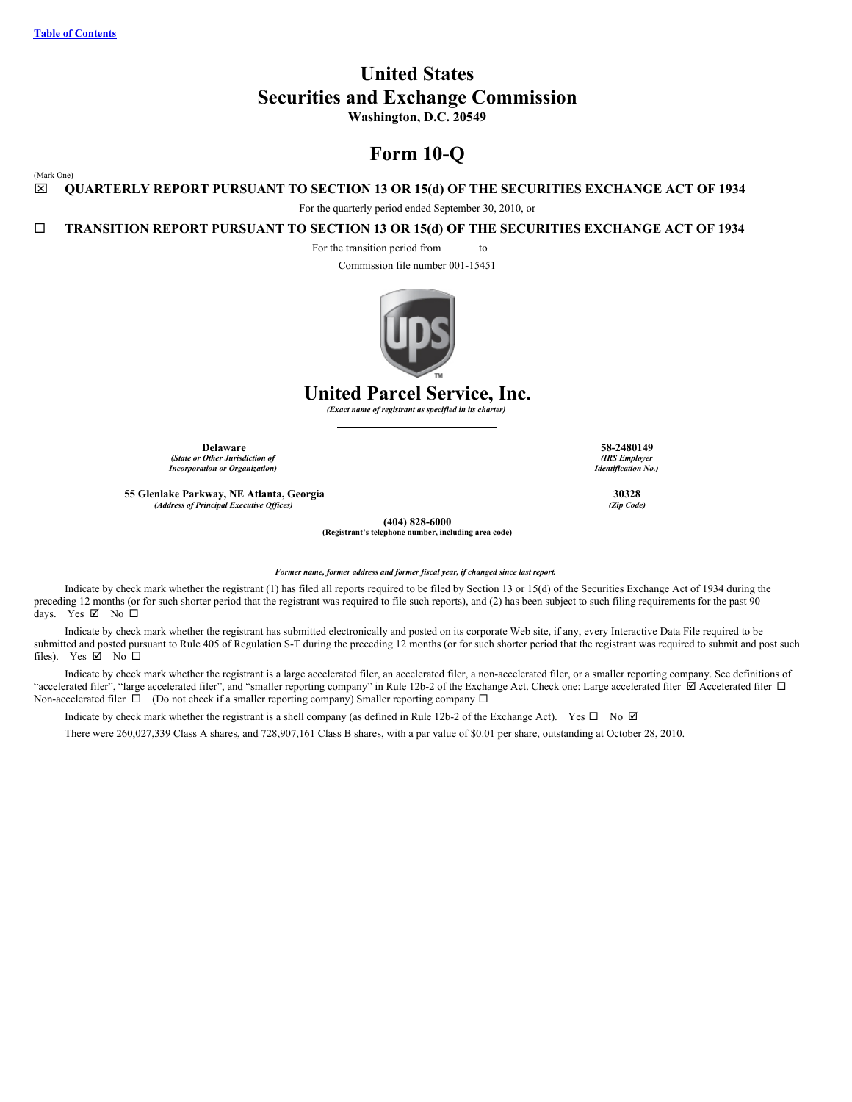# **United States Securities and Exchange Commission**

**Washington, D.C. 20549**

# **Form 10-Q**

(Mark One)

# x **QUARTERLY REPORT PURSUANT TO SECTION 13 OR 15(d) OF THE SECURITIES EXCHANGE ACT OF 1934**

For the quarterly period ended September 30, 2010, or

# ¨ **TRANSITION REPORT PURSUANT TO SECTION 13 OR 15(d) OF THE SECURITIES EXCHANGE ACT OF 1934**

For the transition period from to Commission file number 001-15451



# **United Parcel Service, Inc.**

*(Exact name of registrant as specified in its charter)*

**Delaware 58-2480149** *(State or Other Jurisdiction of Incorporation or Organization)*

**55 Glenlake Parkway, NE Atlanta, Georgia 30328**  $(A$ *ddress of Principal Executive Offices*)

*(IRS Employer Identification No.)*

**(404) 828-6000 (Registrant's telephone number, including area code)**

*Former name, former address and former fiscal year, if changed since last report.*

Indicate by check mark whether the registrant (1) has filed all reports required to be filed by Section 13 or 15(d) of the Securities Exchange Act of 1934 during the preceding 12 months (or for such shorter period that the registrant was required to file such reports), and (2) has been subject to such filing requirements for the past 90 days. Yes Ø No □

Indicate by check mark whether the registrant has submitted electronically and posted on its corporate Web site, if any, every Interactive Data File required to be submitted and posted pursuant to Rule 405 of Regulation S-T during the preceding 12 months (or for such shorter period that the registrant was required to submit and post such files). Yes  $\boxtimes$  No  $\square$ 

Indicate by check mark whether the registrant is a large accelerated filer, an accelerated filer, a non-accelerated filer, or a smaller reporting company. See definitions of "accelerated filer", "large accelerated filer", and "smaller reporting company" in Rule 12b-2 of the Exchange Act. Check one: Large accelerated filer ⊡ Accelerated filer □ Non-accelerated filer  $\Box$  (Do not check if a smaller reporting company) Smaller reporting company  $\Box$ 

Indicate by check mark whether the registrant is a shell company (as defined in Rule 12b-2 of the Exchange Act). Yes  $\Box$  No  $\Box$ 

There were 260,027,339 Class A shares, and 728,907,161 Class B shares, with a par value of \$0.01 per share, outstanding at October 28, 2010.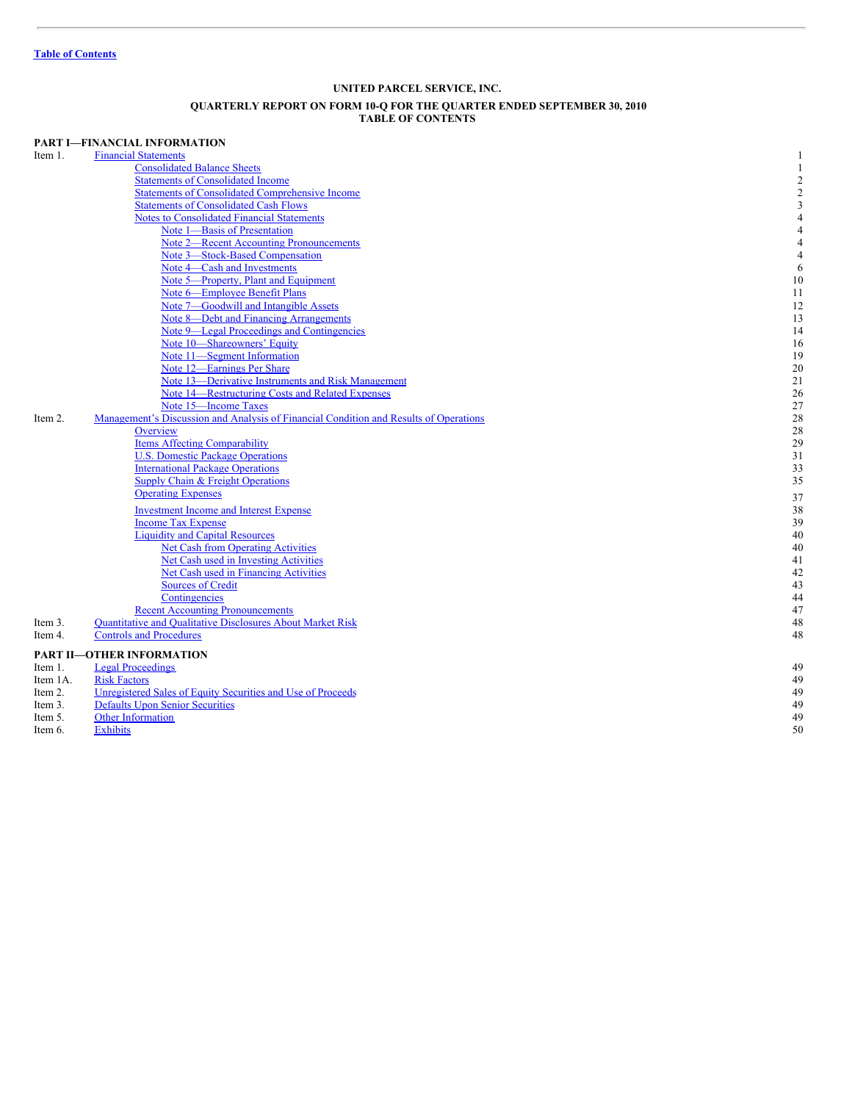## **UNITED PARCEL SERVICE, INC.**

### <span id="page-1-0"></span>**QUARTERLY REPORT ON FORM 10-Q FOR THE QUARTER ENDED SEPTEMBER 30, 2010 TABLE OF CONTENTS**

# **PART I—FINANCIAL INFORMATION**<br>Item 1. **Financial Statements**

| Item 1.  | <b>Financial Statements</b>                                                           |                |
|----------|---------------------------------------------------------------------------------------|----------------|
|          | <b>Consolidated Balance Sheets</b>                                                    | 1              |
|          | <b>Statements of Consolidated Income</b>                                              | $\overline{c}$ |
|          | <b>Statements of Consolidated Comprehensive Income</b>                                | $\overline{c}$ |
|          | <b>Statements of Consolidated Cash Flows</b>                                          | 3              |
|          | <b>Notes to Consolidated Financial Statements</b>                                     | $\overline{4}$ |
|          | Note 1-Basis of Presentation                                                          | $\overline{4}$ |
|          | <b>Note 2—Recent Accounting Pronouncements</b>                                        | $\overline{4}$ |
|          | Note 3-Stock-Based Compensation                                                       | $\overline{4}$ |
|          | Note 4—Cash and Investments                                                           | 6              |
|          | Note 5—Property, Plant and Equipment                                                  | 10             |
|          | Note 6-Employee Benefit Plans                                                         | 11             |
|          | Note 7-Goodwill and Intangible Assets                                                 | 12             |
|          | Note 8—Debt and Financing Arrangements                                                | 13             |
|          | Note 9—Legal Proceedings and Contingencies                                            | 14             |
|          | Note 10—Shareowners' Equity                                                           | 16             |
|          | Note 11-Segment Information                                                           | 19             |
|          | Note 12-Earnings Per Share                                                            | 20             |
|          | Note 13—Derivative Instruments and Risk Management                                    | 21             |
|          | Note 14—Restructuring Costs and Related Expenses                                      | 26             |
|          | Note 15-Income Taxes                                                                  | 27             |
| Item 2.  | Management's Discussion and Analysis of Financial Condition and Results of Operations | 28             |
|          | Overview                                                                              | 28             |
|          | <b>Items Affecting Comparability</b>                                                  | 29             |
|          | <b>U.S. Domestic Package Operations</b>                                               | 31             |
|          | <b>International Package Operations</b>                                               | 33             |
|          | Supply Chain & Freight Operations                                                     | 35             |
|          | <b>Operating Expenses</b>                                                             | 37             |
|          | <b>Investment Income and Interest Expense</b>                                         | 38             |
|          | <b>Income Tax Expense</b>                                                             | 39             |
|          | <b>Liquidity and Capital Resources</b>                                                | 40             |
|          | <b>Net Cash from Operating Activities</b>                                             | 40             |
|          | Net Cash used in Investing Activities                                                 | 41             |
|          | Net Cash used in Financing Activities                                                 | 42             |
|          | <b>Sources of Credit</b>                                                              | 43             |
|          | Contingencies                                                                         | 44             |
|          | <b>Recent Accounting Pronouncements</b>                                               | 47             |
| Item 3.  | <b>Ouantitative and Qualitative Disclosures About Market Risk</b>                     | 48             |
| Item 4.  | <b>Controls and Procedures</b>                                                        | 48             |
|          | <b>PART II-OTHER INFORMATION</b>                                                      |                |
| Item 1.  | <b>Legal Proceedings</b>                                                              | 49             |
| Item 1A. | <b>Risk Factors</b>                                                                   | 49             |
| Item 2.  | Unregistered Sales of Equity Securities and Use of Proceeds                           | 49             |
| Item 3.  | <b>Defaults Upon Senior Securities</b>                                                | 49             |
| Item 5.  | <b>Other Information</b>                                                              | 49             |

Item 6. [Exhibits](#page-51-0) 50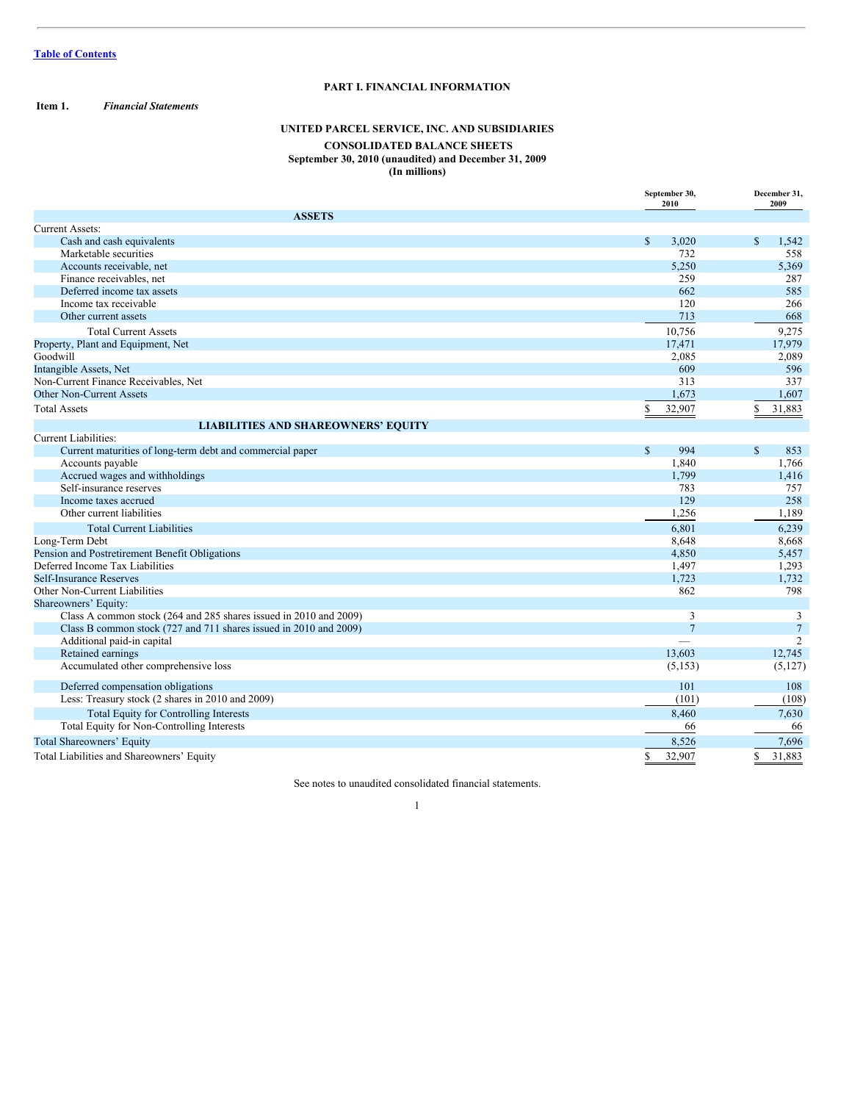# **PART I. FINANCIAL INFORMATION**

# <span id="page-2-0"></span>**Item 1.** *Financial Statements*

## **UNITED PARCEL SERVICE, INC. AND SUBSIDIARIES**

### <span id="page-2-1"></span>**CONSOLIDATED BALANCE SHEETS September 30, 2010 (unaudited) and December 31, 2009 (In millions)**

|                                                                   | September 30,<br>2010 | December 31,<br>2009 |
|-------------------------------------------------------------------|-----------------------|----------------------|
| <b>ASSETS</b>                                                     |                       |                      |
| <b>Current Assets:</b>                                            |                       |                      |
| Cash and cash equivalents                                         | $\mathbb{S}$<br>3,020 | \$<br>1,542          |
| Marketable securities                                             | 732                   | 558                  |
| Accounts receivable, net                                          | 5,250                 | 5,369                |
| Finance receivables, net                                          | 259                   | 287                  |
| Deferred income tax assets                                        | 662                   | 585                  |
| Income tax receivable                                             | 120                   | 266                  |
| Other current assets                                              | 713                   | 668                  |
| <b>Total Current Assets</b>                                       | 10,756                | 9,275                |
| Property, Plant and Equipment, Net                                | 17,471                | 17,979               |
| Goodwill                                                          | 2,085                 | 2,089                |
| Intangible Assets, Net                                            | 609                   | 596                  |
| Non-Current Finance Receivables, Net                              | 313                   | 337                  |
| <b>Other Non-Current Assets</b>                                   | 1,673                 | 1,607                |
| <b>Total Assets</b>                                               | S<br>32,907           | 31,883<br>\$         |
| <b>LIABILITIES AND SHAREOWNERS' EQUITY</b>                        |                       |                      |
| <b>Current Liabilities:</b>                                       |                       |                      |
| Current maturities of long-term debt and commercial paper         | $\mathbb{S}$<br>994   | \$<br>853            |
| Accounts payable                                                  | 1,840                 | 1,766                |
| Accrued wages and withholdings                                    | 1,799                 | 1,416                |
| Self-insurance reserves                                           | 783                   | 757                  |
| Income taxes accrued                                              | 129                   | 258                  |
| Other current liabilities                                         | 1,256                 | 1,189                |
| <b>Total Current Liabilities</b>                                  | 6,801                 | 6,239                |
| Long-Term Debt                                                    | 8,648                 | 8,668                |
| Pension and Postretirement Benefit Obligations                    | 4,850                 | 5,457                |
| Deferred Income Tax Liabilities                                   | 1,497                 | 1,293                |
| <b>Self-Insurance Reserves</b>                                    | 1,723                 | 1,732                |
| Other Non-Current Liabilities                                     | 862                   | 798                  |
| Shareowners' Equity:                                              |                       |                      |
| Class A common stock (264 and 285 shares issued in 2010 and 2009) | 3                     | 3                    |
| Class B common stock (727 and 711 shares issued in 2010 and 2009) | $\overline{7}$        | $\overline{7}$       |
| Additional paid-in capital                                        |                       | 2                    |
| Retained earnings                                                 | 13.603                | 12,745               |
| Accumulated other comprehensive loss                              | (5, 153)              | (5,127)              |
| Deferred compensation obligations                                 | 101                   | 108                  |
| Less: Treasury stock (2 shares in 2010 and 2009)                  | (101)                 | (108)                |
| Total Equity for Controlling Interests                            | 8,460                 | 7,630                |
| Total Equity for Non-Controlling Interests                        | 66                    | 66                   |
| <b>Total Shareowners' Equity</b>                                  | 8,526                 | 7,696                |
| Total Liabilities and Shareowners' Equity                         | 32.907<br>\$          | 31,883<br>\$         |

See notes to unaudited consolidated financial statements.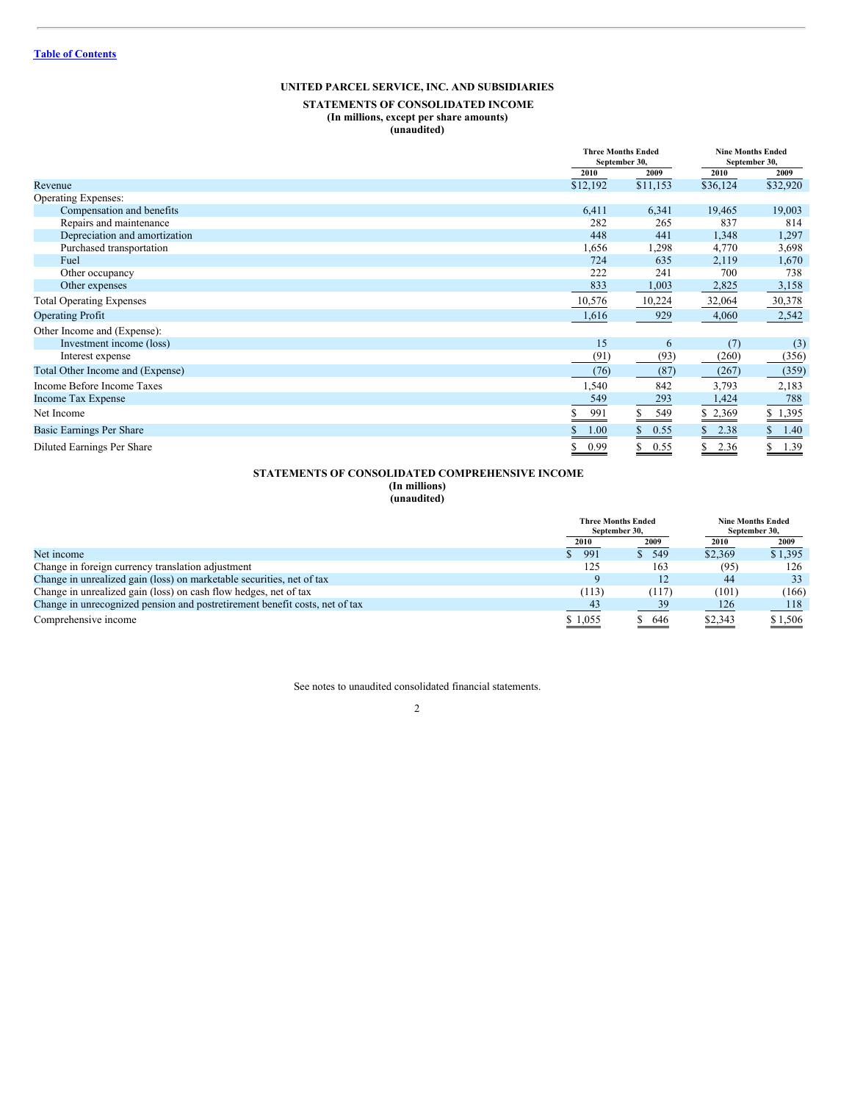# **UNITED PARCEL SERVICE, INC. AND SUBSIDIARIES**

### <span id="page-3-0"></span>**STATEMENTS OF CONSOLIDATED INCOME (In millions, except per share amounts) (unaudited)**

|                                  |                  | <b>Three Months Ended</b><br>September 30, |                  | <b>Nine Months Ended</b><br>September 30, |
|----------------------------------|------------------|--------------------------------------------|------------------|-------------------------------------------|
| Revenue                          | 2010<br>\$12,192 | 2009<br>\$11,153                           | 2010<br>\$36,124 | 2009<br>\$32,920                          |
| <b>Operating Expenses:</b>       |                  |                                            |                  |                                           |
| Compensation and benefits        | 6,411            | 6,341                                      | 19,465           | 19,003                                    |
| Repairs and maintenance          | 282              | 265                                        | 837              | 814                                       |
| Depreciation and amortization    | 448              | 441                                        | 1,348            | 1,297                                     |
| Purchased transportation         | 1,656            | 1,298                                      | 4,770            | 3,698                                     |
| Fuel                             | 724              | 635                                        | 2,119            | 1,670                                     |
| Other occupancy                  | 222              | 241                                        | 700              | 738                                       |
| Other expenses                   | 833              | 1,003                                      | 2,825            | 3,158                                     |
| <b>Total Operating Expenses</b>  | 10,576           | 10,224                                     | 32,064           | 30,378                                    |
| <b>Operating Profit</b>          | 1,616            | 929                                        | 4,060            | 2,542                                     |
| Other Income and (Expense):      |                  |                                            |                  |                                           |
| Investment income (loss)         | 15               | 6                                          | (7)              | (3)                                       |
| Interest expense                 | (91)             | (93)                                       | (260)            | (356)                                     |
| Total Other Income and (Expense) | (76)             | (87)                                       | (267)            | (359)                                     |
| Income Before Income Taxes       | 1,540            | 842                                        | 3,793            | 2,183                                     |
| <b>Income Tax Expense</b>        | 549              | 293                                        | 1,424            | 788                                       |
| Net Income                       | 991              | S<br>549                                   | \$2,369          | 1,395<br>S.                               |
| <b>Basic Earnings Per Share</b>  | 1.00             | 0.55                                       | 2.38             | 1.40                                      |
| Diluted Earnings Per Share       | 0.99<br>S        | S.<br>0.55                                 | \$<br>2.36       | 1.39<br>\$                                |

# <span id="page-3-1"></span>**STATEMENTS OF CONSOLIDATED COMPREHENSIVE INCOME (In millions)**

| (unaudited) |
|-------------|
|-------------|

|                                                                             | <b>Three Months Ended</b> |       | <b>Nine Months Ended</b><br>September 30, |         |
|-----------------------------------------------------------------------------|---------------------------|-------|-------------------------------------------|---------|
|                                                                             | September 30,             |       |                                           |         |
|                                                                             | 2010                      | 2009  | 2010                                      | 2009    |
| Net income                                                                  | \$991                     | 549   | \$2,369                                   | \$1,395 |
| Change in foreign currency translation adjustment                           | 125                       | 163   | (95)                                      | 126     |
| Change in unrealized gain (loss) on marketable securities, net of tax       |                           |       | 44                                        | 33      |
| Change in unrealized gain (loss) on cash flow hedges, net of tax            | (113)                     | (117) | (101)                                     | (166)   |
| Change in unrecognized pension and postretirement benefit costs, net of tax | 43                        | 39    | 126                                       | 118     |
| Comprehensive income                                                        | \$1,055                   | 646   | \$2,343                                   | \$1,506 |

See notes to unaudited consolidated financial statements.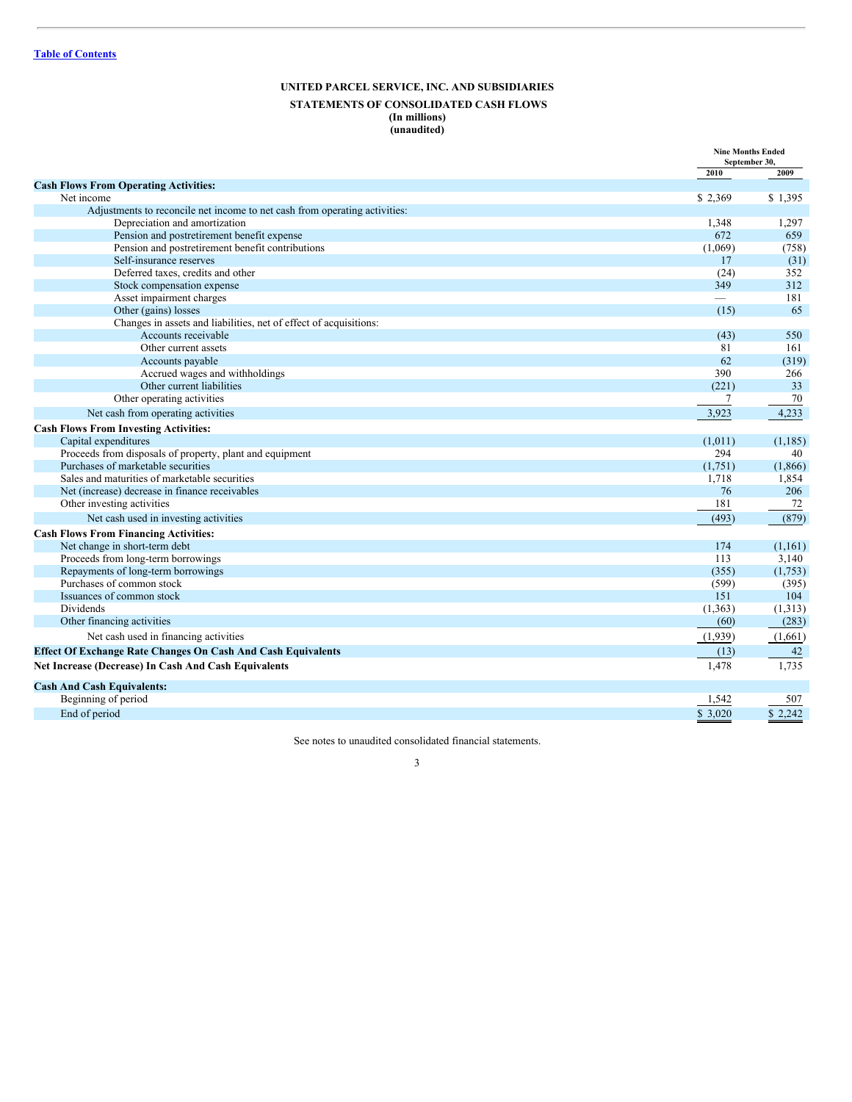# <span id="page-4-0"></span>**UNITED PARCEL SERVICE, INC. AND SUBSIDIARIES STATEMENTS OF CONSOLIDATED CASH FLOWS (In millions)**

**(unaudited)**

|                                                                                          |                          | <b>Nine Months Ended</b><br>September 30. |
|------------------------------------------------------------------------------------------|--------------------------|-------------------------------------------|
|                                                                                          | 2010                     | 2009                                      |
| <b>Cash Flows From Operating Activities:</b>                                             |                          |                                           |
| Net income                                                                               | \$2,369                  | \$1,395                                   |
| Adjustments to reconcile net income to net cash from operating activities:               |                          |                                           |
| Depreciation and amortization                                                            | 1,348                    | 1,297                                     |
| Pension and postretirement benefit expense                                               | 672                      | 659                                       |
| Pension and postretirement benefit contributions                                         | (1,069)                  | (758)                                     |
| Self-insurance reserves                                                                  | 17                       | (31)                                      |
| Deferred taxes, credits and other                                                        | (24)                     | 352                                       |
| Stock compensation expense                                                               | 349                      | 312                                       |
| Asset impairment charges                                                                 | $\overline{\phantom{0}}$ | 181<br>65                                 |
| Other (gains) losses                                                                     | (15)                     |                                           |
| Changes in assets and liabilities, net of effect of acquisitions:<br>Accounts receivable |                          | 550                                       |
| Other current assets                                                                     | (43)<br>81               | 161                                       |
| Accounts payable                                                                         | 62                       | (319)                                     |
| Accrued wages and withholdings                                                           | 390                      | 266                                       |
| Other current liabilities                                                                | (221)                    | 33                                        |
| Other operating activities                                                               | 7                        | 70                                        |
| Net cash from operating activities                                                       | 3,923                    | 4,233                                     |
|                                                                                          |                          |                                           |
| <b>Cash Flows From Investing Activities:</b>                                             |                          |                                           |
| Capital expenditures                                                                     | (1,011)                  | (1, 185)                                  |
| Proceeds from disposals of property, plant and equipment                                 | 294                      | 40                                        |
| Purchases of marketable securities                                                       | (1,751)                  | (1, 866)                                  |
| Sales and maturities of marketable securities                                            | 1,718                    | 1,854                                     |
| Net (increase) decrease in finance receivables                                           | 76                       | 206                                       |
| Other investing activities                                                               | 181                      | 72                                        |
| Net cash used in investing activities                                                    | (493)                    | (879)                                     |
| <b>Cash Flows From Financing Activities:</b>                                             |                          |                                           |
| Net change in short-term debt                                                            | 174                      | (1,161)                                   |
| Proceeds from long-term borrowings                                                       | 113                      | 3,140                                     |
| Repayments of long-term borrowings                                                       | (355)                    | (1,753)                                   |
| Purchases of common stock                                                                | (599)                    | (395)                                     |
| Issuances of common stock                                                                | 151                      | 104                                       |
| <b>Dividends</b>                                                                         | (1,363)                  | (1,313)                                   |
| Other financing activities                                                               | (60)                     | (283)                                     |
| Net cash used in financing activities                                                    | (1,939)                  | (1,661)                                   |
| <b>Effect Of Exchange Rate Changes On Cash And Cash Equivalents</b>                      | (13)                     | 42                                        |
| Net Increase (Decrease) In Cash And Cash Equivalents                                     | 1,478                    | 1.735                                     |
| <b>Cash And Cash Equivalents:</b>                                                        |                          |                                           |
| Beginning of period                                                                      | 1,542                    | 507                                       |
| End of period                                                                            | \$3,020                  | \$2.242                                   |

See notes to unaudited consolidated financial statements.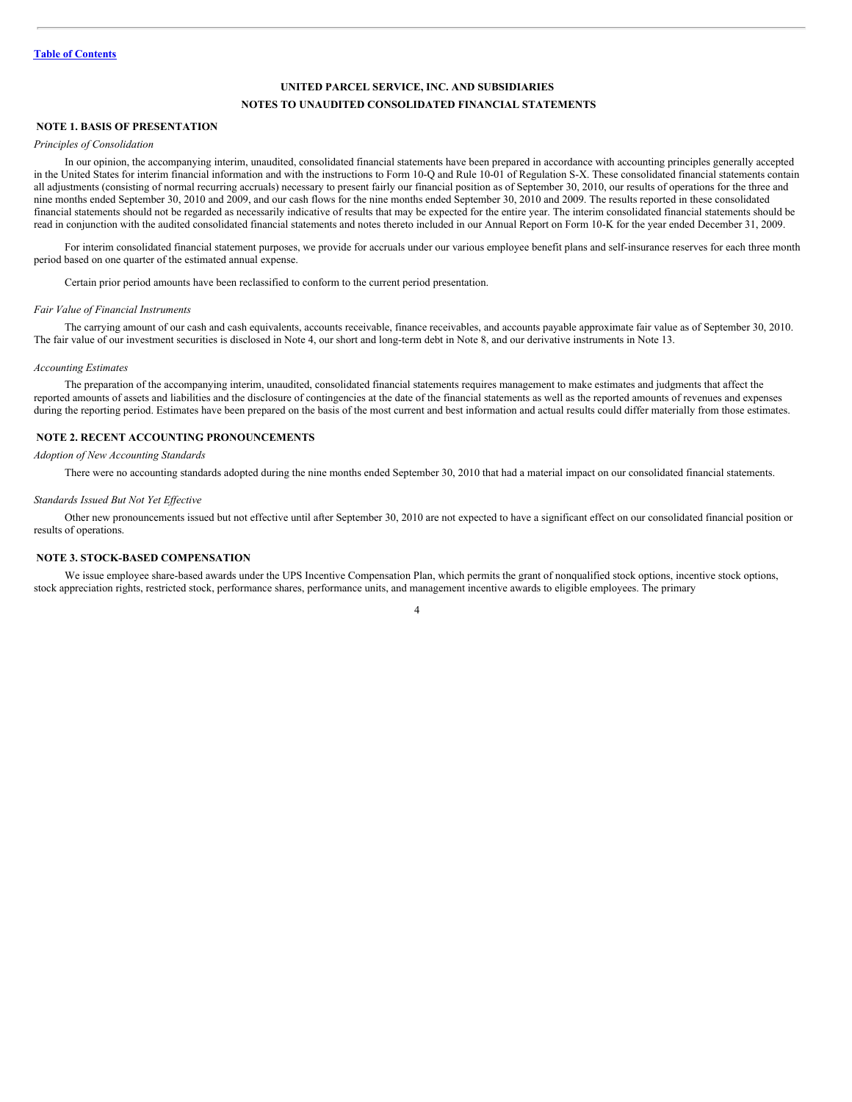## <span id="page-5-1"></span><span id="page-5-0"></span>**NOTE 1. BASIS OF PRESENTATION**

#### *Principles of Consolidation*

In our opinion, the accompanying interim, unaudited, consolidated financial statements have been prepared in accordance with accounting principles generally accepted in the United States for interim financial information and with the instructions to Form 10-Q and Rule 10-01 of Regulation S-X. These consolidated financial statements contain all adjustments (consisting of normal recurring accruals) necessary to present fairly our financial position as of September 30, 2010, our results of operations for the three and nine months ended September 30, 2010 and 2009, and our cash flows for the nine months ended September 30, 2010 and 2009. The results reported in these consolidated financial statements should not be regarded as necessarily indicative of results that may be expected for the entire year. The interim consolidated financial statements should be read in conjunction with the audited consolidated financial statements and notes thereto included in our Annual Report on Form 10-K for the year ended December 31, 2009.

For interim consolidated financial statement purposes, we provide for accruals under our various employee benefit plans and self-insurance reserves for each three month period based on one quarter of the estimated annual expense.

Certain prior period amounts have been reclassified to conform to the current period presentation.

#### *Fair Value of Financial Instruments*

The carrying amount of our cash and cash equivalents, accounts receivable, finance receivables, and accounts payable approximate fair value as of September 30, 2010. The fair value of our investment securities is disclosed in Note 4, our short and long-term debt in Note 8, and our derivative instruments in Note 13.

### *Accounting Estimates*

The preparation of the accompanying interim, unaudited, consolidated financial statements requires management to make estimates and judgments that affect the reported amounts of assets and liabilities and the disclosure of contingencies at the date of the financial statements as well as the reported amounts of revenues and expenses during the reporting period. Estimates have been prepared on the basis of the most current and best information and actual results could differ materially from those estimates.

# <span id="page-5-2"></span>**NOTE 2. RECENT ACCOUNTING PRONOUNCEMENTS**

# *Adoption of New Accounting Standards* There were no accounting standards adopted during the nine months ended September 30, 2010 that had a material impact on our consolidated financial statements.

#### *Standards Issued But Not Yet Ef ective*

Other new pronouncements issued but not effective until after September 30, 2010 are not expected to have a significant effect on our consolidated financial position or results of operations.

### <span id="page-5-3"></span>**NOTE 3. STOCK-BASED COMPENSATION**

We issue employee share-based awards under the UPS Incentive Compensation Plan, which permits the grant of nonqualified stock options, incentive stock options, stock appreciation rights, restricted stock, performance shares, performance units, and management incentive awards to eligible employees. The primary

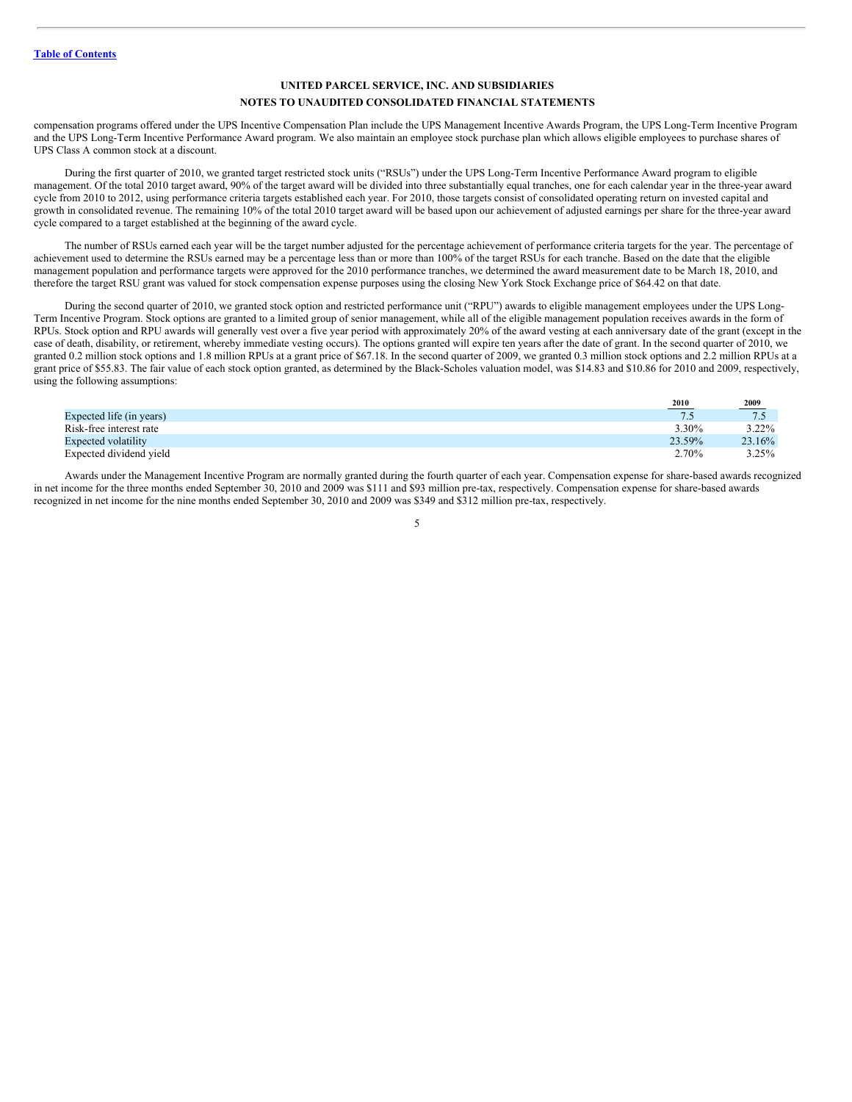compensation programs offered under the UPS Incentive Compensation Plan include the UPS Management Incentive Awards Program, the UPS Long-Term Incentive Program and the UPS Long-Term Incentive Performance Award program. We also maintain an employee stock purchase plan which allows eligible employees to purchase shares of UPS Class A common stock at a discount.

During the first quarter of 2010, we granted target restricted stock units ("RSUs") under the UPS Long-Term Incentive Performance Award program to eligible management. Of the total 2010 target award, 90% of the target award will be divided into three substantially equal tranches, one for each calendar year in the three-year award cycle from 2010 to 2012, using performance criteria targets established each year. For 2010, those targets consist of consolidated operating return on invested capital and growth in consolidated revenue. The remaining 10% of the total 2010 target award will be based upon our achievement of adjusted earnings per share for the three-year award cycle compared to a target established at the beginning of the award cycle.

The number of RSUs earned each year will be the target number adjusted for the percentage achievement of performance criteria targets for the year. The percentage of achievement used to determine the RSUs earned may be a percentage less than or more than 100% of the target RSUs for each tranche. Based on the date that the eligible management population and performance targets were approved for the 2010 performance tranches, we determined the award measurement date to be March 18, 2010, and therefore the target RSU grant was valued for stock compensation expense purposes using the closing New York Stock Exchange price of \$64.42 on that date.

During the second quarter of 2010, we granted stock option and restricted performance unit ("RPU") awards to eligible management employees under the UPS Long-Term Incentive Program. Stock options are granted to a limited group of senior management, while all of the eligible management population receives awards in the form of RPUs. Stock option and RPU awards will generally vest over a five year period with approximately 20% of the award vesting at each anniversary date of the grant (except in the case of death, disability, or retirement, whereby immediate vesting occurs). The options granted will expire ten years after the date of grant. In the second quarter of 2010, we granted 0.2 million stock options and 1.8 million RPUs at a grant price of \$67.18. In the second quarter of 2009, we granted 0.3 million stock options and 2.2 million RPUs at a grant price of \$55.83. The fair value of each stock option granted, as determined by the Black-Scholes valuation model, was \$14.83 and \$10.86 for 2010 and 2009, respectively, using the following assumptions:

|        | $-2009$ |
|--------|---------|
|        | 7.5     |
| 3.30%  | 3.22%   |
| 23.59% | 23.16%  |
| 2.70%  | 3.25%   |
|        | 2010    |

Awards under the Management Incentive Program are normally granted during the fourth quarter of each year. Compensation expense for share-based awards recognized in net income for the three months ended September 30, 2010 and 2009 was \$111 and \$93 million pre-tax, respectively. Compensation expense for share-based awards recognized in net income for the nine months ended September 30, 2010 and 2009 was \$349 and \$312 million pre-tax, respectively.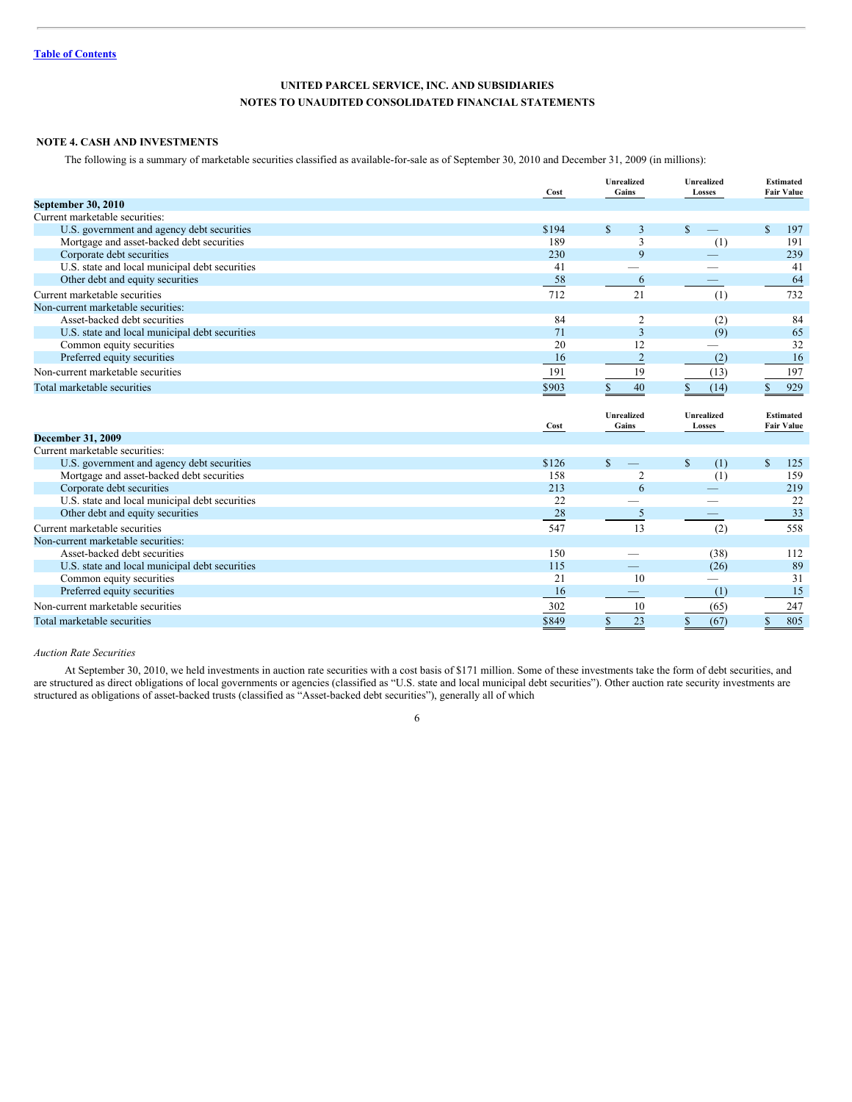# <span id="page-7-0"></span>**NOTE 4. CASH AND INVESTMENTS**

The following is a summary of marketable securities classified as available-for-sale as of September 30, 2010 and December 31, 2009 (in millions):

|                                                | Cost  | <b>Unrealized</b><br>Unrealized<br>Gains<br><b>Losses</b> |                             | <b>Estimated</b><br><b>Fair Value</b> |
|------------------------------------------------|-------|-----------------------------------------------------------|-----------------------------|---------------------------------------|
| <b>September 30, 2010</b>                      |       |                                                           |                             |                                       |
| Current marketable securities:                 |       |                                                           |                             |                                       |
| U.S. government and agency debt securities     | \$194 | $\mathbb{S}$<br>3                                         | $\mathbb{S}$                | $\mathbb{S}$<br>197                   |
| Mortgage and asset-backed debt securities      | 189   | 3                                                         | (1)                         | 191                                   |
| Corporate debt securities                      | 230   | 9                                                         |                             | 239                                   |
| U.S. state and local municipal debt securities | 41    |                                                           |                             | 41                                    |
| Other debt and equity securities               | 58    | 6                                                         |                             | 64                                    |
| Current marketable securities                  | 712   | 21                                                        | (1)                         | 732                                   |
| Non-current marketable securities:             |       |                                                           |                             |                                       |
| Asset-backed debt securities                   | 84    | 2                                                         | (2)                         | 84                                    |
| U.S. state and local municipal debt securities | 71    | 3                                                         | (9)                         | 65                                    |
| Common equity securities                       | 20    | 12                                                        |                             | 32                                    |
| Preferred equity securities                    | 16    | $\overline{c}$                                            | (2)                         | 16                                    |
| Non-current marketable securities              | 191   | 19                                                        | (13)                        | 197                                   |
| Total marketable securities                    | \$903 | 40<br>S                                                   | $\mathbb{S}$<br>(14)        | 929<br>\$                             |
|                                                |       |                                                           |                             |                                       |
|                                                | Cost  | Unrealized<br>Gains                                       | <b>Unrealized</b><br>Losses | <b>Estimated</b><br><b>Fair Value</b> |
| December 31, 2009                              |       |                                                           |                             |                                       |
| Current marketable securities:                 |       |                                                           |                             |                                       |
| U.S. government and agency debt securities     | \$126 | \$                                                        | $\mathbf S$<br>(1)          | \$<br>125                             |
| Mortgage and asset-backed debt securities      | 158   | $\overline{c}$                                            | (1)                         | 159                                   |
| Corporate debt securities                      | 213   | 6                                                         |                             | 219                                   |
| U.S. state and local municipal debt securities | 22    |                                                           |                             | 22                                    |
| Other debt and equity securities               | 28    | 5                                                         |                             | 33                                    |
| Current marketable securities                  | 547   | 13                                                        | (2)                         | 558                                   |
| Non-current marketable securities:             |       |                                                           |                             |                                       |
| Asset-backed debt securities                   | 150   |                                                           | (38)                        | 112                                   |
| U.S. state and local municipal debt securities | 115   |                                                           | (26)                        | 89                                    |
| Common equity securities                       | 21    | 10                                                        | $\overline{\phantom{0}}$    | 31                                    |
| Preferred equity securities                    | 16    |                                                           | (1)                         | 15                                    |
| Non-current marketable securities              | 302   | 10                                                        | (65)                        | 247                                   |

### *Auction Rate Securities*

At September 30, 2010, we held investments in auction rate securities with a cost basis of \$171 million. Some of these investments take the form of debt securities, and are structured as direct obligations of local governments or agencies (classified as "U.S. state and local municipal debt securities"). Other auction rate security investments are structured as obligations of asset-backed trusts (classified as "Asset-backed debt securities"), generally all of which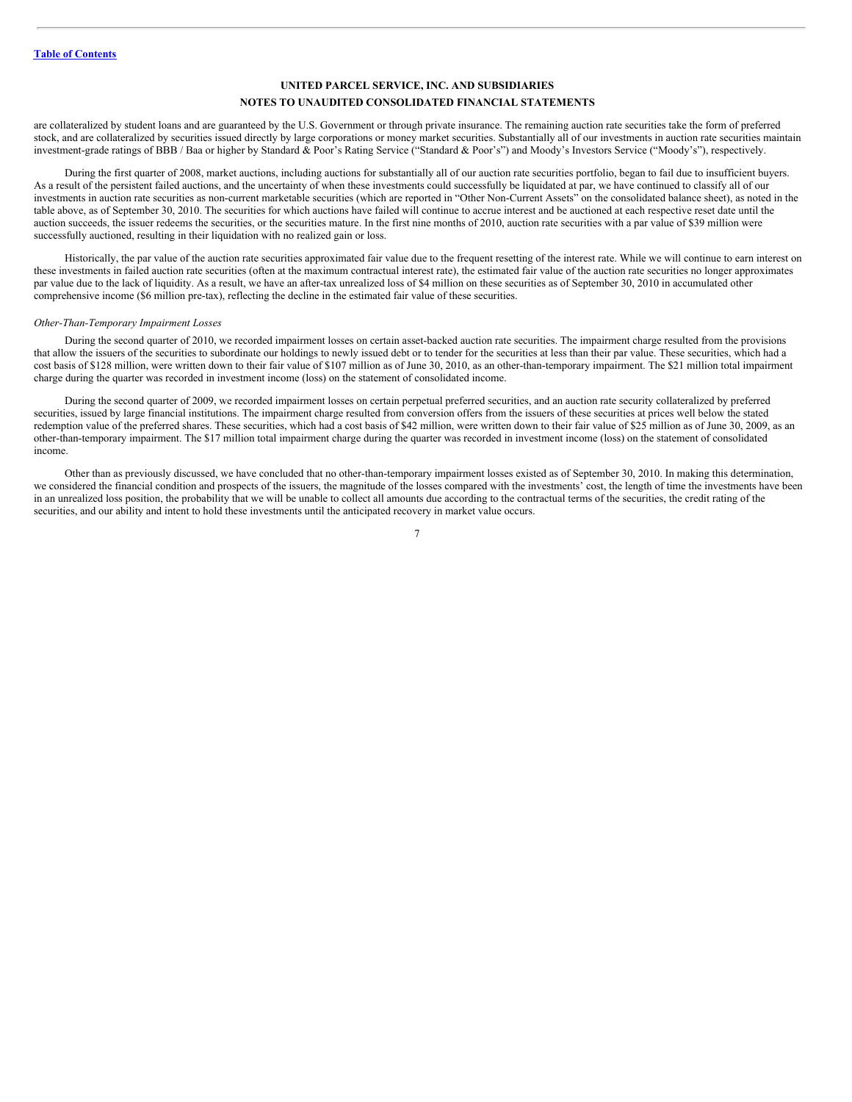are collateralized by student loans and are guaranteed by the U.S. Government or through private insurance. The remaining auction rate securities take the form of preferred stock, and are collateralized by securities issued directly by large corporations or money market securities. Substantially all of our investments in auction rate securities maintain investment-grade ratings of BBB / Baa or higher by Standard & Poor's Rating Service ("Standard & Poor's") and Moody's Investors Service ("Moody's"), respectively.

During the first quarter of 2008, market auctions, including auctions for substantially all of our auction rate securities portfolio, began to fail due to insufficient buyers. As a result of the persistent failed auctions, and the uncertainty of when these investments could successfully be liquidated at par, we have continued to classify all of our investments in auction rate securities as non-current marketable securities (which are reported in "Other Non-Current Assets" on the consolidated balance sheet), as noted in the table above, as of September 30, 2010. The securities for which auctions have failed will continue to accrue interest and be auctioned at each respective reset date until the auction succeeds, the issuer redeems the securities, or the securities mature. In the first nine months of 2010, auction rate securities with a par value of \$39 million were successfully auctioned, resulting in their liquidation with no realized gain or loss.

Historically, the par value of the auction rate securities approximated fair value due to the frequent resetting of the interest rate. While we will continue to earn interest on these investments in failed auction rate securities (often at the maximum contractual interest rate), the estimated fair value of the auction rate securities no longer approximates par value due to the lack of liquidity. As a result, we have an after-tax unrealized loss of \$4 million on these securities as of September 30, 2010 in accumulated other comprehensive income (\$6 million pre-tax), reflecting the decline in the estimated fair value of these securities.

#### *Other-Than-Temporary Impairment Losses*

During the second quarter of 2010, we recorded impairment losses on certain asset-backed auction rate securities. The impairment charge resulted from the provisions that allow the issuers of the securities to subordinate our holdings to newly issued debt or to tender for the securities at less than their par value. These securities, which had a cost basis of \$128 million, were written down to their fair value of \$107 million as of June 30, 2010, as an other-than-temporary impairment. The \$21 million total impairment charge during the quarter was recorded in investment income (loss) on the statement of consolidated income.

During the second quarter of 2009, we recorded impairment losses on certain perpetual preferred securities, and an auction rate security collateralized by preferred securities, issued by large financial institutions. The impairment charge resulted from conversion offers from the issuers of these securities at prices well below the stated redemption value of the preferred shares. These securities, which had a cost basis of \$42 million, were written down to their fair value of \$25 million as of June 30, 2009, as an other-than-temporary impairment. The \$17 million total impairment charge during the quarter was recorded in investment income (loss) on the statement of consolidated income.

Other than as previously discussed, we have concluded that no other-than-temporary impairment losses existed as of September 30, 2010. In making this determination, we considered the financial condition and prospects of the issuers, the magnitude of the losses compared with the investments' cost, the length of time the investments have been in an unrealized loss position, the probability that we will be unable to collect all amounts due according to the contractual terms of the securities, the credit rating of the securities, and our ability and intent to hold these investments until the anticipated recovery in market value occurs.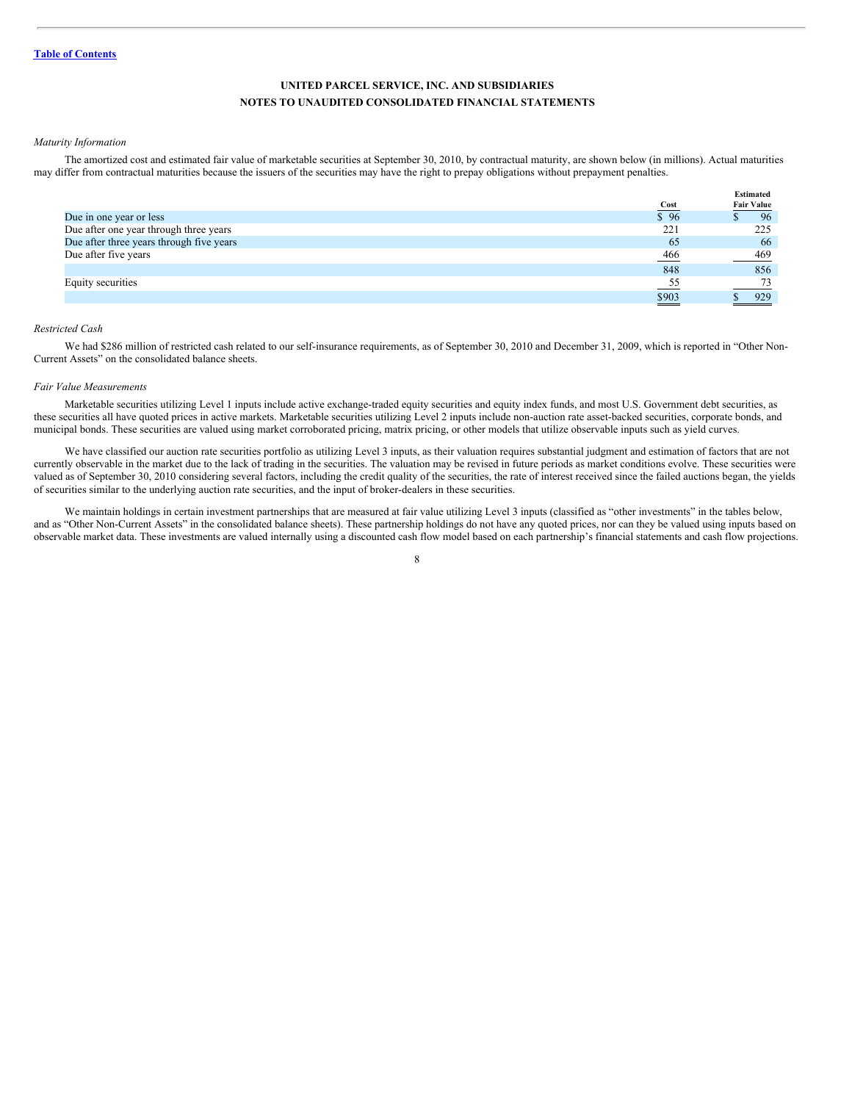#### *Maturity Information*

The amortized cost and estimated fair value of marketable securities at September 30, 2010, by contractual maturity, are shown below (in millions). Actual maturities may differ from contractual maturities because the issuers of the securities may have the right to prepay obligations without prepayment penalties.

|                                          | Cost  | <b>Estimated</b><br><b>Fair Value</b> |
|------------------------------------------|-------|---------------------------------------|
| Due in one year or less                  | \$96  | -96                                   |
| Due after one year through three years   | 221   | 225                                   |
| Due after three years through five years | 65    | 66                                    |
| Due after five years                     | 466   | 469                                   |
|                                          | 848   | 856                                   |
| Equity securities                        | 55    | 73                                    |
|                                          | \$903 | 929                                   |

#### *Restricted Cash*

We had \$286 million of restricted cash related to our self-insurance requirements, as of September 30, 2010 and December 31, 2009, which is reported in "Other Non-Current Assets" on the consolidated balance sheets.

#### *Fair Value Measurements*

Marketable securities utilizing Level 1 inputs include active exchange-traded equity securities and equity index funds, and most U.S. Government debt securities, as these securities all have quoted prices in active markets. Marketable securities utilizing Level 2 inputs include non-auction rate asset-backed securities, corporate bonds, and municipal bonds. These securities are valued using market corroborated pricing, matrix pricing, or other models that utilize observable inputs such as yield curves.

We have classified our auction rate securities portfolio as utilizing Level 3 inputs, as their valuation requires substantial judgment and estimation of factors that are not currently observable in the market due to the lack of trading in the securities. The valuation may be revised in future periods as market conditions evolve. These securities were valued as of September 30, 2010 considering several factors, including the credit quality of the securities, the rate of interest received since the failed auctions began, the yields of securities similar to the underlying auction rate securities, and the input of broker-dealers in these securities.

We maintain holdings in certain investment partnerships that are measured at fair value utilizing Level 3 inputs (classified as "other investments" in the tables below, and as "Other Non-Current Assets" in the consolidated balance sheets). These partnership holdings do not have any quoted prices, nor can they be valued using inputs based on observable market data. These investments are valued internally using a discounted cash flow model based on each partnership's financial statements and cash flow projections.

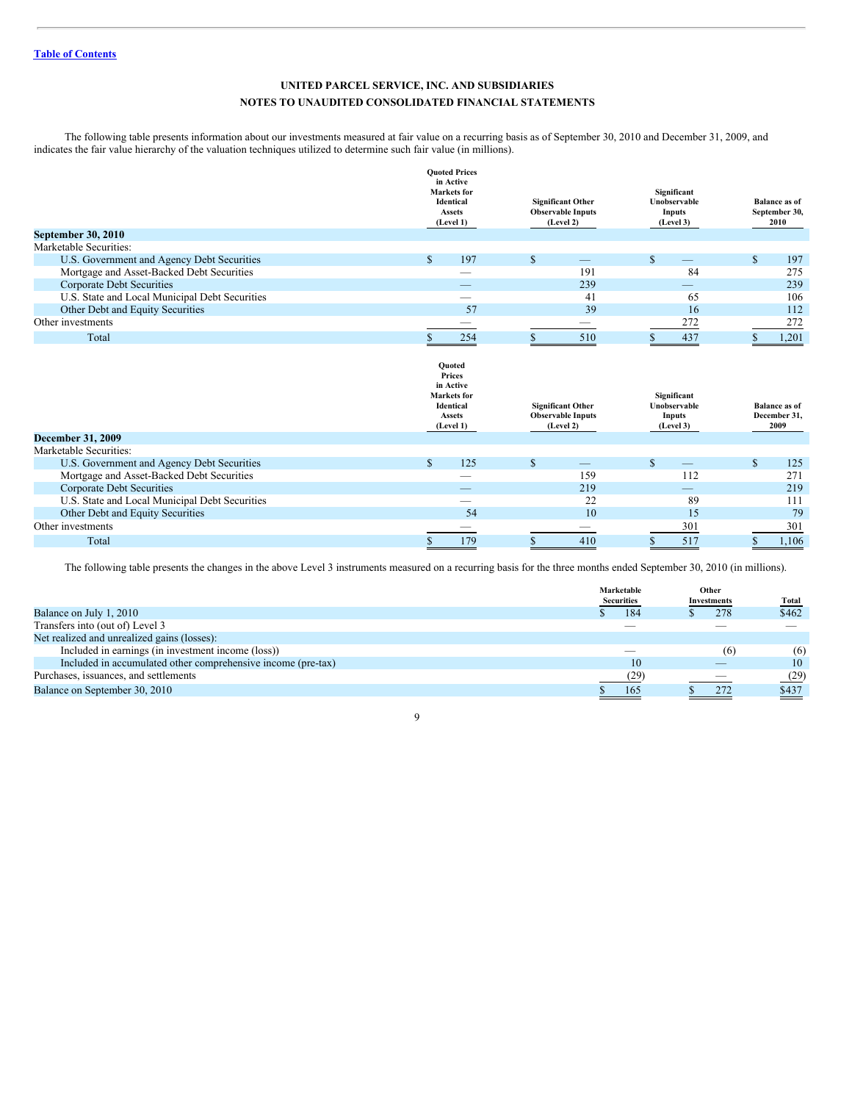The following table presents information about our investments measured at fair value on a recurring basis as of September 30, 2010 and December 31, 2009, and indicates the fair value hierarchy of the valuation techniques utilized to determine such fair value (in millions).

|                                                    | <b>Ouoted Prices</b><br>in Active<br><b>Markets</b> for<br><b>Identical</b><br>Assets<br>(Level 1) | <b>Significant Other</b><br><b>Observable Inputs</b><br>(Level 2) | Significant<br><b>Unobservable</b><br>Inputs<br>(Level 3)        | <b>Balance as of</b><br>September 30,<br>2010 |
|----------------------------------------------------|----------------------------------------------------------------------------------------------------|-------------------------------------------------------------------|------------------------------------------------------------------|-----------------------------------------------|
| <b>September 30, 2010</b>                          |                                                                                                    |                                                                   |                                                                  |                                               |
| Marketable Securities:                             |                                                                                                    |                                                                   |                                                                  |                                               |
| U.S. Government and Agency Debt Securities         | \$<br>197                                                                                          | \$                                                                | $\mathbf S$                                                      | $\mathsf{\$}$<br>197                          |
| Mortgage and Asset-Backed Debt Securities          |                                                                                                    | 191                                                               | 84                                                               | 275                                           |
| <b>Corporate Debt Securities</b>                   |                                                                                                    | 239                                                               |                                                                  | 239                                           |
| U.S. State and Local Municipal Debt Securities     |                                                                                                    | 41                                                                | 65                                                               | 106                                           |
| Other Debt and Equity Securities                   | 57                                                                                                 | 39                                                                | 16                                                               | 112                                           |
| Other investments                                  | -                                                                                                  |                                                                   | 272                                                              | 272                                           |
| Total                                              | 254                                                                                                | 510<br>\$                                                         | 437                                                              | 1,201                                         |
|                                                    | <b>Ouoted</b><br>Prices<br>in Active<br><b>Markets</b> for<br>Identical<br>Assets<br>(Level 1)     | <b>Significant Other</b><br><b>Observable Inputs</b><br>(Level 2) | Significant<br><b>Unobservable</b><br><b>Inputs</b><br>(Level 3) | <b>Balance as of</b><br>December 31,<br>2009  |
| <b>December 31, 2009</b><br>Marketable Securities: |                                                                                                    |                                                                   |                                                                  |                                               |
| U.S. Government and Agency Debt Securities         | $\mathbb{S}$<br>125                                                                                | $\mathbb{S}$                                                      | $\mathbb{S}$                                                     | $\mathbb{S}$<br>125                           |
| Mortgage and Asset-Backed Debt Securities          |                                                                                                    | 159                                                               | 112                                                              | 271                                           |
| <b>Corporate Debt Securities</b>                   |                                                                                                    | 219                                                               |                                                                  | 219                                           |
| U.S. State and Local Municipal Debt Securities     | --                                                                                                 | 22                                                                | 89                                                               | 111                                           |
| Other Debt and Equity Securities                   | 54                                                                                                 | 10                                                                | 15                                                               | 79                                            |
| Other investments                                  | _                                                                                                  | -                                                                 | 301                                                              | 301                                           |
| Total                                              | 179<br>$\mathbb{S}$                                                                                | 410<br>\$                                                         | 517<br>\$                                                        | 1,106<br>\$                                   |

The following table presents the changes in the above Level 3 instruments measured on a recurring basis for the three months ended September 30, 2010 (in millions).

|                                                              | Marketable<br><b>Securities</b> | Other<br><b>Investments</b> |       |
|--------------------------------------------------------------|---------------------------------|-----------------------------|-------|
| Balance on July 1, 2010                                      | 184                             | 278                         | \$462 |
| Transfers into (out of) Level 3                              |                                 |                             |       |
| Net realized and unrealized gains (losses):                  |                                 |                             |       |
| Included in earnings (in investment income (loss))           |                                 | (6)                         | (6)   |
| Included in accumulated other comprehensive income (pre-tax) | 10                              |                             | 10    |
| Purchases, issuances, and settlements                        | (29)                            |                             | (29)  |
| Balance on September 30, 2010                                | 165                             | 272                         | \$437 |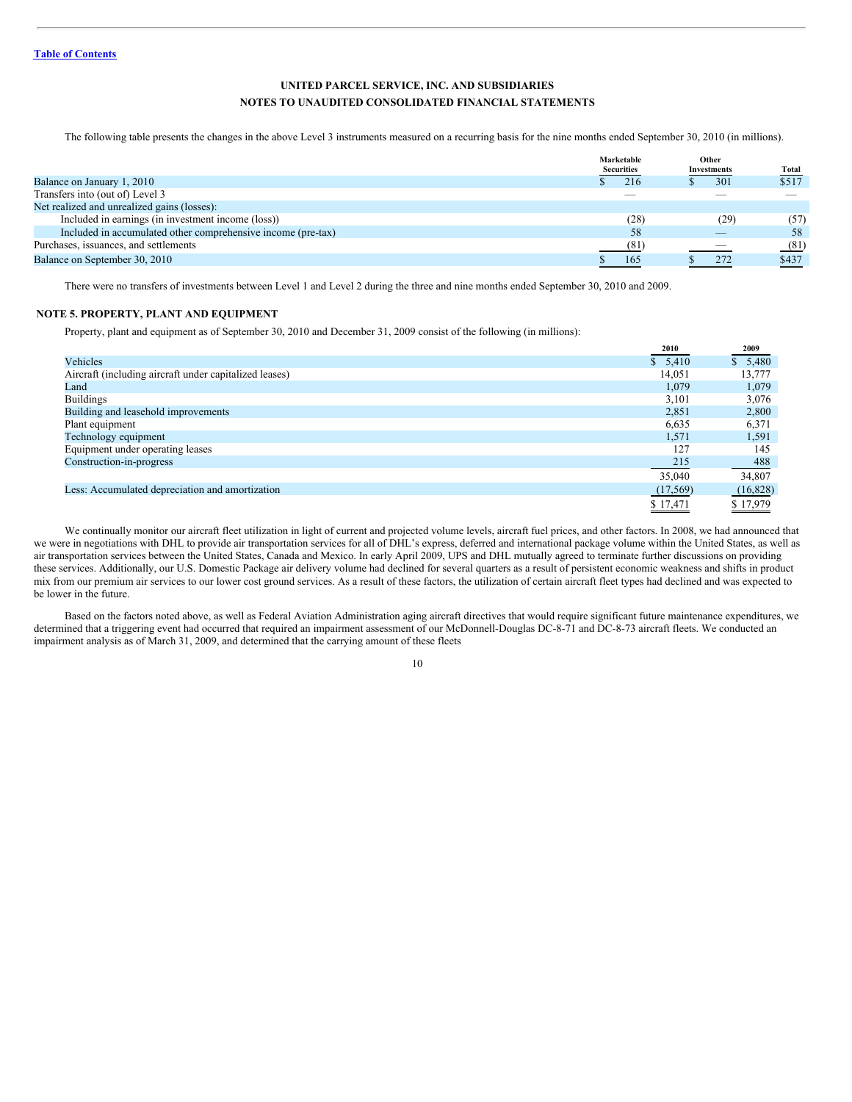The following table presents the changes in the above Level 3 instruments measured on a recurring basis for the nine months ended September 30, 2010 (in millions).

|                                                              | Marketable<br><b>Securities</b> |      | Other<br><b>Investments</b> |                          | Total |  |
|--------------------------------------------------------------|---------------------------------|------|-----------------------------|--------------------------|-------|--|
| Balance on January 1, 2010                                   |                                 | 216  |                             | 301                      | \$517 |  |
| Transfers into (out of) Level 3                              |                                 | __   |                             |                          |       |  |
| Net realized and unrealized gains (losses):                  |                                 |      |                             |                          |       |  |
| Included in earnings (in investment income (loss))           |                                 | (28) |                             | (29)                     | (57)  |  |
| Included in accumulated other comprehensive income (pre-tax) |                                 | 58   |                             | $\overline{\phantom{a}}$ | 58    |  |
| Purchases, issuances, and settlements                        |                                 | (81) |                             |                          | (81)  |  |
| Balance on September 30, 2010                                |                                 | 165  |                             | 272                      | 8437  |  |

There were no transfers of investments between Level 1 and Level 2 during the three and nine months ended September 30, 2010 and 2009.

## <span id="page-11-0"></span>**NOTE 5. PROPERTY, PLANT AND EQUIPMENT**

Property, plant and equipment as of September 30, 2010 and December 31, 2009 consist of the following (in millions):

|                                                        | 2010     | 2009     |
|--------------------------------------------------------|----------|----------|
| Vehicles                                               | \$5,410  | \$5,480  |
| Aircraft (including aircraft under capitalized leases) | 14.051   | 13,777   |
| Land                                                   | 1.079    | 1,079    |
| <b>Buildings</b>                                       | 3,101    | 3,076    |
| Building and leasehold improvements                    | 2,851    | 2,800    |
| Plant equipment                                        | 6,635    | 6,371    |
| Technology equipment                                   | 1,571    | 1,591    |
| Equipment under operating leases                       | 127      | 145      |
| Construction-in-progress                               | 215      | 488      |
|                                                        | 35,040   | 34,807   |
| Less: Accumulated depreciation and amortization        | (17,569) | (16,828) |
|                                                        | \$17,471 | \$17,979 |

We continually monitor our aircraft fleet utilization in light of current and projected volume levels, aircraft fuel prices, and other factors. In 2008, we had announced that we were in negotiations with DHL to provide air transportation services for all of DHL's express, deferred and international package volume within the United States, as well as air transportation services between the United States, Canada and Mexico. In early April 2009, UPS and DHL mutually agreed to terminate further discussions on providing these services. Additionally, our U.S. Domestic Package air delivery volume had declined for several quarters as a result of persistent economic weakness and shifts in product mix from our premium air services to our lower cost ground services. As a result of these factors, the utilization of certain aircraft fleet types had declined and was expected to be lower in the future.

Based on the factors noted above, as well as Federal Aviation Administration aging aircraft directives that would require significant future maintenance expenditures, we determined that a triggering event had occurred that required an impairment assessment of our McDonnell-Douglas DC-8-71 and DC-8-73 aircraft fleets. We conducted an impairment analysis as of March 31, 2009, and determined that the carrying amount of these fleets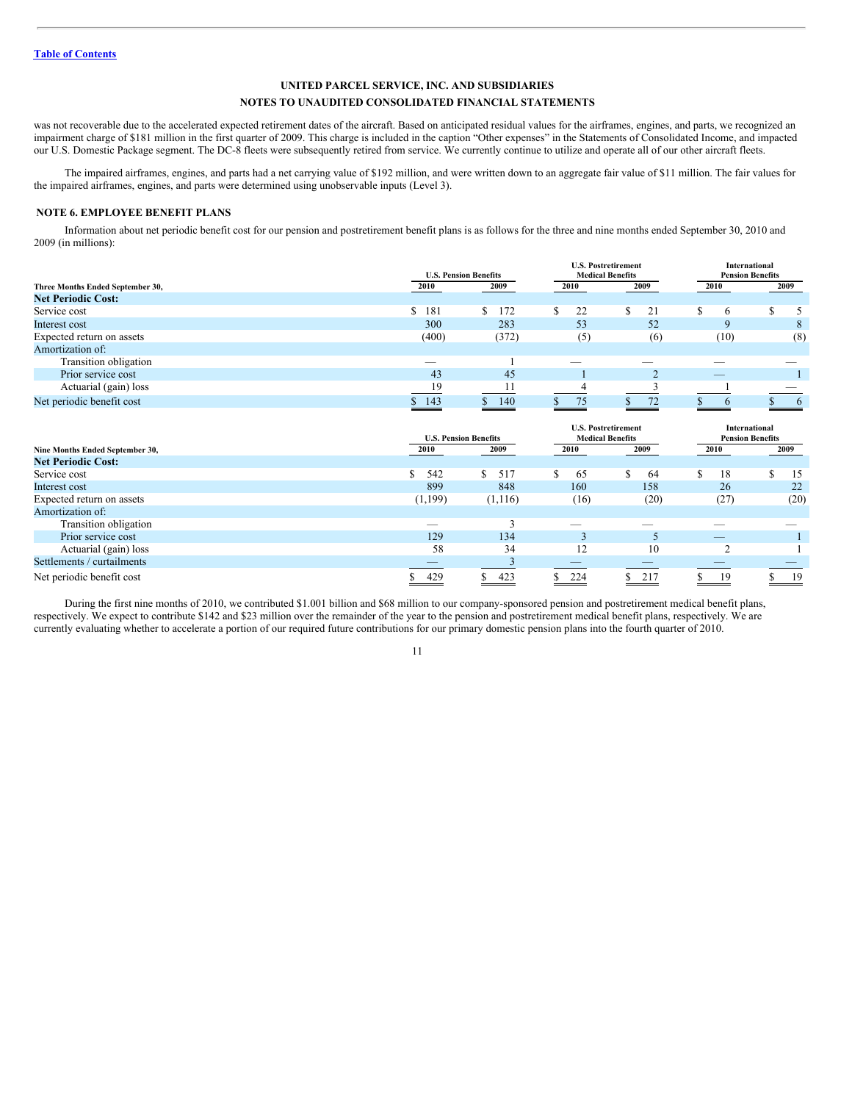# **UNITED PARCEL SERVICE, INC. AND SUBSIDIARIES**

### **NOTES TO UNAUDITED CONSOLIDATED FINANCIAL STATEMENTS**

was not recoverable due to the accelerated expected retirement dates of the aircraft. Based on anticipated residual values for the airframes, engines, and parts, we recognized an impairment charge of \$181 million in the first quarter of 2009. This charge is included in the caption "Other expenses" in the Statements of Consolidated Income, and impacted our U.S. Domestic Package segment. The DC-8 fleets were subsequently retired from service. We currently continue to utilize and operate all of our other aircraft fleets.

The impaired airframes, engines, and parts had a net carrying value of \$192 million, and were written down to an aggregate fair value of \$11 million. The fair values for the impaired airframes, engines, and parts were determined using unobservable inputs (Level 3).

# <span id="page-12-0"></span>**NOTE 6. EMPLOYEE BENEFIT PLANS**

Information about net periodic benefit cost for our pension and postretirement benefit plans is as follows for the three and nine months ended September 30, 2010 and 2009 (in millions):

|                                  |                          |                              | <b>U.S. Postretirement</b> |           | International           |          |
|----------------------------------|--------------------------|------------------------------|----------------------------|-----------|-------------------------|----------|
|                                  |                          | <b>U.S. Pension Benefits</b> | <b>Medical Benefits</b>    |           | <b>Pension Benefits</b> |          |
| Three Months Ended September 30, | 2010                     | 2009                         | 2010                       | 2009      | 2010                    | 2009     |
| <b>Net Periodic Cost:</b>        |                          |                              |                            |           |                         |          |
| Service cost                     | \$181                    | 172                          | 22                         | 21        | o                       |          |
| Interest cost                    | 300                      | 283                          | 53                         | 52        | Q                       | 8        |
| Expected return on assets        | (400)                    | (372)                        | (5)                        | (6)       | (10)                    | (8)      |
| Amortization of:                 |                          |                              |                            |           |                         |          |
| Transition obligation            | $\overline{\phantom{a}}$ |                              | $\sim$                     |           |                         |          |
| Prior service cost               | 43                       | 45                           |                            | $\bigcap$ | $-$                     |          |
| Actuarial (gain) loss            | 19                       | 11                           |                            |           |                         |          |
| Net periodic benefit cost        | \$143                    | 140                          | 75                         | 72        |                         | $\sigma$ |

|                                 |         | <b>U.S. Pension Benefits</b> | <b>U.S. Postretirement</b><br><b>Medical Benefits</b> |          | International<br><b>Pension Benefits</b> |      |
|---------------------------------|---------|------------------------------|-------------------------------------------------------|----------|------------------------------------------|------|
| Nine Months Ended September 30, | 2010    | 2009                         | 2010                                                  | 2009     | 2010                                     | 2009 |
| <b>Net Periodic Cost:</b>       |         |                              |                                                       |          |                                          |      |
| Service cost                    | 542     | 517                          | -65                                                   | S<br>-64 | 18                                       | 15   |
| Interest cost                   | 899     | 848                          | 160                                                   | 158      | 26                                       | 22   |
| Expected return on assets       | (1,199) | (1,116)                      | (16)                                                  | (20)     | (27)                                     | (20) |
| Amortization of:                |         |                              |                                                       |          |                                          |      |
| Transition obligation           | __      | c                            | _                                                     |          |                                          |      |
| Prior service cost              | 129     | 134                          |                                                       |          | _                                        |      |
| Actuarial (gain) loss           | 58      | 34                           | 12                                                    | 10       |                                          |      |
| Settlements / curtailments      | __      |                              |                                                       |          |                                          |      |
| Net periodic benefit cost       | 429     | 423                          | 224                                                   | 217      | 19                                       | 19   |

During the first nine months of 2010, we contributed \$1.001 billion and \$68 million to our company-sponsored pension and postretirement medical benefit plans, respectively. We expect to contribute \$142 and \$23 million over the remainder of the year to the pension and postretirement medical benefit plans, respectively. We are currently evaluating whether to accelerate a portion of our required future contributions for our primary domestic pension plans into the fourth quarter of 2010.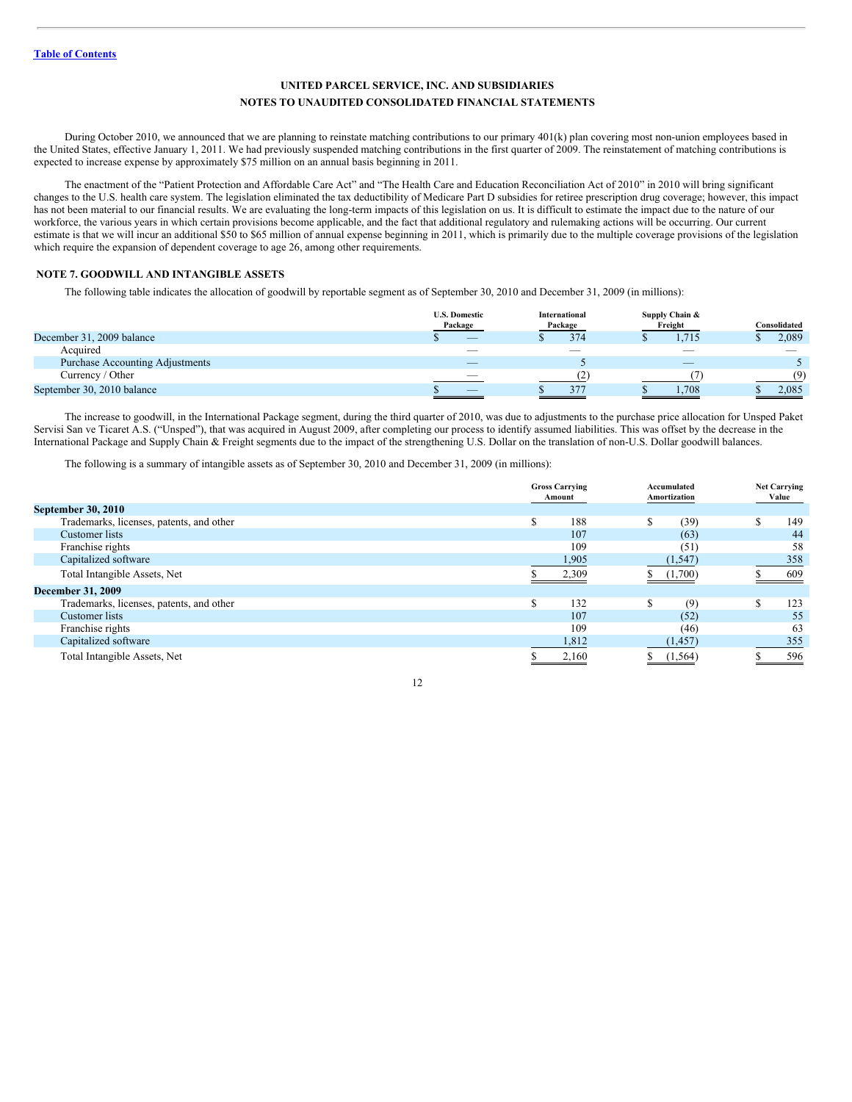During October 2010, we announced that we are planning to reinstate matching contributions to our primary 401(k) plan covering most non-union employees based in the United States, effective January 1, 2011. We had previously suspended matching contributions in the first quarter of 2009. The reinstatement of matching contributions is expected to increase expense by approximately \$75 million on an annual basis beginning in 2011.

The enactment of the "Patient Protection and Affordable Care Act" and "The Health Care and Education Reconciliation Act of 2010" in 2010 will bring significant changes to the U.S. health care system. The legislation eliminated the tax deductibility of Medicare Part D subsidies for retiree prescription drug coverage; however, this impact has not been material to our financial results. We are evaluating the long-term impacts of this legislation on us. It is difficult to estimate the impact due to the nature of our workforce, the various years in which certain provisions become applicable, and the fact that additional regulatory and rulemaking actions will be occurring. Our current estimate is that we will incur an additional \$50 to \$65 million of annual expense beginning in 2011, which is primarily due to the multiple coverage provisions of the legislation which require the expansion of dependent coverage to age 26, among other requirements.

### <span id="page-13-0"></span>**NOTE 7. GOODWILL AND INTANGIBLE ASSETS**

The following table indicates the allocation of goodwill by reportable segment as of September 30, 2010 and December 31, 2009 (in millions):

|                                        | <b>U.S. Domestic</b><br>Package | International<br>Package | Supply Chain &<br>Freight | Consolidated |
|----------------------------------------|---------------------------------|--------------------------|---------------------------|--------------|
| December 31, 2009 balance              | $\overline{\phantom{a}}$        | 374                      |                           | 2,089        |
| Acquired                               | --                              | _                        |                           |              |
| <b>Purchase Accounting Adjustments</b> | $\overline{\phantom{a}}$        |                          | _                         |              |
| Currency / Other                       | $\overline{\phantom{a}}$        |                          |                           | (9)          |
| September 30, 2010 balance             | $\overline{\phantom{a}}$        | 377                      | .708                      | 2.085        |

The increase to goodwill, in the International Package segment, during the third quarter of 2010, was due to adjustments to the purchase price allocation for Unsped Paket Servisi San ve Ticaret A.S. ("Unsped"), that was acquired in August 2009, after completing our process to identify assumed liabilities. This was offset by the decrease in the International Package and Supply Chain & Freight segments due to the impact of the strengthening U.S. Dollar on the translation of non-U.S. Dollar goodwill balances.

The following is a summary of intangible assets as of September 30, 2010 and December 31, 2009 (in millions):

|                                          | <b>Gross Carrying</b><br>Amount |       | Accumulated<br>Amortization | <b>Net Carrying</b><br>Value |
|------------------------------------------|---------------------------------|-------|-----------------------------|------------------------------|
| <b>September 30, 2010</b>                |                                 |       |                             |                              |
| Trademarks, licenses, patents, and other | \$                              | 188   | (39)                        | 149                          |
| Customer lists                           |                                 | 107   | (63)                        | 44                           |
| Franchise rights                         |                                 | 109   | (51)                        | 58                           |
| Capitalized software                     |                                 | 1,905 | (1, 547)                    | 358                          |
| Total Intangible Assets, Net             |                                 | 2,309 | (1,700)                     | 609                          |
| <b>December 31, 2009</b>                 |                                 |       |                             |                              |
| Trademarks, licenses, patents, and other | S                               | 132   | $\sigma$<br>(9)             | ሖ<br>123                     |
| Customer lists                           |                                 | 107   | (52)                        | 55                           |
| Franchise rights                         |                                 | 109   | (46)                        | 63                           |
| Capitalized software                     |                                 | 1,812 | (1, 457)                    | 355                          |
| Total Intangible Assets, Net             |                                 | 2,160 | (1, 564)                    | 596                          |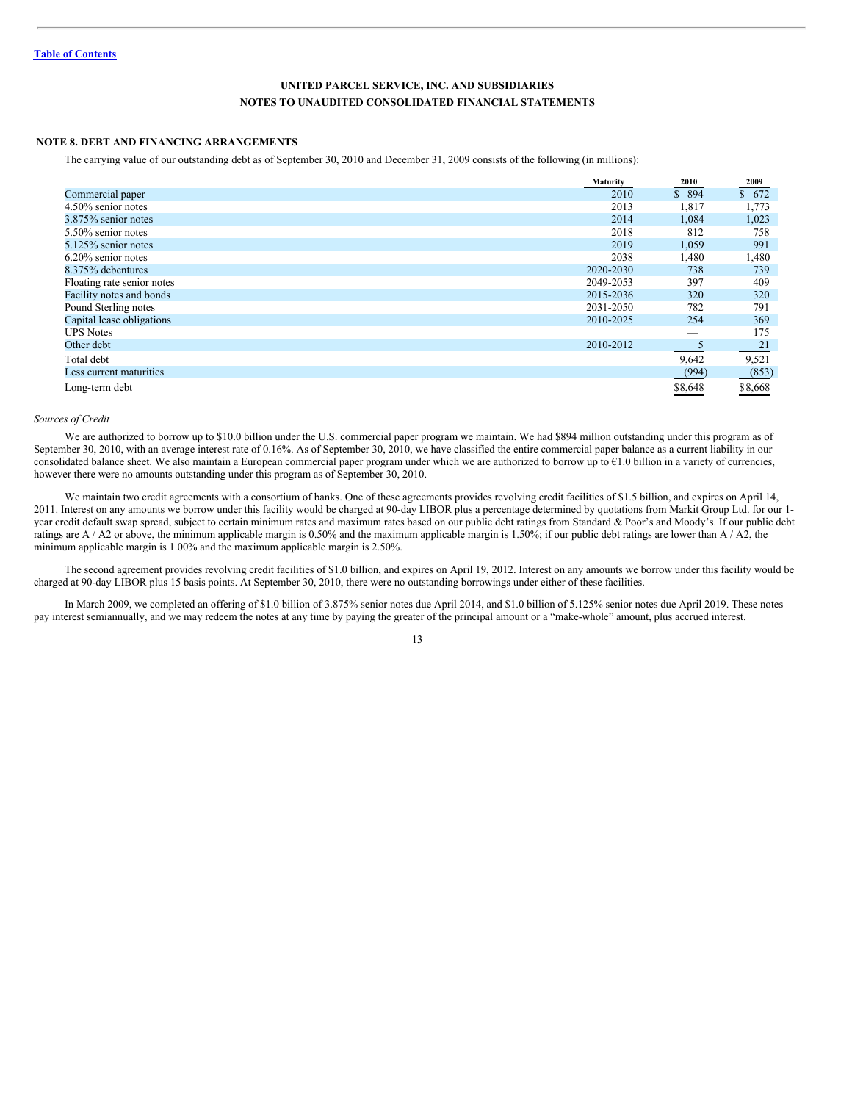# <span id="page-14-0"></span>**NOTE 8. DEBT AND FINANCING ARRANGEMENTS**

The carrying value of our outstanding debt as of September 30, 2010 and December 31, 2009 consists of the following (in millions):

|                            | <b>Maturity</b> | 2010    | 2009    |
|----------------------------|-----------------|---------|---------|
| Commercial paper           | 2010            | \$894   | \$672   |
| 4.50% senior notes         | 2013            | 1,817   | 1,773   |
| 3.875% senior notes        | 2014            | 1,084   | 1,023   |
| 5.50% senior notes         | 2018            | 812     | 758     |
| 5.125% senior notes        | 2019            | 1,059   | 991     |
| 6.20% senior notes         | 2038            | 1,480   | 1,480   |
| 8.375% debentures          | 2020-2030       | 738     | 739     |
| Floating rate senior notes | 2049-2053       | 397     | 409     |
| Facility notes and bonds   | 2015-2036       | 320     | 320     |
| Pound Sterling notes       | 2031-2050       | 782     | 791     |
| Capital lease obligations  | 2010-2025       | 254     | 369     |
| <b>UPS</b> Notes           |                 | _       | 175     |
| Other debt                 | 2010-2012       |         | 21      |
| Total debt                 |                 | 9,642   | 9,521   |
| Less current maturities    |                 | (994)   | (853)   |
| Long-term debt             |                 | \$8,648 | \$8,668 |

### *Sources of Credit*

We are authorized to borrow up to \$10.0 billion under the U.S. commercial paper program we maintain. We had \$894 million outstanding under this program as of September 30, 2010, with an average interest rate of 0.16%. As of September 30, 2010, we have classified the entire commercial paper balance as a current liability in our consolidated balance sheet. We also maintain a European commercial paper program under which we are authorized to borrow up to  $61.0$  billion in a variety of currencies, however there were no amounts outstanding under this program as of September 30, 2010.

We maintain two credit agreements with a consortium of banks. One of these agreements provides revolving credit facilities of \$1.5 billion, and expires on April 14, 2011. Interest on any amounts we borrow under this facility would be charged at 90-day LIBOR plus a percentage determined by quotations from Markit Group Ltd. for our 1 year credit default swap spread, subject to certain minimum rates and maximum rates based on our public debt ratings from Standard & Poor's and Moody's. If our public debt ratings are A / A2 or above, the minimum applicable margin is 0.50% and the maximum applicable margin is 1.50%; if our public debt ratings are lower than A / A2, the minimum applicable margin is 1.00% and the maximum applicable margin is 2.50%.

The second agreement provides revolving credit facilities of \$1.0 billion, and expires on April 19, 2012. Interest on any amounts we borrow under this facility would be charged at 90-day LIBOR plus 15 basis points. At September 30, 2010, there were no outstanding borrowings under either of these facilities.

In March 2009, we completed an offering of \$1.0 billion of 3.875% senior notes due April 2014, and \$1.0 billion of 5.125% senior notes due April 2019. These notes pay interest semiannually, and we may redeem the notes at any time by paying the greater of the principal amount or a "make-whole" amount, plus accrued interest.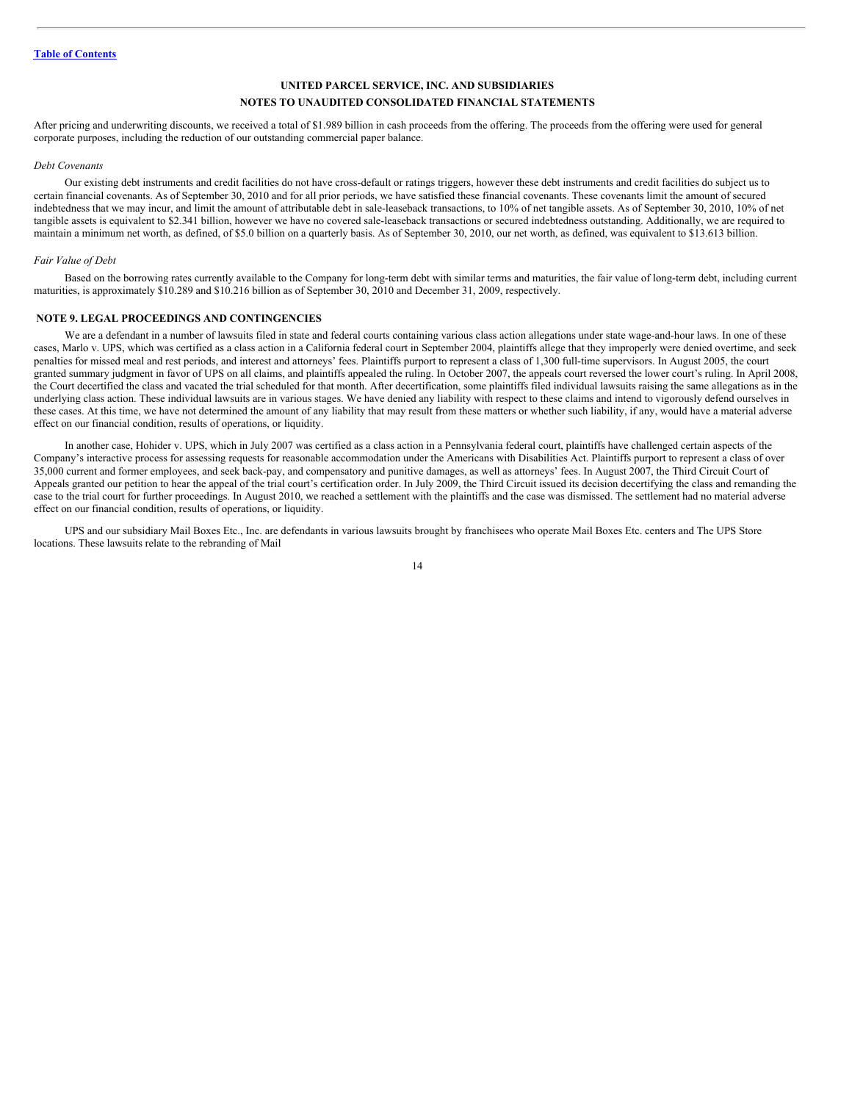After pricing and underwriting discounts, we received a total of \$1.989 billion in cash proceeds from the offering. The proceeds from the offering were used for general corporate purposes, including the reduction of our outstanding commercial paper balance.

#### *Debt Covenants*

Our existing debt instruments and credit facilities do not have cross-default or ratings triggers, however these debt instruments and credit facilities do subject us to certain financial covenants. As of September 30, 2010 and for all prior periods, we have satisfied these financial covenants. These covenants limit the amount of secured indebtedness that we may incur, and limit the amount of attributable debt in sale-leaseback transactions, to 10% of net tangible assets. As of September 30, 2010, 10% of net tangible assets is equivalent to \$2.341 billion, however we have no covered sale-leaseback transactions or secured indebtedness outstanding. Additionally, we are required to maintain a minimum net worth, as defined, of \$5.0 billion on a quarterly basis. As of September 30, 2010, our net worth, as defined, was equivalent to \$13.613 billion.

#### *Fair Value of Debt*

Based on the borrowing rates currently available to the Company for long-term debt with similar terms and maturities, the fair value of long-term debt, including current maturities, is approximately \$10.289 and \$10.216 billion as of September 30, 2010 and December 31, 2009, respectively.

#### <span id="page-15-0"></span>**NOTE 9. LEGAL PROCEEDINGS AND CONTINGENCIES**

We are a defendant in a number of lawsuits filed in state and federal courts containing various class action allegations under state wage-and-hour laws. In one of these cases, Marlo v. UPS, which was certified as a class action in a California federal court in September 2004, plaintiffs allege that they improperly were denied overtime, and seek penalties for missed meal and rest periods, and interest and attorneys' fees. Plaintiffs purport to represent a class of 1,300 full-time supervisors. In August 2005, the court granted summary judgment in favor of UPS on all claims, and plaintiffs appealed the ruling. In October 2007, the appeals court reversed the lower court's ruling. In April 2008, the Court decertified the class and vacated the trial scheduled for that month. After decertification, some plaintiffs filed individual lawsuits raising the same allegations as in the underlying class action. These individual lawsuits are in various stages. We have denied any liability with respect to these claims and intend to vigorously defend ourselves in these cases. At this time, we have not determined the amount of any liability that may result from these matters or whether such liability, if any, would have a material adverse effect on our financial condition, results of operations, or liquidity.

In another case, Hohider v. UPS, which in July 2007 was certified as a class action in a Pennsylvania federal court, plaintiffs have challenged certain aspects of the Company's interactive process for assessing requests for reasonable accommodation under the Americans with Disabilities Act. Plaintiffs purport to represent a class of over 35,000 current and former employees, and seek back-pay, and compensatory and punitive damages, as well as attorneys' fees. In August 2007, the Third Circuit Court of Appeals granted our petition to hear the appeal of the trial court's certification order. In July 2009, the Third Circuit issued its decision decertifying the class and remanding the case to the trial court for further proceedings. In August 2010, we reached a settlement with the plaintiffs and the case was dismissed. The settlement had no material adverse effect on our financial condition, results of operations, or liquidity.

UPS and our subsidiary Mail Boxes Etc., Inc. are defendants in various lawsuits brought by franchisees who operate Mail Boxes Etc. centers and The UPS Store locations. These lawsuits relate to the rebranding of Mail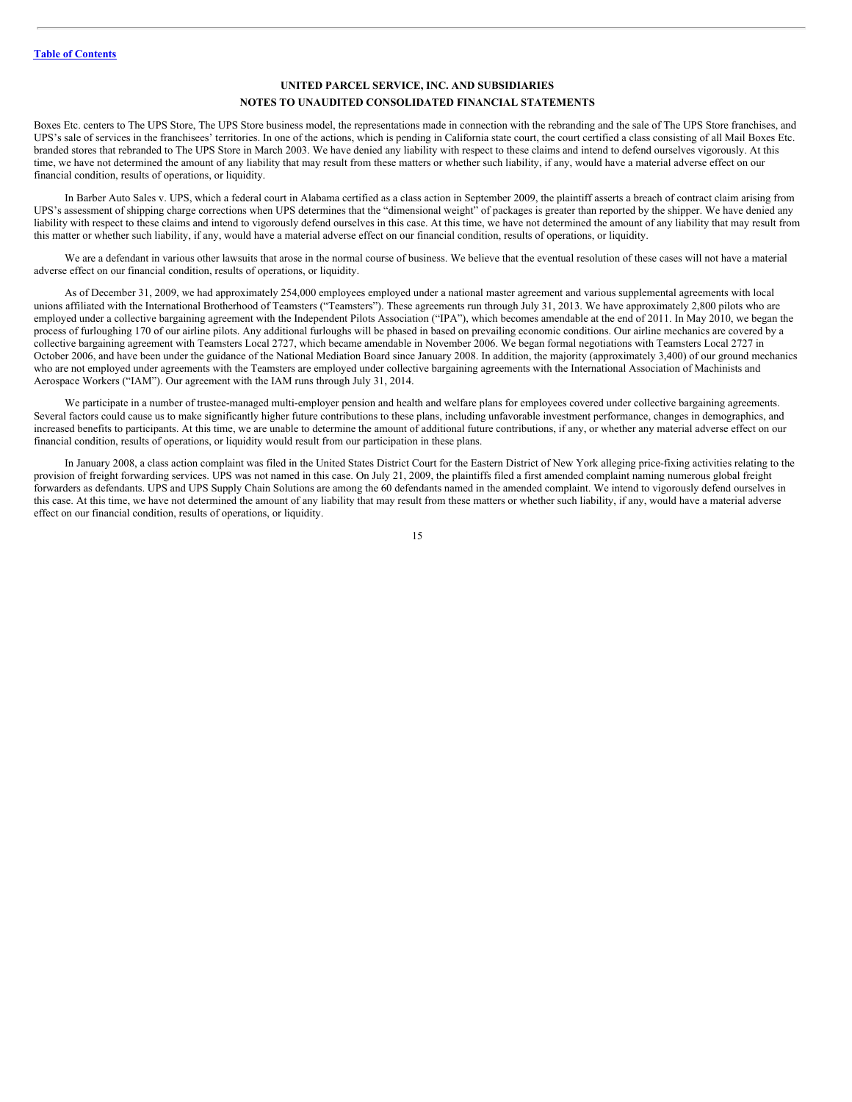Boxes Etc. centers to The UPS Store, The UPS Store business model, the representations made in connection with the rebranding and the sale of The UPS Store franchises, and UPS's sale of services in the franchisees' territories. In one of the actions, which is pending in California state court, the court certified a class consisting of all Mail Boxes Etc. branded stores that rebranded to The UPS Store in March 2003. We have denied any liability with respect to these claims and intend to defend ourselves vigorously. At this time, we have not determined the amount of any liability that may result from these matters or whether such liability, if any, would have a material adverse effect on our financial condition, results of operations, or liquidity.

In Barber Auto Sales v. UPS, which a federal court in Alabama certified as a class action in September 2009, the plaintiff asserts a breach of contract claim arising from UPS's assessment of shipping charge corrections when UPS determines that the "dimensional weight" of packages is greater than reported by the shipper. We have denied any liability with respect to these claims and intend to vigorously defend ourselves in this case. At this time, we have not determined the amount of any liability that may result from this matter or whether such liability, if any, would have a material adverse effect on our financial condition, results of operations, or liquidity.

We are a defendant in various other lawsuits that arose in the normal course of business. We believe that the eventual resolution of these cases will not have a material adverse effect on our financial condition, results of operations, or liquidity.

As of December 31, 2009, we had approximately 254,000 employees employed under a national master agreement and various supplemental agreements with local unions affiliated with the International Brotherhood of Teamsters ("Teamsters"). These agreements run through July 31, 2013. We have approximately 2,800 pilots who are employed under a collective bargaining agreement with the Independent Pilots Association ("IPA"), which becomes amendable at the end of 2011. In May 2010, we began the process of furloughing 170 of our airline pilots. Any additional furloughs will be phased in based on prevailing economic conditions. Our airline mechanics are covered by a collective bargaining agreement with Teamsters Local 2727, which became amendable in November 2006. We began formal negotiations with Teamsters Local 2727 in October 2006, and have been under the guidance of the National Mediation Board since January 2008. In addition, the majority (approximately 3,400) of our ground mechanics who are not employed under agreements with the Teamsters are employed under collective bargaining agreements with the International Association of Machinists and Aerospace Workers ("IAM"). Our agreement with the IAM runs through July 31, 2014.

We participate in a number of trustee-managed multi-employer pension and health and welfare plans for employees covered under collective bargaining agreements. Several factors could cause us to make significantly higher future contributions to these plans, including unfavorable investment performance, changes in demographics, and increased benefits to participants. At this time, we are unable to determine the amount of additional future contributions, if any, or whether any material adverse effect on our financial condition, results of operations, or liquidity would result from our participation in these plans.

In January 2008, a class action complaint was filed in the United States District Court for the Eastern District of New York alleging price-fixing activities relating to the provision of freight forwarding services. UPS was not named in this case. On July 21, 2009, the plaintiffs filed a first amended complaint naming numerous global freight forwarders as defendants. UPS and UPS Supply Chain Solutions are among the 60 defendants named in the amended complaint. We intend to vigorously defend ourselves in this case. At this time, we have not determined the amount of any liability that may result from these matters or whether such liability, if any, would have a material adverse effect on our financial condition, results of operations, or liquidity.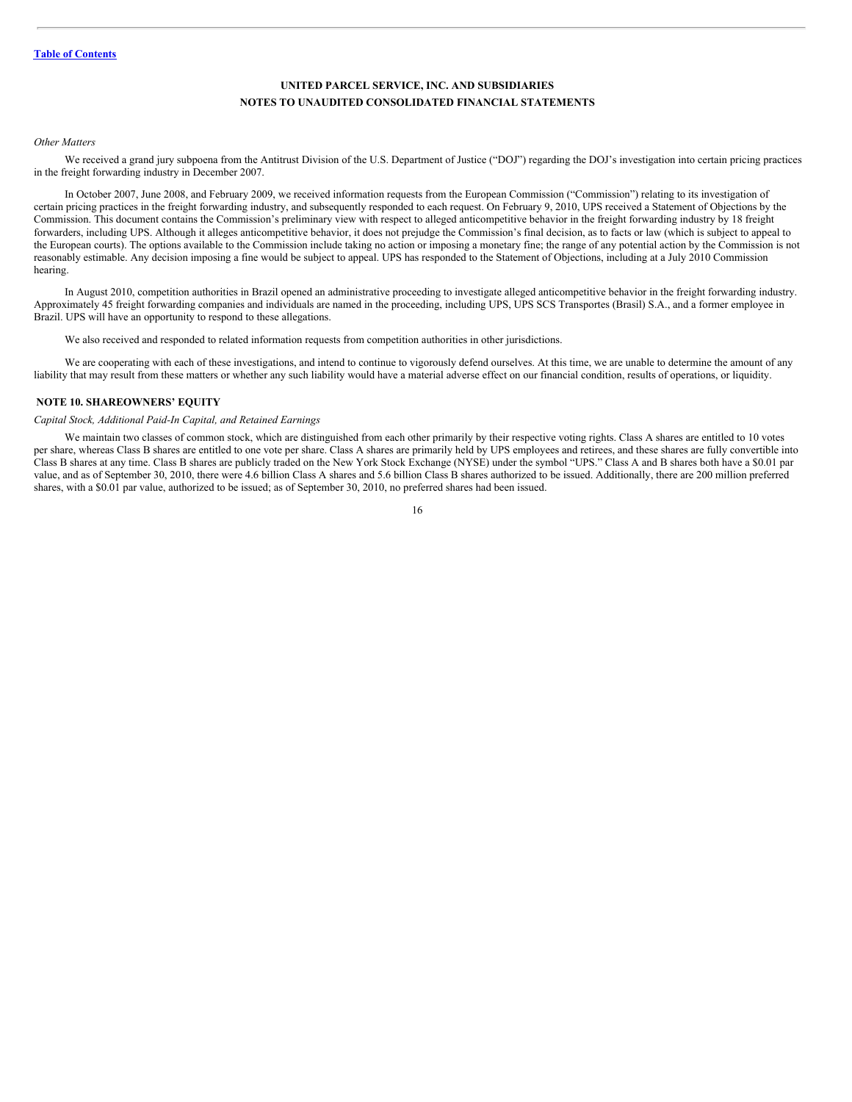#### *Other Matters*

We received a grand jury subpoena from the Antitrust Division of the U.S. Department of Justice ("DOJ") regarding the DOJ's investigation into certain pricing practices in the freight forwarding industry in December 2007.

In October 2007, June 2008, and February 2009, we received information requests from the European Commission ("Commission") relating to its investigation of certain pricing practices in the freight forwarding industry, and subsequently responded to each request. On February 9, 2010, UPS received a Statement of Objections by the Commission. This document contains the Commission's preliminary view with respect to alleged anticompetitive behavior in the freight forwarding industry by 18 freight forwarders, including UPS. Although it alleges anticompetitive behavior, it does not prejudge the Commission's final decision, as to facts or law (which is subject to appeal to the European courts). The options available to the Commission include taking no action or imposing a monetary fine; the range of any potential action by the Commission is not reasonably estimable. Any decision imposing a fine would be subject to appeal. UPS has responded to the Statement of Objections, including at a July 2010 Commission hearing.

In August 2010, competition authorities in Brazil opened an administrative proceeding to investigate alleged anticompetitive behavior in the freight forwarding industry. Approximately 45 freight forwarding companies and individuals are named in the proceeding, including UPS, UPS SCS Transportes (Brasil) S.A., and a former employee in Brazil. UPS will have an opportunity to respond to these allegations.

We also received and responded to related information requests from competition authorities in other jurisdictions.

We are cooperating with each of these investigations, and intend to continue to vigorously defend ourselves. At this time, we are unable to determine the amount of any liability that may result from these matters or whether any such liability would have a material adverse effect on our financial condition, results of operations, or liquidity.

### <span id="page-17-0"></span>**NOTE 10. SHAREOWNERS' EQUITY**

### *Capital Stock, Additional Paid-In Capital, and Retained Earnings*

We maintain two classes of common stock, which are distinguished from each other primarily by their respective voting rights. Class A shares are entitled to 10 votes per share, whereas Class B shares are entitled to one vote per share. Class A shares are primarily held by UPS employees and retirees, and these shares are fully convertible into Class B shares at any time. Class B shares are publicly traded on the New York Stock Exchange (NYSE) under the symbol "UPS." Class A and B shares both have a \$0.01 par value, and as of September 30, 2010, there were 4.6 billion Class A shares and 5.6 billion Class B shares authorized to be issued. Additionally, there are 200 million preferred shares, with a \$0.01 par value, authorized to be issued; as of September 30, 2010, no preferred shares had been issued.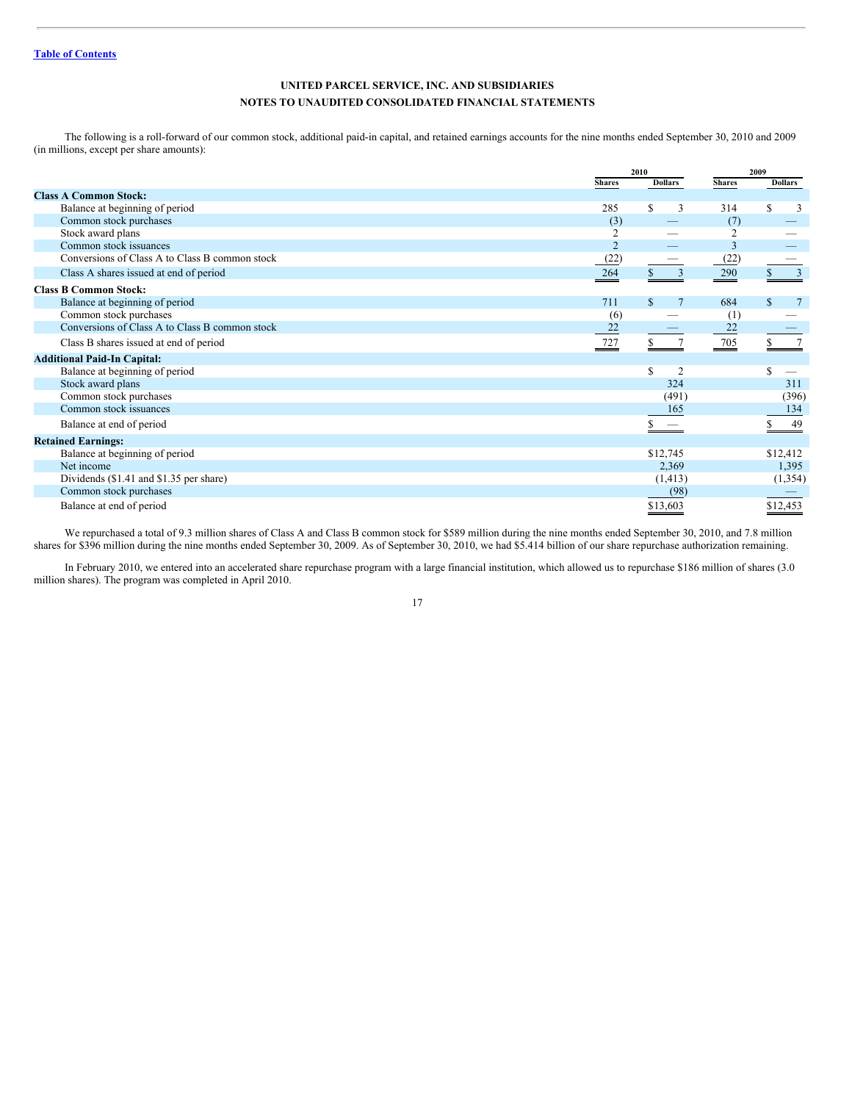The following is a roll-forward of our common stock, additional paid-in capital, and retained earnings accounts for the nine months ended September 30, 2010 and 2009 (in millions, except per share amounts):

|                                                | 2010           |                                 | 2009                 |                          |
|------------------------------------------------|----------------|---------------------------------|----------------------|--------------------------|
|                                                | <b>Shares</b>  | <b>Dollars</b>                  | <b>Shares</b>        | <b>Dollars</b>           |
| <b>Class A Common Stock:</b>                   |                |                                 |                      |                          |
| Balance at beginning of period                 | 285            | $\mathcal{S}$<br>3              | 314                  | \$<br>3                  |
| Common stock purchases                         | (3)            |                                 | (7)                  |                          |
| Stock award plans                              | 2              |                                 | 2                    |                          |
| Common stock issuances                         | $\overline{2}$ |                                 | 3                    |                          |
| Conversions of Class A to Class B common stock | (22)           |                                 | (22)                 |                          |
| Class A shares issued at end of period         | 264            | $\overline{\mathbf{3}}$         | 290<br>$\sim$ $\sim$ | $\overline{\phantom{a}}$ |
| <b>Class B Common Stock:</b>                   |                |                                 |                      |                          |
| Balance at beginning of period                 | 711            | $\overline{7}$<br><sup>\$</sup> | 684                  | $\mathcal{S}$            |
| Common stock purchases                         | (6)            |                                 | (1)                  |                          |
| Conversions of Class A to Class B common stock | 22             |                                 | 22                   |                          |
| Class B shares issued at end of period         | 727            |                                 | $\frac{705}{2}$      |                          |
| <b>Additional Paid-In Capital:</b>             |                |                                 |                      |                          |
| Balance at beginning of period                 |                | S<br>2                          |                      | \$                       |
| Stock award plans                              |                | 324                             |                      | 311                      |
| Common stock purchases                         |                | (491)                           |                      | (396)                    |
| Common stock issuances                         |                | 165                             |                      | 134                      |
| Balance at end of period                       |                |                                 |                      | 49                       |
| <b>Retained Earnings:</b>                      |                |                                 |                      |                          |
| Balance at beginning of period                 |                | \$12,745                        |                      | \$12,412                 |
| Net income                                     |                | 2,369                           |                      | 1,395                    |
| Dividends (\$1.41 and \$1.35 per share)        |                | (1, 413)                        |                      | (1,354)                  |
| Common stock purchases                         |                | (98)                            |                      |                          |
| Balance at end of period                       |                | \$13,603                        |                      | \$12,453                 |

We repurchased a total of 9.3 million shares of Class A and Class B common stock for \$589 million during the nine months ended September 30, 2010, and 7.8 million shares for \$396 million during the nine months ended September 30, 2009. As of September 30, 2010, we had \$5.414 billion of our share repurchase authorization remaining.

In February 2010, we entered into an accelerated share repurchase program with a large financial institution, which allowed us to repurchase \$186 million of shares (3.0 million shares). The program was completed in April 2010.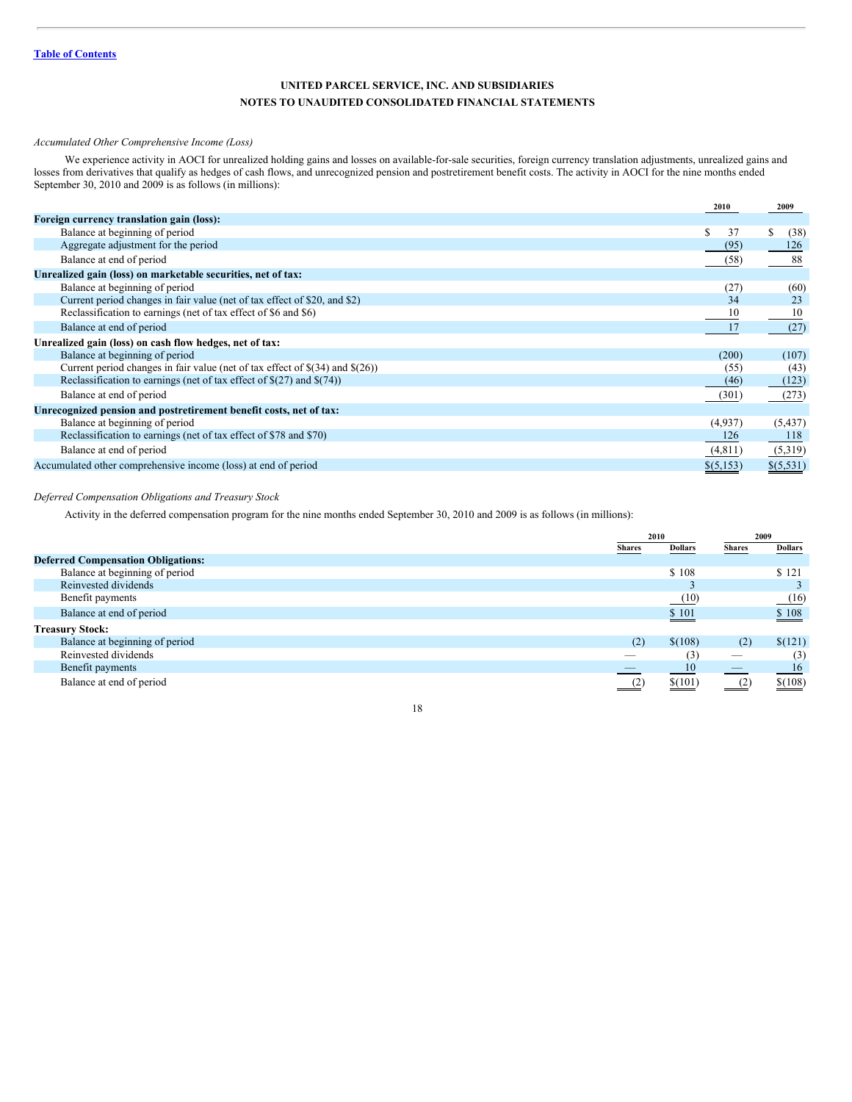# *Accumulated Other Comprehensive Income (Loss)*

We experience activity in AOCI for unrealized holding gains and losses on available-for-sale securities, foreign currency translation adjustments, unrealized gains and losses from derivatives that qualify as hedges of cash flows, and unrecognized pension and postretirement benefit costs. The activity in AOCI for the nine months ended September 30, 2010 and 2009 is as follows (in millions):

|                                                                                    | 2010      | 2009      |
|------------------------------------------------------------------------------------|-----------|-----------|
| Foreign currency translation gain (loss):                                          |           |           |
| Balance at beginning of period                                                     | 37<br>ъ   | S<br>(38) |
| Aggregate adjustment for the period                                                | (95)      | 126       |
| Balance at end of period                                                           | (58)      | 88        |
| Unrealized gain (loss) on marketable securities, net of tax:                       |           |           |
| Balance at beginning of period                                                     | (27)      | (60)      |
| Current period changes in fair value (net of tax effect of \$20, and \$2)          | 34        | 23        |
| Reclassification to earnings (net of tax effect of \$6 and \$6)                    | 10        | 10        |
| Balance at end of period                                                           | 17        | (27)      |
| Unrealized gain (loss) on cash flow hedges, net of tax:                            |           |           |
| Balance at beginning of period                                                     | (200)     | (107)     |
| Current period changes in fair value (net of tax effect of $\S(34)$ and $\S(26)$ ) | (55)      | (43)      |
| Reclassification to earnings (net of tax effect of $\S(27)$ and $\S(74)$ )         | (46)      | (123)     |
| Balance at end of period                                                           | (301)     | (273)     |
| Unrecognized pension and postretirement benefit costs, net of tax:                 |           |           |
| Balance at beginning of period                                                     | (4,937)   | (5, 437)  |
| Reclassification to earnings (net of tax effect of \$78 and \$70)                  | 126       | 118       |
| Balance at end of period                                                           | (4, 811)  | (5,319)   |
| Accumulated other comprehensive income (loss) at end of period                     | \$(5,153) | \$(5,531) |

# *Deferred Compensation Obligations and Treasury Stock*

Activity in the deferred compensation program for the nine months ended September 30, 2010 and 2009 is as follows (in millions):

|                                           |               | 2010           |                          | 2009           |
|-------------------------------------------|---------------|----------------|--------------------------|----------------|
|                                           | <b>Shares</b> | <b>Dollars</b> | <b>Shares</b>            | <b>Dollars</b> |
| <b>Deferred Compensation Obligations:</b> |               |                |                          |                |
| Balance at beginning of period            |               | \$108          |                          | \$121          |
| Reinvested dividends                      |               |                |                          |                |
| Benefit payments                          |               | (10)           |                          | (16)           |
| Balance at end of period                  |               | \$101          |                          | \$108          |
| <b>Treasury Stock:</b>                    |               |                |                          |                |
| Balance at beginning of period            | (2)           | \$(108)        | (2)                      | \$(121)        |
| Reinvested dividends                      |               | (3)            | $-$                      | (3)            |
| Benefit payments                          |               | 10             | $\overline{\phantom{0}}$ | 16             |
| Balance at end of period                  |               | \$(101)        |                          | \$(108)        |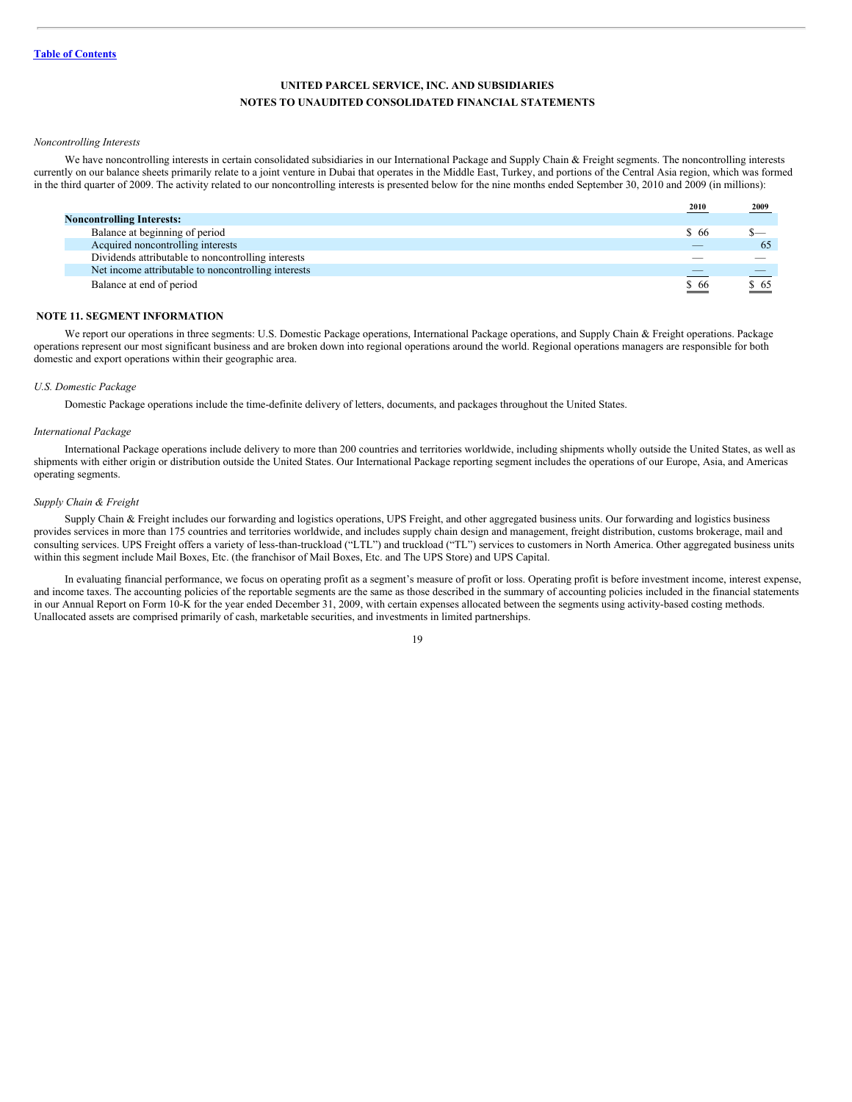### *Noncontrolling Interests*

We have noncontrolling interests in certain consolidated subsidiaries in our International Package and Supply Chain & Freight segments. The noncontrolling interests currently on our balance sheets primarily relate to a joint venture in Dubai that operates in the Middle East, Turkey, and portions of the Central Asia region, which was formed in the third quarter of 2009. The activity related to our noncontrolling interests is presented below for the nine months ended September 30, 2010 and 2009 (in millions):

|                                                     | 2010                | 2009 |
|-----------------------------------------------------|---------------------|------|
| <b>Noncontrolling Interests:</b>                    |                     |      |
| Balance at beginning of period                      | \$66                |      |
| Acquired noncontrolling interests                   |                     | 65   |
| Dividends attributable to noncontrolling interests  |                     |      |
| Net income attributable to noncontrolling interests |                     |      |
| Balance at end of period                            | $\underline{\$ 66}$ | 65   |

### <span id="page-20-0"></span>**NOTE 11. SEGMENT INFORMATION**

We report our operations in three segments: U.S. Domestic Package operations, International Package operations, and Supply Chain & Freight operations. Package operations represent our most significant business and are broken down into regional operations around the world. Regional operations managers are responsible for both domestic and export operations within their geographic area.

#### *U.S. Domestic Package*

Domestic Package operations include the time-definite delivery of letters, documents, and packages throughout the United States.

#### *International Package*

International Package operations include delivery to more than 200 countries and territories worldwide, including shipments wholly outside the United States, as well as shipments with either origin or distribution outside the United States. Our International Package reporting segment includes the operations of our Europe, Asia, and Americas operating segments.

#### *Supply Chain & Freight*

Supply Chain & Freight includes our forwarding and logistics operations, UPS Freight, and other aggregated business units. Our forwarding and logistics business provides services in more than 175 countries and territories worldwide, and includes supply chain design and management, freight distribution, customs brokerage, mail and consulting services. UPS Freight offers a variety of less-than-truckload ("LTL") and truckload ("TL") services to customers in North America. Other aggregated business units within this segment include Mail Boxes, Etc. (the franchisor of Mail Boxes, Etc. and The UPS Store) and UPS Capital.

In evaluating financial performance, we focus on operating profit as a segment's measure of profit or loss. Operating profit is before investment income, interest expense, and income taxes. The accounting policies of the reportable segments are the same as those described in the summary of accounting policies included in the financial statements in our Annual Report on Form 10-K for the year ended December 31, 2009, with certain expenses allocated between the segments using activity-based costing methods. Unallocated assets are comprised primarily of cash, marketable securities, and investments in limited partnerships.

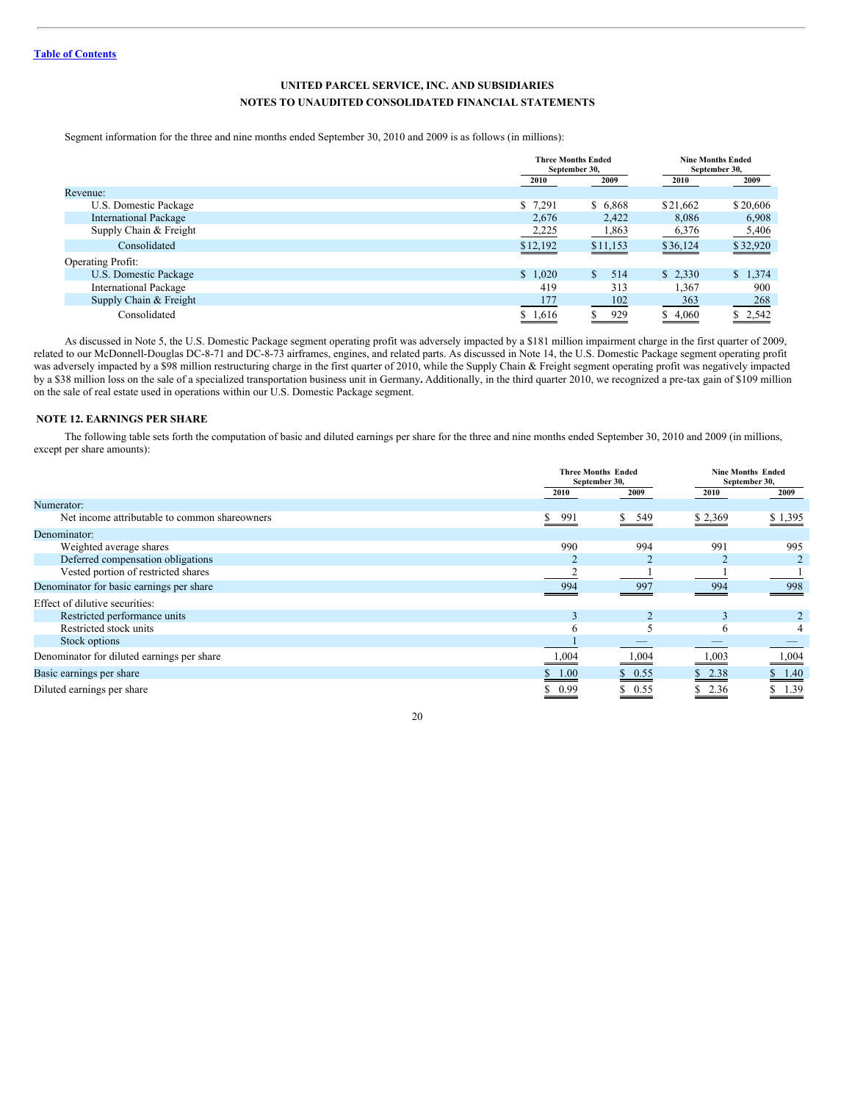Segment information for the three and nine months ended September 30, 2010 and 2009 is as follows (in millions):

|                              |          | <b>Three Months Ended</b><br>September 30, |          | <b>Nine Months Ended</b><br>September 30, |  |
|------------------------------|----------|--------------------------------------------|----------|-------------------------------------------|--|
|                              | 2010     | 2009                                       | 2010     | 2009                                      |  |
| Revenue:                     |          |                                            |          |                                           |  |
| U.S. Domestic Package        | \$7,291  | \$6,868                                    | \$21,662 | \$20,606                                  |  |
| <b>International Package</b> | 2,676    | 2,422                                      | 8,086    | 6,908                                     |  |
| Supply Chain & Freight       | 2,225    | 1,863                                      | 6,376    | 5,406                                     |  |
| Consolidated                 | \$12,192 | \$11,153                                   | \$36,124 | \$32,920                                  |  |
| <b>Operating Profit:</b>     |          |                                            |          |                                           |  |
| U.S. Domestic Package        | \$1,020  | \$<br>514                                  | \$2,330  | \$1,374                                   |  |
| <b>International Package</b> | 419      | 313                                        | 1,367    | 900                                       |  |
| Supply Chain & Freight       | 177      | 102                                        | 363      | 268                                       |  |
| Consolidated                 | \$1,616  | 929                                        | \$4,060  | \$2,542                                   |  |

As discussed in Note 5, the U.S. Domestic Package segment operating profit was adversely impacted by a \$181 million impairment charge in the first quarter of 2009, related to our McDonnell-Douglas DC-8-71 and DC-8-73 airframes, engines, and related parts. As discussed in Note 14, the U.S. Domestic Package segment operating profit was adversely impacted by a \$98 million restructuring charge in the first quarter of 2010, while the Supply Chain & Freight segment operating profit was negatively impacted by a \$38 million loss on the sale of a specialized transportation business unit in Germany**.** Additionally, in the third quarter 2010, we recognized a pre-tax gain of \$109 million on the sale of real estate used in operations within our U.S. Domestic Package segment.

### <span id="page-21-0"></span>**NOTE 12. EARNINGS PER SHARE**

The following table sets forth the computation of basic and diluted earnings per share for the three and nine months ended September 30, 2010 and 2009 (in millions, except per share amounts):

|                                               |                | <b>Three Months Ended</b><br>September 30, |              | <b>Nine Months Ended</b><br>September 30, |  |
|-----------------------------------------------|----------------|--------------------------------------------|--------------|-------------------------------------------|--|
|                                               | 2010           | 2009                                       | 2010         | 2009                                      |  |
| Numerator:                                    |                |                                            |              |                                           |  |
| Net income attributable to common shareowners | \$991          | \$549                                      | \$2,369      | \$1,395                                   |  |
| Denominator:                                  |                |                                            |              |                                           |  |
| Weighted average shares                       | 990            | 994                                        | 991          | 995                                       |  |
| Deferred compensation obligations             | $\overline{c}$ |                                            |              |                                           |  |
| Vested portion of restricted shares           |                |                                            |              |                                           |  |
| Denominator for basic earnings per share      | 994            | 997                                        | 994          | 998                                       |  |
| Effect of dilutive securities:                |                |                                            |              |                                           |  |
| Restricted performance units                  | 3              | $\overline{2}$                             | 3            |                                           |  |
| Restricted stock units                        | 6              | 5                                          | <sub>6</sub> | 4                                         |  |
| Stock options                                 |                |                                            |              |                                           |  |
| Denominator for diluted earnings per share    | 1,004          | 1,004                                      | 1,003        | 1,004                                     |  |
| Basic earnings per share                      | 1.00           | \$0.55                                     | 2.38         | 1.40                                      |  |
| Diluted earnings per share                    | 0.99           | \$0.55                                     | 2.36         | \$1.39                                    |  |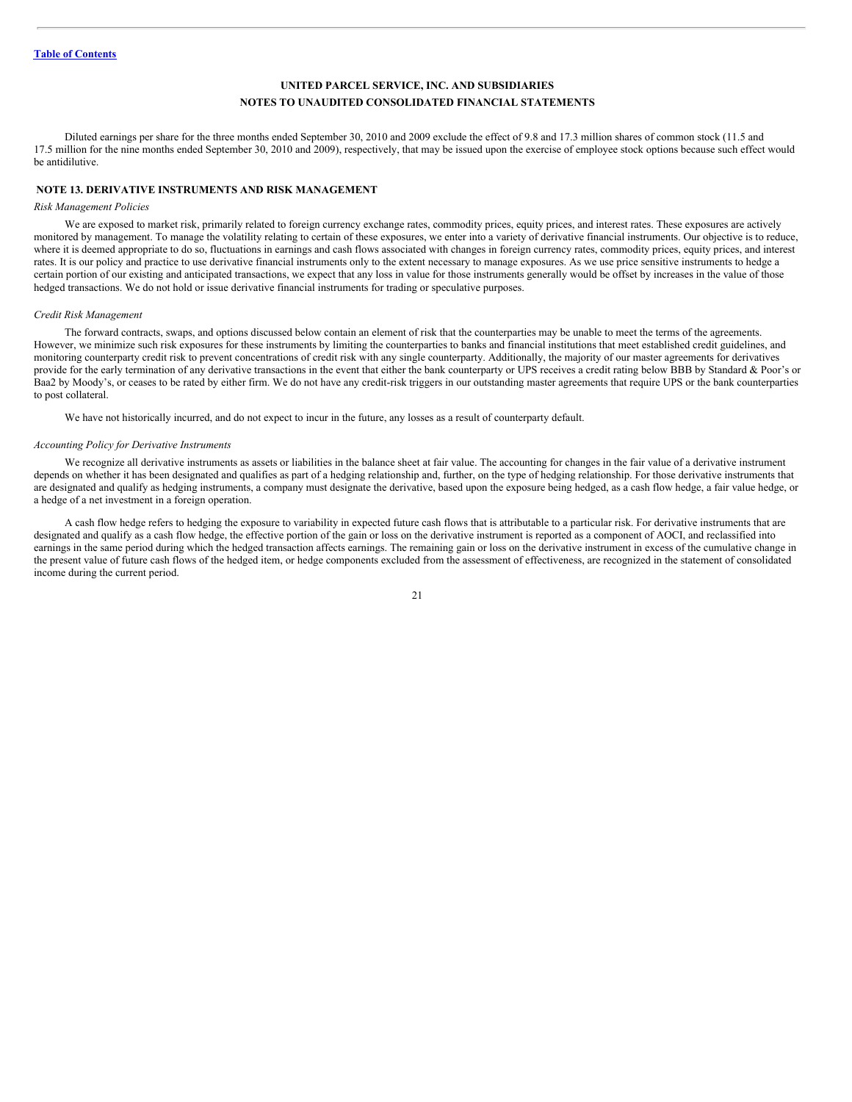Diluted earnings per share for the three months ended September 30, 2010 and 2009 exclude the effect of 9.8 and 17.3 million shares of common stock (11.5 and 17.5 million for the nine months ended September 30, 2010 and 2009), respectively, that may be issued upon the exercise of employee stock options because such effect would be antidilutive.

### <span id="page-22-0"></span>**NOTE 13. DERIVATIVE INSTRUMENTS AND RISK MANAGEMENT**

#### *Risk Management Policies*

We are exposed to market risk, primarily related to foreign currency exchange rates, commodity prices, equity prices, and interest rates. These exposures are actively monitored by management. To manage the volatility relating to certain of these exposures, we enter into a variety of derivative financial instruments. Our objective is to reduce, where it is deemed appropriate to do so, fluctuations in earnings and cash flows associated with changes in foreign currency rates, commodity prices, equity prices, and interest rates. It is our policy and practice to use derivative financial instruments only to the extent necessary to manage exposures. As we use price sensitive instruments to hedge a certain portion of our existing and anticipated transactions, we expect that any loss in value for those instruments generally would be offset by increases in the value of those hedged transactions. We do not hold or issue derivative financial instruments for trading or speculative purposes.

#### *Credit Risk Management*

The forward contracts, swaps, and options discussed below contain an element of risk that the counterparties may be unable to meet the terms of the agreements. However, we minimize such risk exposures for these instruments by limiting the counterparties to banks and financial institutions that meet established credit guidelines, and monitoring counterparty credit risk to prevent concentrations of credit risk with any single counterparty. Additionally, the majority of our master agreements for derivatives provide for the early termination of any derivative transactions in the event that either the bank counterparty or UPS receives a credit rating below BBB by Standard & Poor's or Baa2 by Moody's, or ceases to be rated by either firm. We do not have any credit-risk triggers in our outstanding master agreements that require UPS or the bank counterparties to post collateral.

We have not historically incurred, and do not expect to incur in the future, any losses as a result of counterparty default.

#### *Accounting Policy for Derivative Instruments*

We recognize all derivative instruments as assets or liabilities in the balance sheet at fair value. The accounting for changes in the fair value of a derivative instrument depends on whether it has been designated and qualifies as part of a hedging relationship and, further, on the type of hedging relationship. For those derivative instruments that are designated and qualify as hedging instruments, a company must designate the derivative, based upon the exposure being hedged, as a cash flow hedge, a fair value hedge, or a hedge of a net investment in a foreign operation.

A cash flow hedge refers to hedging the exposure to variability in expected future cash flows that is attributable to a particular risk. For derivative instruments that are designated and qualify as a cash flow hedge, the effective portion of the gain or loss on the derivative instrument is reported as a component of AOCI, and reclassified into earnings in the same period during which the hedged transaction affects earnings. The remaining gain or loss on the derivative instrument in excess of the cumulative change in the present value of future cash flows of the hedged item, or hedge components excluded from the assessment of effectiveness, are recognized in the statement of consolidated income during the current period.

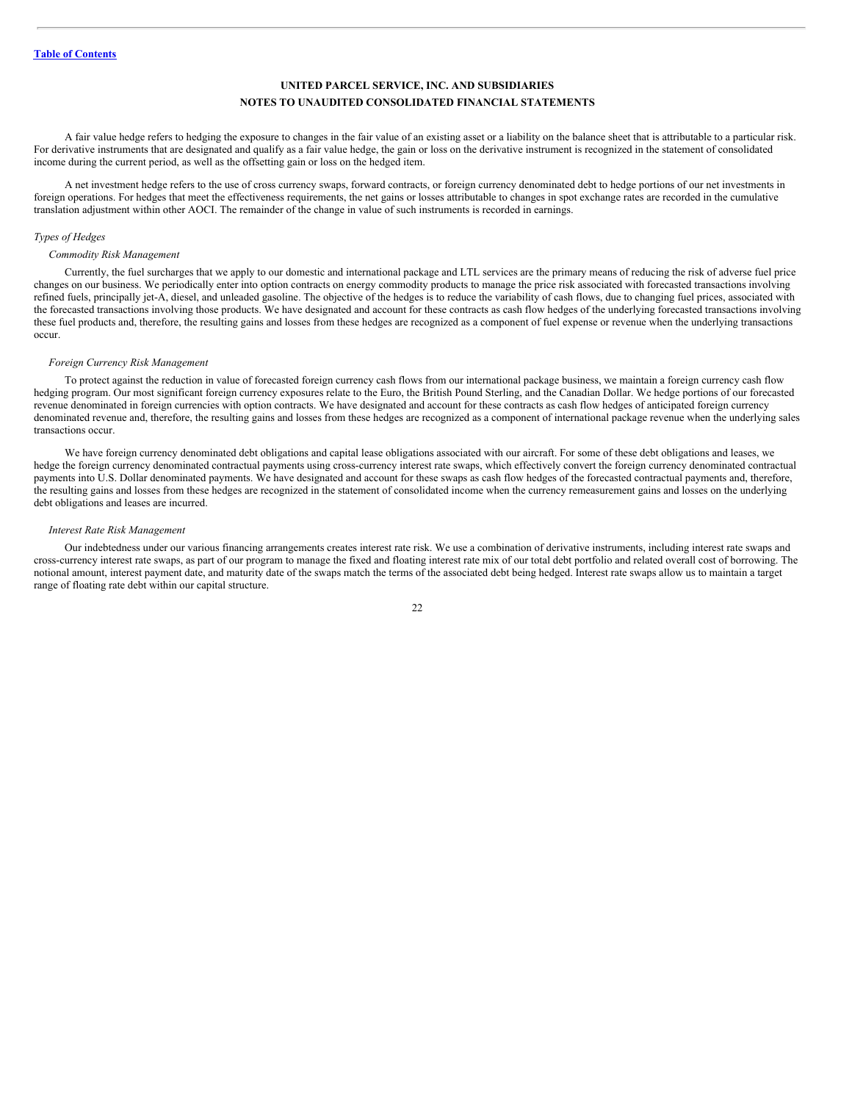A fair value hedge refers to hedging the exposure to changes in the fair value of an existing asset or a liability on the balance sheet that is attributable to a particular risk. For derivative instruments that are designated and qualify as a fair value hedge, the gain or loss on the derivative instrument is recognized in the statement of consolidated income during the current period, as well as the offsetting gain or loss on the hedged item.

A net investment hedge refers to the use of cross currency swaps, forward contracts, or foreign currency denominated debt to hedge portions of our net investments in foreign operations. For hedges that meet the effectiveness requirements, the net gains or losses attributable to changes in spot exchange rates are recorded in the cumulative translation adjustment within other AOCI. The remainder of the change in value of such instruments is recorded in earnings.

#### *Types of Hedges*

#### *Commodity Risk Management*

Currently, the fuel surcharges that we apply to our domestic and international package and LTL services are the primary means of reducing the risk of adverse fuel price changes on our business. We periodically enter into option contracts on energy commodity products to manage the price risk associated with forecasted transactions involving refined fuels, principally jet-A, diesel, and unleaded gasoline. The objective of the hedges is to reduce the variability of cash flows, due to changing fuel prices, associated with the forecasted transactions involving those products. We have designated and account for these contracts as cash flow hedges of the underlying forecasted transactions involving these fuel products and, therefore, the resulting gains and losses from these hedges are recognized as a component of fuel expense or revenue when the underlying transactions occur.

#### *Foreign Currency Risk Management*

To protect against the reduction in value of forecasted foreign currency cash flows from our international package business, we maintain a foreign currency cash flow hedging program. Our most significant foreign currency exposures relate to the Euro, the British Pound Sterling, and the Canadian Dollar. We hedge portions of our forecasted revenue denominated in foreign currencies with option contracts. We have designated and account for these contracts as cash flow hedges of anticipated foreign currency denominated revenue and, therefore, the resulting gains and losses from these hedges are recognized as a component of international package revenue when the underlying sales transactions occur.

We have foreign currency denominated debt obligations and capital lease obligations associated with our aircraft. For some of these debt obligations and leases, we hedge the foreign currency denominated contractual payments using cross-currency interest rate swaps, which effectively convert the foreign currency denominated contractual payments into U.S. Dollar denominated payments. We have designated and account for these swaps as cash flow hedges of the forecasted contractual payments and, therefore, the resulting gains and losses from these hedges are recognized in the statement of consolidated income when the currency remeasurement gains and losses on the underlying debt obligations and leases are incurred.

#### *Interest Rate Risk Management*

Our indebtedness under our various financing arrangements creates interest rate risk. We use a combination of derivative instruments, including interest rate swaps and cross-currency interest rate swaps, as part of our program to manage the fixed and floating interest rate mix of our total debt portfolio and related overall cost of borrowing. The notional amount, interest payment date, and maturity date of the swaps match the terms of the associated debt being hedged. Interest rate swaps allow us to maintain a target range of floating rate debt within our capital structure.

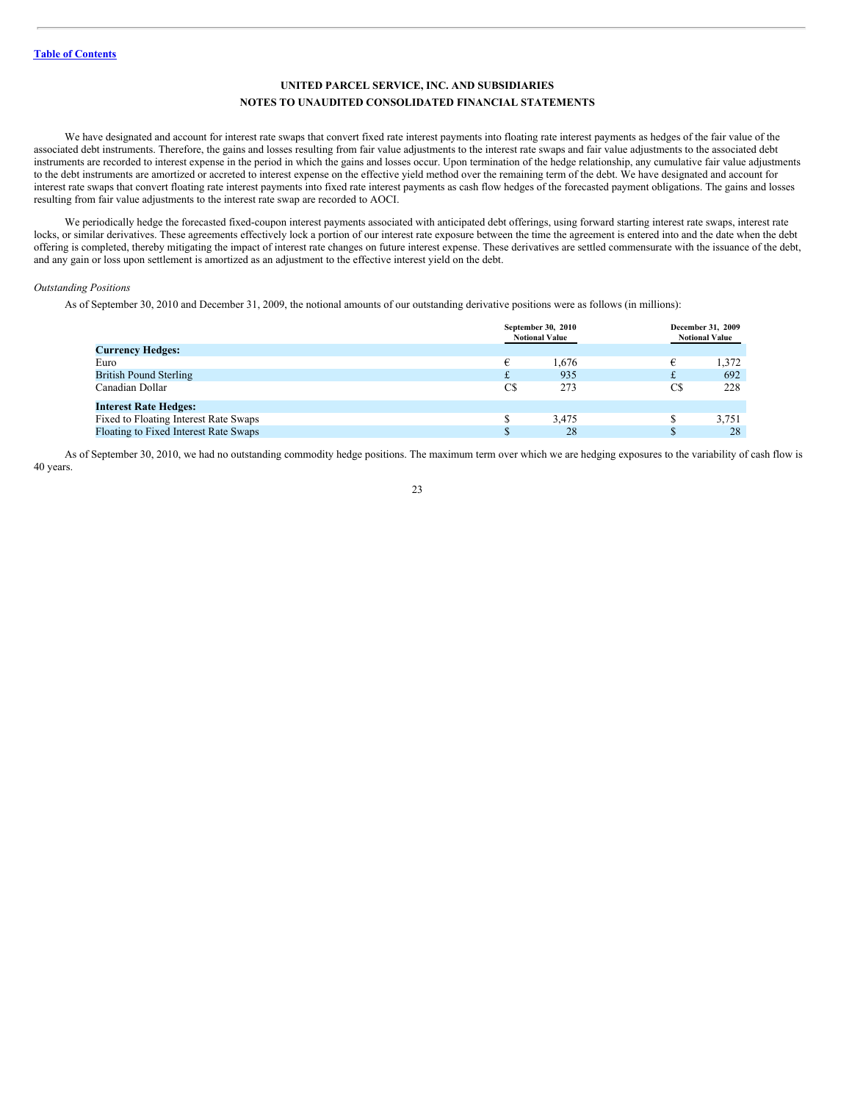We have designated and account for interest rate swaps that convert fixed rate interest payments into floating rate interest payments as hedges of the fair value of the associated debt instruments. Therefore, the gains and losses resulting from fair value adjustments to the interest rate swaps and fair value adjustments to the associated debt instruments are recorded to interest expense in the period in which the gains and losses occur. Upon termination of the hedge relationship, any cumulative fair value adjustments to the debt instruments are amortized or accreted to interest expense on the effective yield method over the remaining term of the debt. We have designated and account for interest rate swaps that convert floating rate interest payments into fixed rate interest payments as cash flow hedges of the forecasted payment obligations. The gains and losses resulting from fair value adjustments to the interest rate swap are recorded to AOCI.

We periodically hedge the forecasted fixed-coupon interest payments associated with anticipated debt offerings, using forward starting interest rate swaps, interest rate locks, or similar derivatives. These agreements effectively lock a portion of our interest rate exposure between the time the agreement is entered into and the date when the debt offering is completed, thereby mitigating the impact of interest rate changes on future interest expense. These derivatives are settled commensurate with the issuance of the debt, and any gain or loss upon settlement is amortized as an adjustment to the effective interest yield on the debt.

#### *Outstanding Positions*

As of September 30, 2010 and December 31, 2009, the notional amounts of our outstanding derivative positions were as follows (in millions):

|                                       | September 30, 2010<br><b>Notional Value</b> |       |  | December 31, 2009<br><b>Notional Value</b> |       |  |
|---------------------------------------|---------------------------------------------|-------|--|--------------------------------------------|-------|--|
| <b>Currency Hedges:</b>               |                                             |       |  |                                            |       |  |
| Euro                                  | €                                           | 1.676 |  | €                                          | 1.372 |  |
| <b>British Pound Sterling</b>         | ىد                                          | 935   |  | t                                          | 692   |  |
| Canadian Dollar                       | $\mathbf{C}$                                | 273   |  | C\$                                        | 228   |  |
| <b>Interest Rate Hedges:</b>          |                                             |       |  |                                            |       |  |
| Fixed to Floating Interest Rate Swaps |                                             | 3.475 |  |                                            | 3,751 |  |
| Floating to Fixed Interest Rate Swaps |                                             | 28    |  |                                            | 28    |  |

As of September 30, 2010, we had no outstanding commodity hedge positions. The maximum term over which we are hedging exposures to the variability of cash flow is 40 years.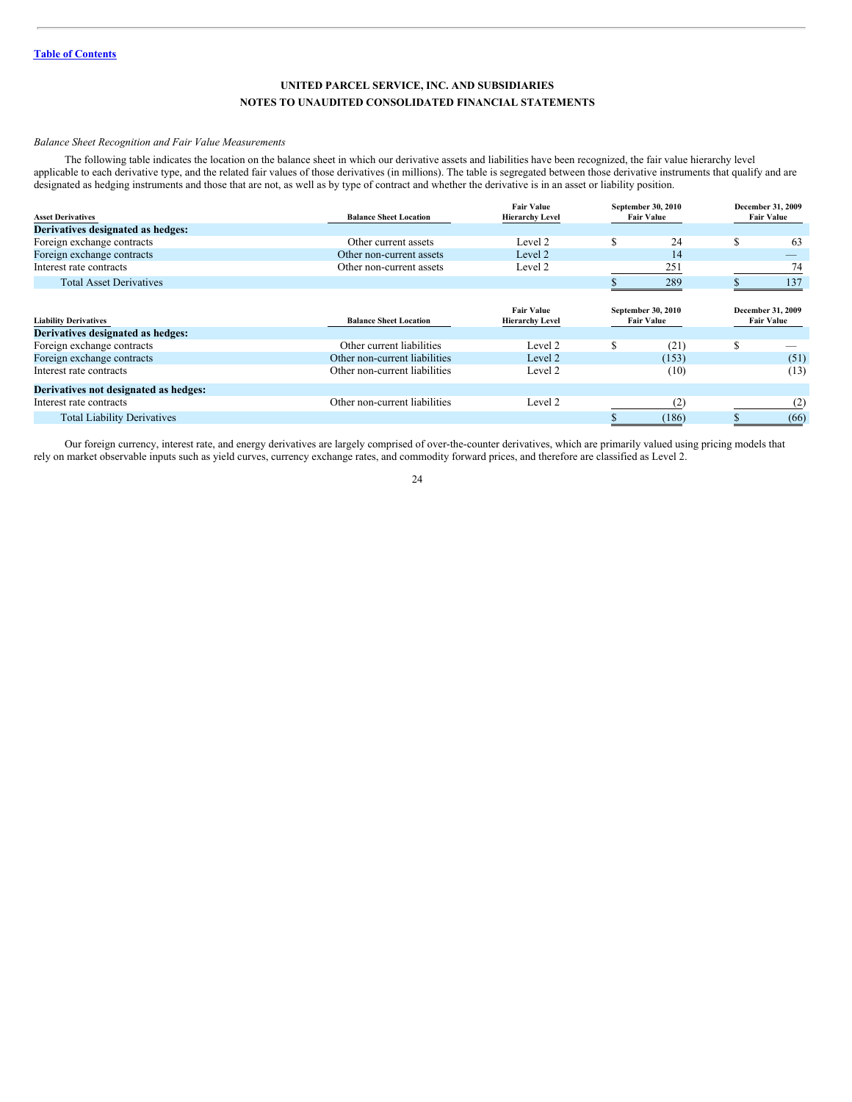#### *Balance Sheet Recognition and Fair Value Measurements*

The following table indicates the location on the balance sheet in which our derivative assets and liabilities have been recognized, the fair value hierarchy level applicable to each derivative type, and the related fair values of those derivatives (in millions). The table is segregated between those derivative instruments that qualify and are designated as hedging instruments and those that are not, as well as by type of contract and whether the derivative is in an asset or liability position.

|                                       |                               | <b>Fair Value</b>                           |   | September 30, 2010                      | December 31, 2009 |                                        |
|---------------------------------------|-------------------------------|---------------------------------------------|---|-----------------------------------------|-------------------|----------------------------------------|
| <b>Asset Derivatives</b>              | <b>Balance Sheet Location</b> | <b>Hierarchy Level</b>                      |   | <b>Fair Value</b>                       |                   | <b>Fair Value</b>                      |
| Derivatives designated as hedges:     |                               |                                             |   |                                         |                   |                                        |
| Foreign exchange contracts            | Other current assets          | Level 2                                     | Ф | 24                                      | У                 | 63                                     |
| Foreign exchange contracts            | Other non-current assets      | Level 2                                     |   | 14                                      |                   |                                        |
| Interest rate contracts               | Other non-current assets      | Level 2                                     |   | 251                                     |                   | 74                                     |
| <b>Total Asset Derivatives</b>        |                               |                                             |   | 289                                     |                   | 137                                    |
| <b>Liability Derivatives</b>          | <b>Balance Sheet Location</b> | <b>Fair Value</b><br><b>Hierarchy Level</b> |   | September 30, 2010<br><b>Fair Value</b> |                   | December 31, 2009<br><b>Fair Value</b> |
| Derivatives designated as hedges:     |                               |                                             |   |                                         |                   |                                        |
| Foreign exchange contracts            | Other current liabilities     | Level 2                                     | ъ | (21)                                    | У                 |                                        |
| Foreign exchange contracts            | Other non-current liabilities | Level 2                                     |   | (153)                                   |                   | (51)                                   |
| Interest rate contracts               | Other non-current liabilities | Level 2                                     |   | (10)                                    |                   | (13)                                   |
| Derivatives not designated as hedges: |                               |                                             |   |                                         |                   |                                        |
| Interest rate contracts               | Other non-current liabilities | Level 2                                     |   | (2)                                     |                   | (2)                                    |
| <b>Total Liability Derivatives</b>    |                               |                                             |   | (186)                                   |                   | (66)                                   |

Our foreign currency, interest rate, and energy derivatives are largely comprised of over-the-counter derivatives, which are primarily valued using pricing models that rely on market observable inputs such as yield curves, currency exchange rates, and commodity forward prices, and therefore are classified as Level 2.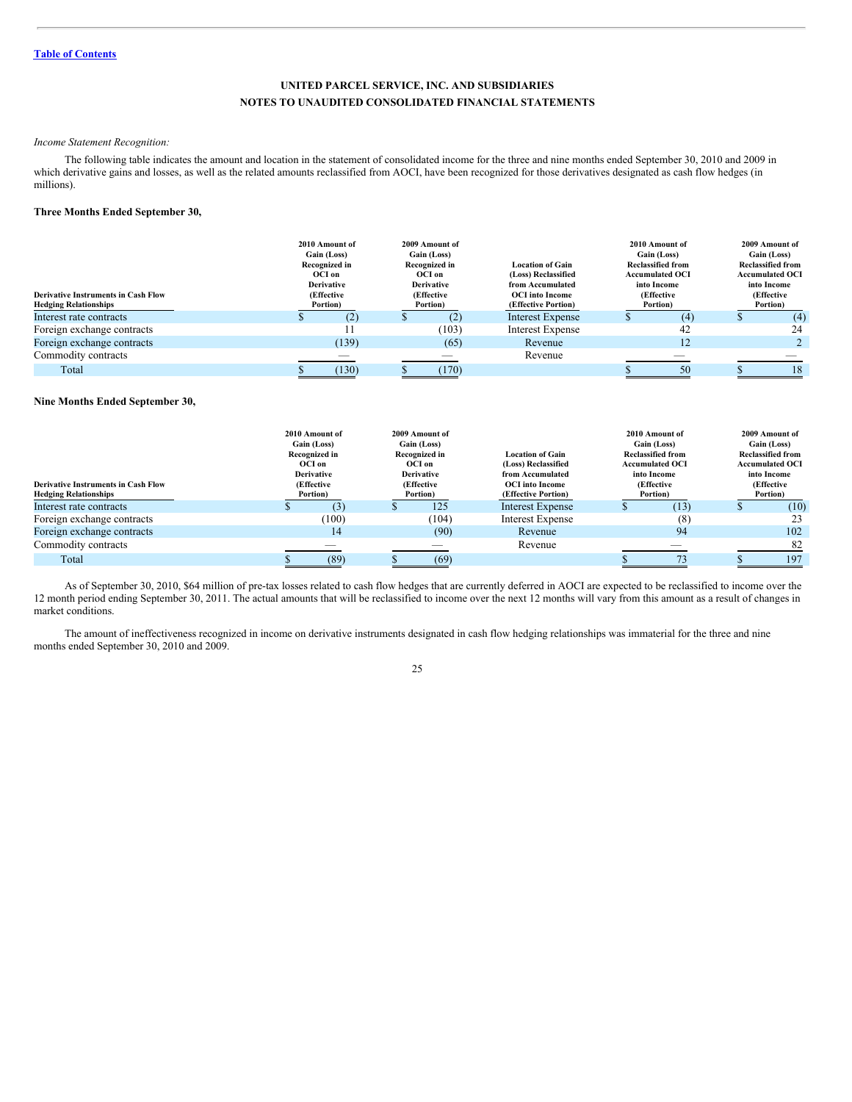### *Income Statement Recognition:*

The following table indicates the amount and location in the statement of consolidated income for the three and nine months ended September 30, 2010 and 2009 in which derivative gains and losses, as well as the related amounts reclassified from AOCI, have been recognized for those derivatives designated as cash flow hedges (in millions).

### **Three Months Ended September 30,**

| <b>Derivative Instruments in Cash Flow</b><br><b>Hedging Relationships</b> | 2010 Amount of<br>Gain (Loss)<br>Recognized in<br>OCI on<br><b>Derivative</b><br><b>(Effective</b><br>Portion) | 2009 Amount of<br>Gain (Loss)<br><b>Recognized in</b><br>OCI on<br><b>Derivative</b><br><b>(Effective</b><br>Portion) | <b>Location of Gain</b><br>(Loss) Reclassified<br>from Accumulated<br><b>OCI</b> into Income<br>(Effective Portion) | 2010 Amount of<br>Gain (Loss)<br><b>Reclassified from</b><br><b>Accumulated OCI</b><br>into Income<br><b>(Effective</b><br>Portion) | 2009 Amount of<br>Gain (Loss)<br><b>Reclassified from</b><br><b>Accumulated OCI</b><br>into Income<br>(Effective<br>Portion) |
|----------------------------------------------------------------------------|----------------------------------------------------------------------------------------------------------------|-----------------------------------------------------------------------------------------------------------------------|---------------------------------------------------------------------------------------------------------------------|-------------------------------------------------------------------------------------------------------------------------------------|------------------------------------------------------------------------------------------------------------------------------|
| Interest rate contracts                                                    | (2)                                                                                                            | (2)                                                                                                                   | Interest Expense                                                                                                    | (4)                                                                                                                                 | (4)                                                                                                                          |
| Foreign exchange contracts                                                 | 11                                                                                                             | (103)                                                                                                                 | <b>Interest Expense</b>                                                                                             | 42                                                                                                                                  | 24                                                                                                                           |
| Foreign exchange contracts                                                 | (139)                                                                                                          | (65)                                                                                                                  | Revenue                                                                                                             | 12                                                                                                                                  |                                                                                                                              |
| Commodity contracts                                                        |                                                                                                                |                                                                                                                       | Revenue                                                                                                             |                                                                                                                                     |                                                                                                                              |
| Total                                                                      | (130)                                                                                                          | (170)                                                                                                                 |                                                                                                                     | 50                                                                                                                                  | 18                                                                                                                           |

### **Nine Months Ended September 30,**

| Derivative Instruments in Cash Flow<br><b>Hedging Relationships</b> | 2010 Amount of<br>Gain (Loss)<br><b>Recognized in</b><br>OCI on<br><b>Derivative</b><br>(Effective<br>Portion) | 2009 Amount of<br>Gain (Loss)<br>Recognized in<br>OCI on<br><b>Derivative</b><br>(Effective<br>Portion) | <b>Location of Gain</b><br>(Loss) Reclassified<br>from Accumulated<br><b>OCI</b> into Income<br>(Effective Portion) | 2010 Amount of<br>Gain (Loss)<br><b>Reclassified from</b><br><b>Accumulated OCI</b><br>into Income<br><b>(Effective</b><br>Portion) | 2009 Amount of<br>Gain (Loss)<br><b>Reclassified from</b><br><b>Accumulated OCI</b><br>into Income<br>(Effective<br>Portion) |
|---------------------------------------------------------------------|----------------------------------------------------------------------------------------------------------------|---------------------------------------------------------------------------------------------------------|---------------------------------------------------------------------------------------------------------------------|-------------------------------------------------------------------------------------------------------------------------------------|------------------------------------------------------------------------------------------------------------------------------|
| Interest rate contracts                                             | (3)                                                                                                            | 125                                                                                                     | Interest Expense                                                                                                    | (13)                                                                                                                                | (10)                                                                                                                         |
| Foreign exchange contracts                                          | (100)                                                                                                          | (104)                                                                                                   | <b>Interest Expense</b>                                                                                             | (8)                                                                                                                                 | 23                                                                                                                           |
| Foreign exchange contracts                                          | 14                                                                                                             | (90)                                                                                                    | Revenue                                                                                                             | 94                                                                                                                                  | 102                                                                                                                          |
| Commodity contracts                                                 |                                                                                                                |                                                                                                         | Revenue                                                                                                             | __                                                                                                                                  | 82                                                                                                                           |
| Total                                                               | (89)                                                                                                           | (69)                                                                                                    |                                                                                                                     |                                                                                                                                     | 197                                                                                                                          |

As of September 30, 2010, \$64 million of pre-tax losses related to cash flow hedges that are currently deferred in AOCI are expected to be reclassified to income over the 12 month period ending September 30, 2011. The actual amounts that will be reclassified to income over the next 12 months will vary from this amount as a result of changes in market conditions.

The amount of ineffectiveness recognized in income on derivative instruments designated in cash flow hedging relationships was immaterial for the three and nine months ended September 30, 2010 and 2009.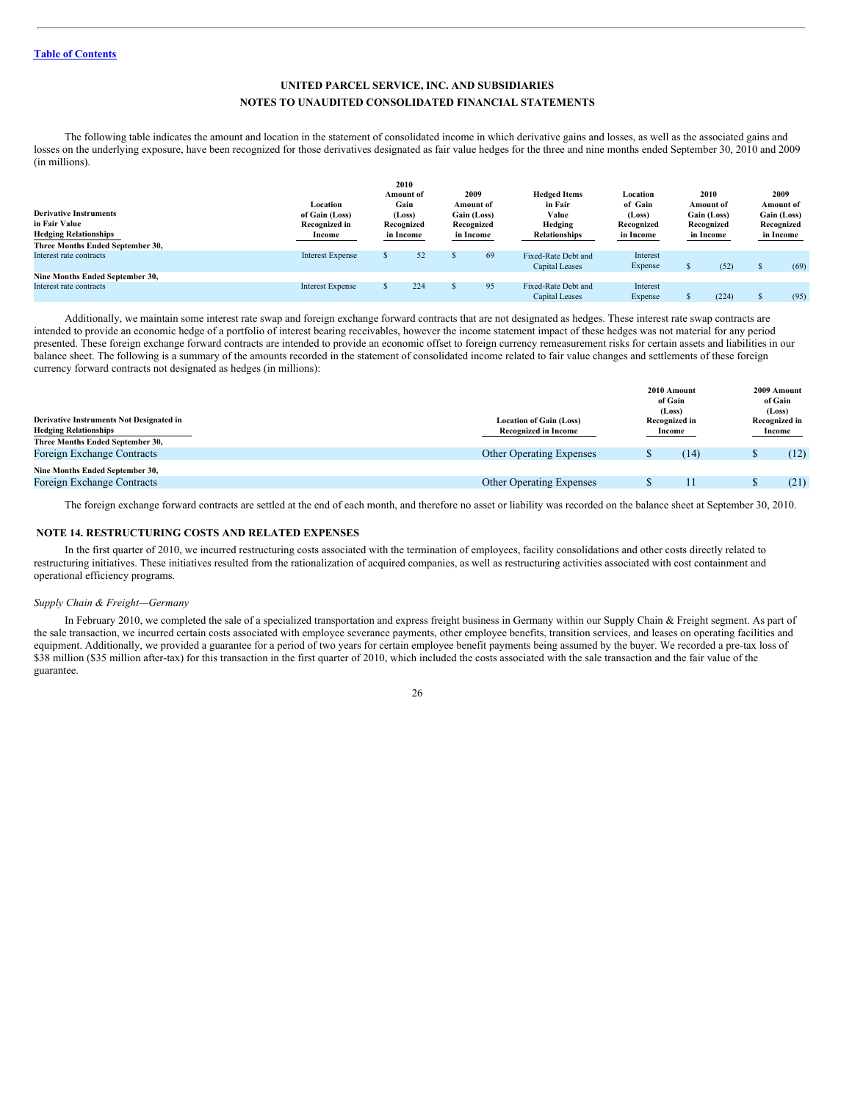The following table indicates the amount and location in the statement of consolidated income in which derivative gains and losses, as well as the associated gains and losses on the underlying exposure, have been recognized for those derivatives designated as fair value hedges for the three and nine months ended September 30, 2010 and 2009 (in millions).

| <b>Derivative Instruments</b><br>in Fair Value<br><b>Hedging Relationships</b><br>Three Months Ended September 30, | Location<br>of Gain (Loss)<br>Recognized in<br>Income | 2010<br>Amount of<br>Gain<br>(Loss)<br>Recognized<br>in Income | 2009<br>Amount of<br>Gain (Loss)<br>Recognized<br>in Income | <b>Hedged Items</b><br>in Fair<br>Value<br>Hedging<br><b>Relationships</b> | Location<br>of Gain<br>(Loss)<br>Recognized<br>in Income | 2010<br><b>Amount</b> of<br>Gain (Loss)<br>Recognized<br>in Income | 2009<br>Amount of<br>Gain (Loss)<br>Recognized<br>in Income |
|--------------------------------------------------------------------------------------------------------------------|-------------------------------------------------------|----------------------------------------------------------------|-------------------------------------------------------------|----------------------------------------------------------------------------|----------------------------------------------------------|--------------------------------------------------------------------|-------------------------------------------------------------|
| Interest rate contracts                                                                                            | <b>Interest Expense</b>                               | 52                                                             | 69                                                          | Fixed-Rate Debt and<br><b>Capital Leases</b>                               | Interest<br>Expense                                      | (52)                                                               | (69)                                                        |
| Nine Months Ended September 30,                                                                                    |                                                       |                                                                |                                                             |                                                                            |                                                          |                                                                    |                                                             |
| Interest rate contracts                                                                                            | Interest Expense                                      | 224                                                            | 95                                                          | Fixed-Rate Debt and<br>Capital Leases                                      | Interest<br>Expense                                      | (224)                                                              | (95)                                                        |

Additionally, we maintain some interest rate swap and foreign exchange forward contracts that are not designated as hedges. These interest rate swap contracts are intended to provide an economic hedge of a portfolio of interest bearing receivables, however the income statement impact of these hedges was not material for any period presented. These foreign exchange forward contracts are intended to provide an economic offset to foreign currency remeasurement risks for certain assets and liabilities in our balance sheet. The following is a summary of the amounts recorded in the statement of consolidated income related to fair value changes and settlements of these foreign currency forward contracts not designated as hedges (in millions):

|                                                 |                                 |                         | 2010 Amount | 2009 Amount                    |         |
|-------------------------------------------------|---------------------------------|-------------------------|-------------|--------------------------------|---------|
|                                                 |                                 |                         | of Gain     |                                | of Gain |
|                                                 |                                 |                         | (Loss)      |                                | (Loss)  |
| <b>Derivative Instruments Not Designated in</b> | <b>Location of Gain (Loss)</b>  | Recognized in<br>Income |             | <b>Recognized in</b><br>Income |         |
| <b>Hedging Relationships</b>                    | <b>Recognized in Income</b>     |                         |             |                                |         |
| Three Months Ended September 30,                |                                 |                         |             |                                |         |
| Foreign Exchange Contracts                      | <b>Other Operating Expenses</b> |                         | (14)        |                                | (12)    |
| Nine Months Ended September 30,                 |                                 |                         |             |                                |         |
| Foreign Exchange Contracts                      | <b>Other Operating Expenses</b> |                         |             |                                | (21)    |
|                                                 |                                 |                         |             |                                |         |

The foreign exchange forward contracts are settled at the end of each month, and therefore no asset or liability was recorded on the balance sheet at September 30, 2010.

### <span id="page-27-0"></span>**NOTE 14. RESTRUCTURING COSTS AND RELATED EXPENSES**

In the first quarter of 2010, we incurred restructuring costs associated with the termination of employees, facility consolidations and other costs directly related to restructuring initiatives. These initiatives resulted from the rationalization of acquired companies, as well as restructuring activities associated with cost containment and operational efficiency programs.

### *Supply Chain & Freight—Germany*

In February 2010, we completed the sale of a specialized transportation and express freight business in Germany within our Supply Chain & Freight segment. As part of the sale transaction, we incurred certain costs associated with employee severance payments, other employee benefits, transition services, and leases on operating facilities and equipment. Additionally, we provided a guarantee for a period of two years for certain employee benefit payments being assumed by the buyer. We recorded a pre-tax loss of \$38 million (\$35 million after-tax) for this transaction in the first quarter of 2010, which included the costs associated with the sale transaction and the fair value of the guarantee.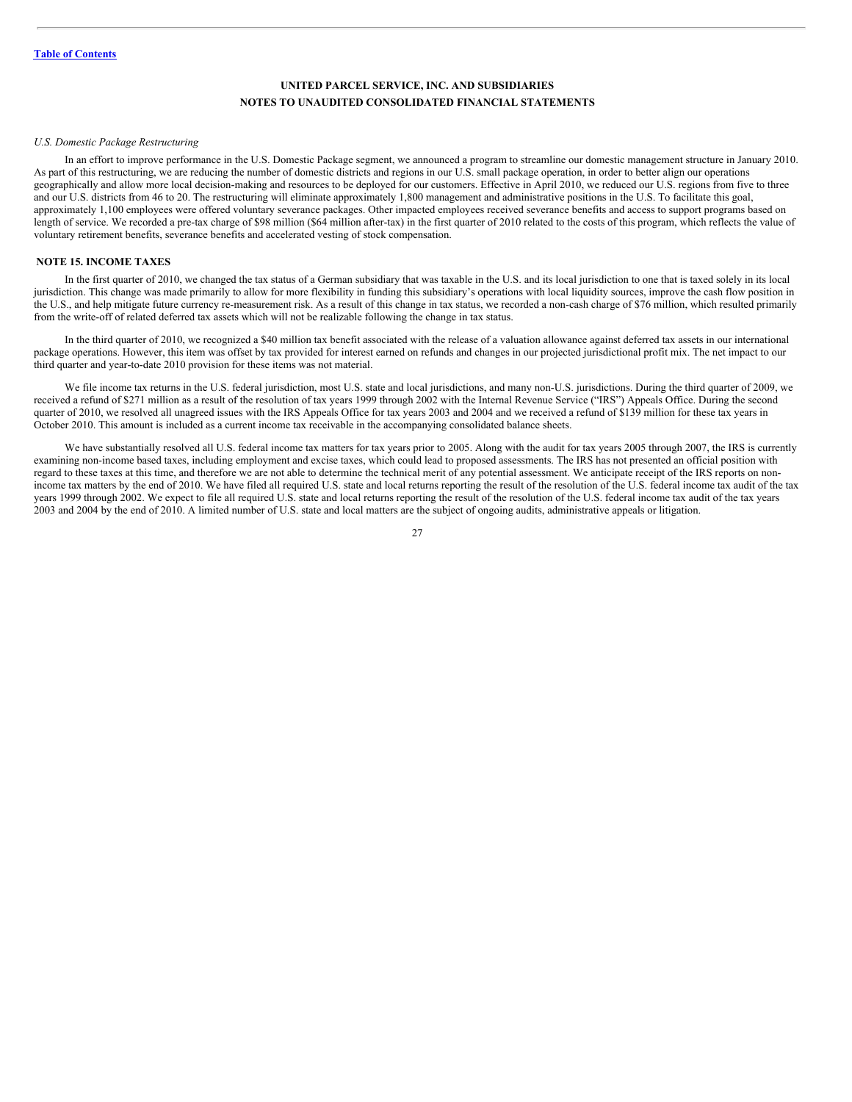#### *U.S. Domestic Package Restructuring*

In an effort to improve performance in the U.S. Domestic Package segment, we announced a program to streamline our domestic management structure in January 2010. As part of this restructuring, we are reducing the number of domestic districts and regions in our U.S. small package operation, in order to better align our operations geographically and allow more local decision-making and resources to be deployed for our customers. Effective in April 2010, we reduced our U.S. regions from five to three and our U.S. districts from 46 to 20. The restructuring will eliminate approximately 1,800 management and administrative positions in the U.S. To facilitate this goal, approximately 1,100 employees were offered voluntary severance packages. Other impacted employees received severance benefits and access to support programs based on length of service. We recorded a pre-tax charge of \$98 million  $(\$64$  million after-tax) in the first quarter of 2010 related to the costs of this program, which reflects the value of voluntary retirement benefits, severance benefits and accelerated vesting of stock compensation.

### <span id="page-28-0"></span>**NOTE 15. INCOME TAXES**

In the first quarter of 2010, we changed the tax status of a German subsidiary that was taxable in the U.S. and its local jurisdiction to one that is taxed solely in its local jurisdiction. This change was made primarily to allow for more flexibility in funding this subsidiary's operations with local liquidity sources, improve the cash flow position in the U.S., and help mitigate future currency re-measurement risk. As a result of this change in tax status, we recorded a non-cash charge of \$76 million, which resulted primarily from the write-off of related deferred tax assets which will not be realizable following the change in tax status.

In the third quarter of 2010, we recognized a \$40 million tax benefit associated with the release of a valuation allowance against deferred tax assets in our international package operations. However, this item was offset by tax provided for interest earned on refunds and changes in our projected jurisdictional profit mix. The net impact to our third quarter and year-to-date 2010 provision for these items was not material.

We file income tax returns in the U.S. federal jurisdiction, most U.S. state and local jurisdictions, and many non-U.S. jurisdictions. During the third quarter of 2009, we received a refund of \$271 million as a result of the resolution of tax years 1999 through 2002 with the Internal Revenue Service ("IRS") Appeals Office. During the second quarter of 2010, we resolved all unagreed issues with the IRS Appeals Office for tax years 2003 and 2004 and we received a refund of \$139 million for these tax years in October 2010. This amount is included as a current income tax receivable in the accompanying consolidated balance sheets.

We have substantially resolved all U.S. federal income tax matters for tax years prior to 2005. Along with the audit for tax years 2005 through 2007, the IRS is currently examining non-income based taxes, including employment and excise taxes, which could lead to proposed assessments. The IRS has not presented an official position with regard to these taxes at this time, and therefore we are not able to determine the technical merit of any potential assessment. We anticipate receipt of the IRS reports on nonincome tax matters by the end of 2010. We have filed all required U.S. state and local returns reporting the result of the resolution of the U.S. federal income tax audit of the tax years 1999 through 2002. We expect to file all required U.S. state and local returns reporting the result of the resolution of the U.S. federal income tax audit of the tax years 2003 and 2004 by the end of 2010. A limited number of U.S. state and local matters are the subject of ongoing audits, administrative appeals or litigation.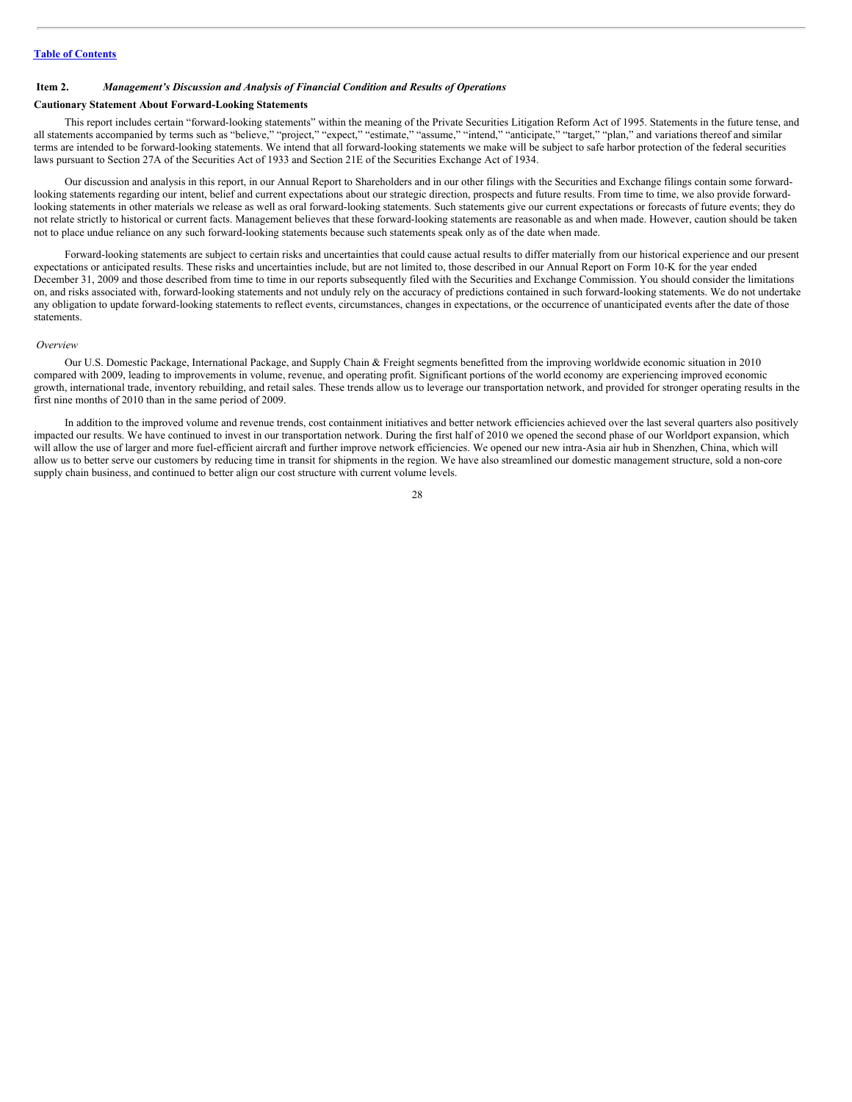#### <span id="page-29-0"></span>**Item 2.** *Management's Discussion and Analysis of Financial Condition and Results of Operations*

### **Cautionary Statement About Forward-Looking Statements**

This report includes certain "forward-looking statements" within the meaning of the Private Securities Litigation Reform Act of 1995. Statements in the future tense, and all statements accompanied by terms such as "believe," "project," "expect," "estimate," "assume," "intend," "anticipate," "target," "plan," and variations thereof and similar terms are intended to be forward-looking statements. We intend that all forward-looking statements we make will be subject to safe harbor protection of the federal securities laws pursuant to Section 27A of the Securities Act of 1933 and Section 21E of the Securities Exchange Act of 1934.

Our discussion and analysis in this report, in our Annual Report to Shareholders and in our other filings with the Securities and Exchange filings contain some forwardlooking statements regarding our intent, belief and current expectations about our strategic direction, prospects and future results. From time to time, we also provide forwardlooking statements in other materials we release as well as oral forward-looking statements. Such statements give our current expectations or forecasts of future events; they do not relate strictly to historical or current facts. Management believes that these forward-looking statements are reasonable as and when made. However, caution should be taken not to place undue reliance on any such forward-looking statements because such statements speak only as of the date when made.

Forward-looking statements are subject to certain risks and uncertainties that could cause actual results to differ materially from our historical experience and our present expectations or anticipated results. These risks and uncertainties include, but are not limited to, those described in our Annual Report on Form 10-K for the year ended December 31, 2009 and those described from time to time in our reports subsequently filed with the Securities and Exchange Commission. You should consider the limitations on, and risks associated with, forward-looking statements and not unduly rely on the accuracy of predictions contained in such forward-looking statements. We do not undertake any obligation to update forward-looking statements to reflect events, circumstances, changes in expectations, or the occurrence of unanticipated events after the date of those statements.

#### <span id="page-29-1"></span>*Overview*

Our U.S. Domestic Package, International Package, and Supply Chain & Freight segments benefitted from the improving worldwide economic situation in 2010 compared with 2009, leading to improvements in volume, revenue, and operating profit. Significant portions of the world economy are experiencing improved economic growth, international trade, inventory rebuilding, and retail sales. These trends allow us to leverage our transportation network, and provided for stronger operating results in the first nine months of 2010 than in the same period of 2009.

In addition to the improved volume and revenue trends, cost containment initiatives and better network efficiencies achieved over the last several quarters also positively impacted our results. We have continued to invest in our transportation network. During the first half of 2010 we opened the second phase of our Worldport expansion, which will allow the use of larger and more fuel-efficient aircraft and further improve network efficiencies. We opened our new intra-Asia air hub in Shenzhen, China, which will allow us to better serve our customers by reducing time in transit for shipments in the region. We have also streamlined our domestic management structure, sold a non-core supply chain business, and continued to better align our cost structure with current volume levels.

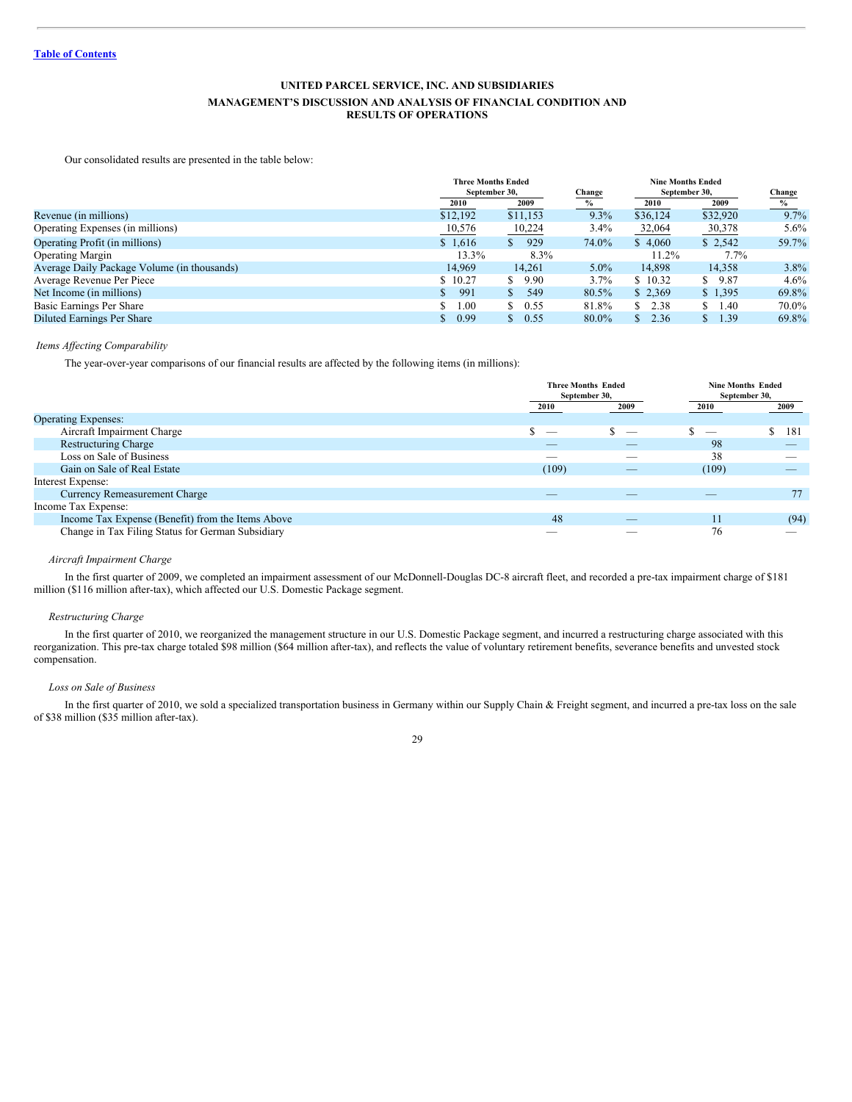Our consolidated results are presented in the table below:

|                                             |           | <b>Three Months Ended</b><br>September 30, |                | <b>Nine Months Ended</b><br>September 30, |           |                |
|---------------------------------------------|-----------|--------------------------------------------|----------------|-------------------------------------------|-----------|----------------|
|                                             | 2010      | 2009                                       | Change<br>$\%$ | 2010                                      | 2009      | Change<br>$\%$ |
| Revenue (in millions)                       | \$12,192  | \$11,153                                   | 9.3%           | \$36,124                                  | \$32,920  | 9.7%           |
| Operating Expenses (in millions)            | 10,576    | 10,224                                     | $3.4\%$        | 32,064                                    | 30,378    | $5.6\%$        |
| Operating Profit (in millions)              | \$1,616   | 929                                        | 74.0%          | \$4,060                                   | \$2,542   | 59.7%          |
| <b>Operating Margin</b>                     | 13.3%     | 8.3%                                       |                | 11.2%                                     | $7.7\%$   |                |
| Average Daily Package Volume (in thousands) | 14.969    | 14.261                                     | $5.0\%$        | 14.898                                    | 14.358    | $3.8\%$        |
| Average Revenue Per Piece                   | \$10.27   | 9.90                                       | 3.7%           | \$10.32                                   | 9.87<br>S | 4.6%           |
| Net Income (in millions)                    | 991<br>ъ. | 549<br>\$.                                 | 80.5%          | \$2,369                                   | \$1,395   | 69.8%          |
| Basic Earnings Per Share                    | 1.00      | \$0.55                                     | 81.8%          | \$2.38                                    | 1.40<br>S | 70.0%          |
| Diluted Earnings Per Share                  | 0.99      | 0.55                                       | 80.0%          | 2.36<br>S.                                | 1.39      | 69.8%          |

### <span id="page-30-0"></span>*Items Af ecting Comparability*

The year-over-year comparisons of our financial results are affected by the following items (in millions):

|                                                   |       | <b>Three Months Ended</b><br>September 30, |                          | <b>Nine Months Ended</b><br>September 30, |
|---------------------------------------------------|-------|--------------------------------------------|--------------------------|-------------------------------------------|
|                                                   | 2010  | 2009                                       | 2010                     | 2009                                      |
| <b>Operating Expenses:</b>                        |       |                                            |                          |                                           |
| Aircraft Impairment Charge                        | _     | _                                          | $\overline{\phantom{a}}$ | \$.<br>181                                |
| <b>Restructuring Charge</b>                       |       |                                            | 98                       |                                           |
| Loss on Sale of Business                          |       |                                            | 38                       |                                           |
| Gain on Sale of Real Estate                       | (109) |                                            | (109)                    |                                           |
| Interest Expense:                                 |       |                                            |                          |                                           |
| Currency Remeasurement Charge                     |       |                                            | _                        | 77                                        |
| Income Tax Expense:                               |       |                                            |                          |                                           |
| Income Tax Expense (Benefit) from the Items Above | 48    |                                            | 11                       | (94)                                      |
| Change in Tax Filing Status for German Subsidiary |       |                                            | 76                       |                                           |

# *Aircraft Impairment Charge*

In the first quarter of 2009, we completed an impairment assessment of our McDonnell-Douglas DC-8 aircraft fleet, and recorded a pre-tax impairment charge of \$181 million (\$116 million after-tax), which affected our U.S. Domestic Package segment.

# *Restructuring Charge*

In the first quarter of 2010, we reorganized the management structure in our U.S. Domestic Package segment, and incurred a restructuring charge associated with this reorganization. This pre-tax charge totaled \$98 million (\$64 million after-tax), and reflects the value of voluntary retirement benefits, severance benefits and unvested stock compensation.

## *Loss on Sale of Business*

In the first quarter of 2010, we sold a specialized transportation business in Germany within our Supply Chain & Freight segment, and incurred a pre-tax loss on the sale of \$38 million (\$35 million after-tax).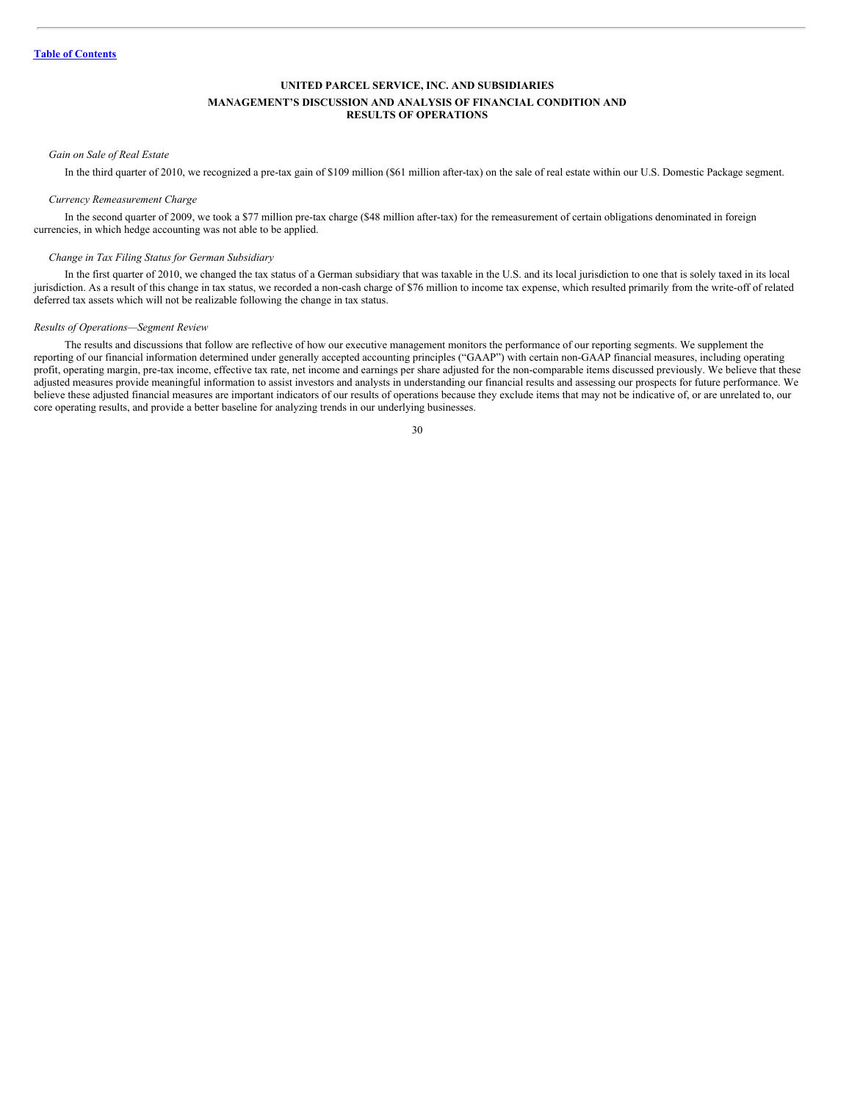### *Gain on Sale of Real Estate*

In the third quarter of 2010, we recognized a pre-tax gain of \$109 million (\$61 million after-tax) on the sale of real estate within our U.S. Domestic Package segment.

#### *Currency Remeasurement Charge*

In the second quarter of 2009, we took a \$77 million pre-tax charge (\$48 million after-tax) for the remeasurement of certain obligations denominated in foreign currencies, in which hedge accounting was not able to be applied.

### *Change in Tax Filing Status for German Subsidiary*

In the first quarter of 2010, we changed the tax status of a German subsidiary that was taxable in the U.S. and its local jurisdiction to one that is solely taxed in its local jurisdiction. As a result of this change in tax status, we recorded a non-cash charge of \$76 million to income tax expense, which resulted primarily from the write-off of related deferred tax assets which will not be realizable following the change in tax status.

### *Results of Operations—Segment Review*

The results and discussions that follow are reflective of how our executive management monitors the performance of our reporting segments. We supplement the reporting of our financial information determined under generally accepted accounting principles ("GAAP") with certain non-GAAP financial measures, including operating profit, operating margin, pre-tax income, effective tax rate, net income and earnings per share adjusted for the non-comparable items discussed previously. We believe that these adjusted measures provide meaningful information to assist investors and analysts in understanding our financial results and assessing our prospects for future performance. We believe these adjusted financial measures are important indicators of our results of operations because they exclude items that may not be indicative of, or are unrelated to, our core operating results, and provide a better baseline for analyzing trends in our underlying businesses.

| ۰, | ۰. |
|----|----|
| I  | ×  |
| ×  | ۰. |
|    |    |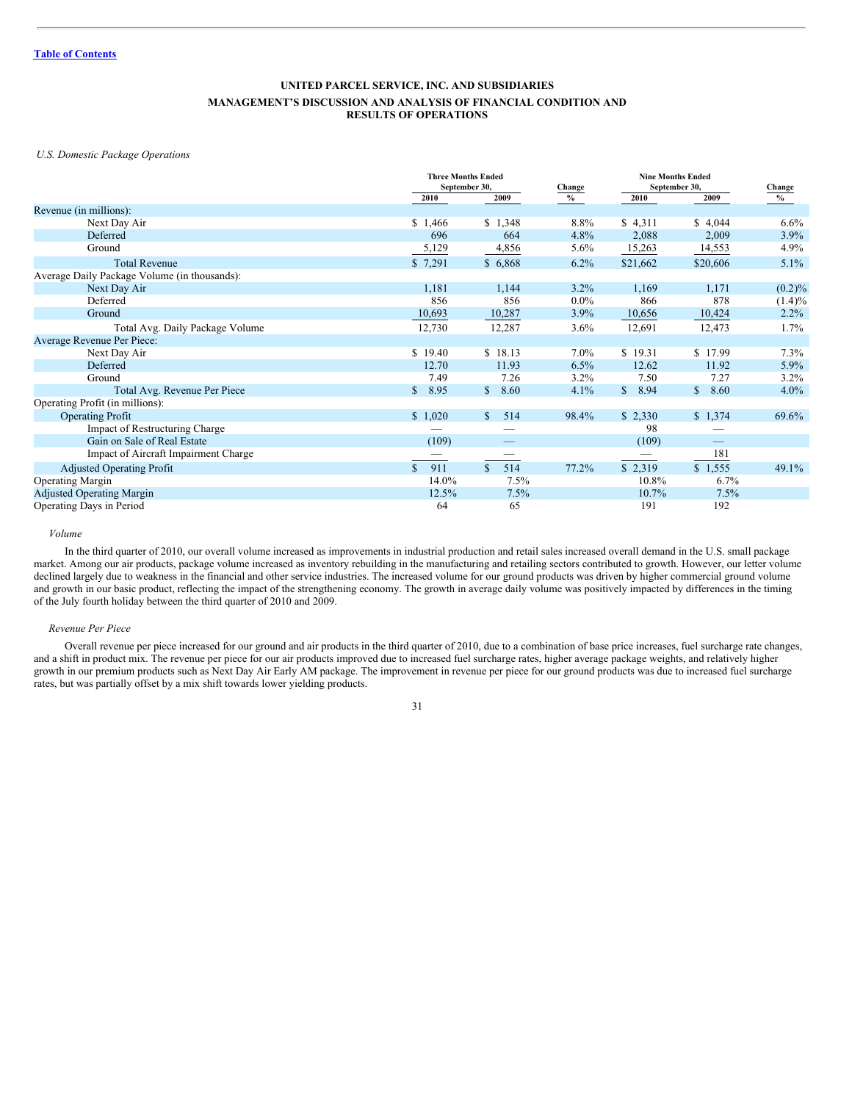### <span id="page-32-0"></span>*U.S. Domestic Package Operations*

|                                              | 2010        | <b>Three Months Ended</b><br>September 30,<br>2009 | Change<br>$\frac{0}{0}$ | <b>Nine Months Ended</b><br>September 30,<br>2010 | 2009                 | Change<br>$\frac{0}{0}$ |
|----------------------------------------------|-------------|----------------------------------------------------|-------------------------|---------------------------------------------------|----------------------|-------------------------|
| Revenue (in millions):                       |             |                                                    |                         |                                                   |                      |                         |
| Next Day Air                                 | \$1,466     | \$1,348                                            | 8.8%                    | \$4,311                                           | \$4,044              | 6.6%                    |
| Deferred                                     | 696         | 664                                                | 4.8%                    | 2,088                                             | 2,009                | 3.9%                    |
| Ground                                       | 5,129       | 4,856                                              | 5.6%                    | 15,263                                            | 14,553               | 4.9%                    |
| <b>Total Revenue</b>                         | \$7,291     | \$6,868                                            | $6.2\%$                 | \$21,662                                          | \$20,606             | $5.1\%$                 |
| Average Daily Package Volume (in thousands): |             |                                                    |                         |                                                   |                      |                         |
| Next Day Air                                 | 1,181       | 1,144                                              | $3.2\%$                 | 1,169                                             | 1,171                | $(0.2)\%$               |
| Deferred                                     | 856         | 856                                                | $0.0\%$                 | 866                                               | 878                  | $(1.4)\%$               |
| Ground                                       | 10,693      | 10,287                                             | 3.9%                    | 10,656                                            | 10,424               | $2.2\%$                 |
| Total Avg. Daily Package Volume              | 12,730      | 12,287                                             | 3.6%                    | 12,691                                            | 12,473               | 1.7%                    |
| Average Revenue Per Piece:                   |             |                                                    |                         |                                                   |                      |                         |
| Next Day Air                                 | \$19.40     | \$18.13                                            | $7.0\%$                 | \$19.31                                           | \$17.99              | 7.3%                    |
| Deferred                                     | 12.70       | 11.93                                              | 6.5%                    | 12.62                                             | 11.92                | $5.9\%$                 |
| Ground                                       | 7.49        | 7.26                                               | $3.2\%$                 | 7.50                                              | 7.27                 | $3.2\%$                 |
| Total Avg. Revenue Per Piece                 | 8.95<br>\$. | 8.60<br>$\mathcal{S}$                              | 4.1%                    | 8.94<br>$\mathbf{s}$                              | $\mathbb{S}$<br>8.60 | $4.0\%$                 |
| Operating Profit (in millions):              |             |                                                    |                         |                                                   |                      |                         |
| <b>Operating Profit</b>                      | \$1,020     | \$.<br>514                                         | 98.4%                   | \$2,330                                           | \$1,374              | 69.6%                   |
| Impact of Restructuring Charge               |             |                                                    |                         | 98                                                |                      |                         |
| Gain on Sale of Real Estate                  | (109)       |                                                    |                         | (109)                                             |                      |                         |
| Impact of Aircraft Impairment Charge         |             | -                                                  |                         |                                                   | 181                  |                         |
| <b>Adjusted Operating Profit</b>             | 911<br>\$.  | \$<br>514                                          | 77.2%                   | \$2,319                                           | \$1,555              | 49.1%                   |
| <b>Operating Margin</b>                      | 14.0%       | 7.5%                                               |                         | 10.8%                                             | 6.7%                 |                         |
| <b>Adjusted Operating Margin</b>             | 12.5%       | 7.5%                                               |                         | 10.7%                                             | 7.5%                 |                         |
| Operating Days in Period                     | 64          | 65                                                 |                         | 191                                               | 192                  |                         |

### *Volume*

In the third quarter of 2010, our overall volume increased as improvements in industrial production and retail sales increased overall demand in the U.S. small package market. Among our air products, package volume increased as inventory rebuilding in the manufacturing and retailing sectors contributed to growth. However, our letter volume declined largely due to weakness in the financial and other service industries. The increased volume for our ground products was driven by higher commercial ground volume and growth in our basic product, reflecting the impact of the strengthening economy. The growth in average daily volume was positively impacted by differences in the timing of the July fourth holiday between the third quarter of 2010 and 2009.

### *Revenue Per Piece*

Overall revenue per piece increased for our ground and air products in the third quarter of 2010, due to a combination of base price increases, fuel surcharge rate changes, and a shift in product mix. The revenue per piece for our air products improved due to increased fuel surcharge rates, higher average package weights, and relatively higher growth in our premium products such as Next Day Air Early AM package. The improvement in revenue per piece for our ground products was due to increased fuel surcharge rates, but was partially offset by a mix shift towards lower yielding products.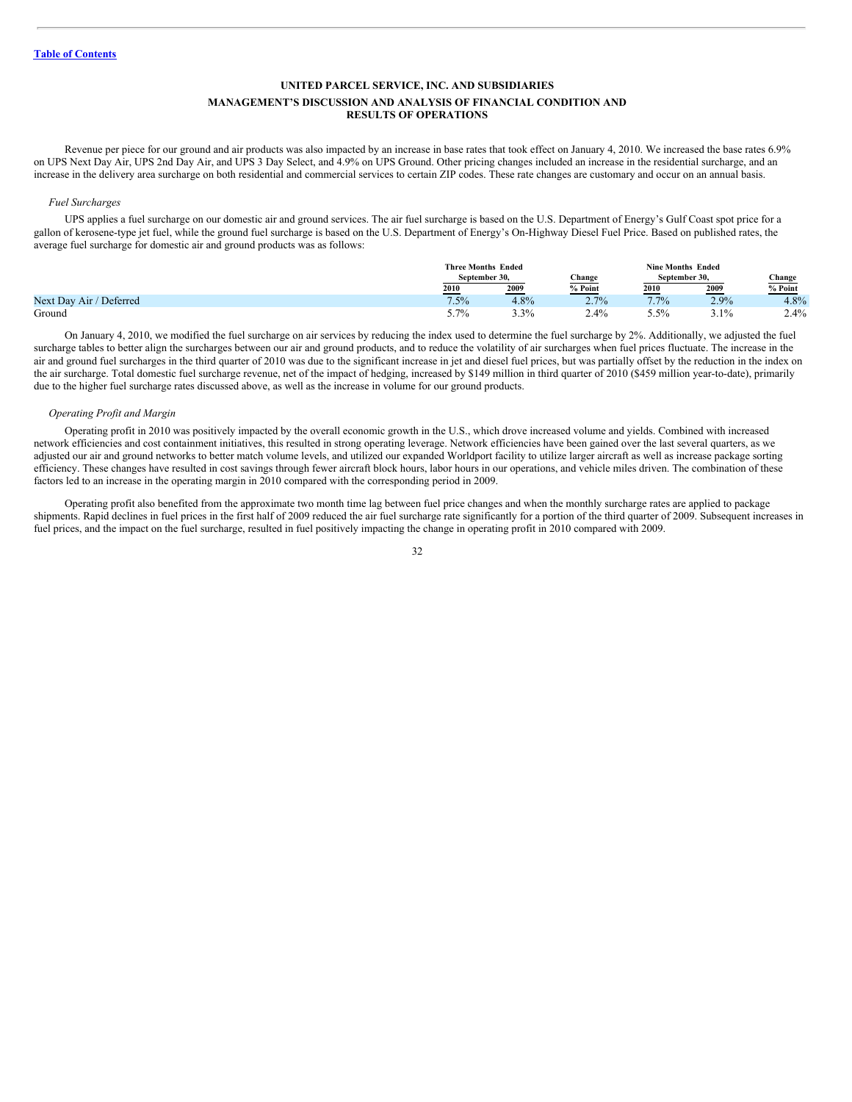Revenue per piece for our ground and air products was also impacted by an increase in base rates that took effect on January 4, 2010. We increased the base rates 6.9% on UPS Next Day Air, UPS 2nd Day Air, and UPS 3 Day Select, and 4.9% on UPS Ground. Other pricing changes included an increase in the residential surcharge, and an increase in the delivery area surcharge on both residential and commercial services to certain ZIP codes. These rate changes are customary and occur on an annual basis.

#### *Fuel Surcharges*

UPS applies a fuel surcharge on our domestic air and ground services. The air fuel surcharge is based on the U.S. Department of Energy's Gulf Coast spot price for a gallon of kerosene-type jet fuel, while the ground fuel surcharge is based on the U.S. Department of Energy's On-Highway Diesel Fuel Price. Based on published rates, the average fuel surcharge for domestic air and ground products was as follows:

|                            | <b>Three Months Ended</b> |      |         | <b>Nine Months Ended</b> |      |         |  |
|----------------------------|---------------------------|------|---------|--------------------------|------|---------|--|
|                            | September 30.             |      | Change  | September 30.            |      | Change  |  |
|                            | 2010                      | 2009 | % Point | 2010                     | 2009 | % Point |  |
| Next Day Air /<br>Deferred | 7.5%                      | 4.8% | 2.7%    | 7.7%                     | 2.9% | 4.8%    |  |
| Ground                     | $5.7\%$                   | 3.3% | $2.4\%$ | 5.5%                     | 3.1% | 2.4%    |  |

On January 4, 2010, we modified the fuel surcharge on air services by reducing the index used to determine the fuel surcharge by 2%. Additionally, we adjusted the fuel surcharge tables to better align the surcharges between our air and ground products, and to reduce the volatility of air surcharges when fuel prices fluctuate. The increase in the air and ground fuel surcharges in the third quarter of 2010 was due to the significant increase in jet and diesel fuel prices, but was partially offset by the reduction in the index on the air surcharge. Total domestic fuel surcharge revenue, net of the impact of hedging, increased by \$149 million in third quarter of 2010 (\$459 million year-to-date), primarily due to the higher fuel surcharge rates discussed above, as well as the increase in volume for our ground products.

#### *Operating Profit and Margin*

Operating profit in 2010 was positively impacted by the overall economic growth in the U.S., which drove increased volume and yields. Combined with increased network efficiencies and cost containment initiatives, this resulted in strong operating leverage. Network efficiencies have been gained over the last several quarters, as we adjusted our air and ground networks to better match volume levels, and utilized our expanded Worldport facility to utilize larger aircraft as well as increase package sorting efficiency. These changes have resulted in cost savings through fewer aircraft block hours, labor hours in our operations, and vehicle miles driven. The combination of these factors led to an increase in the operating margin in 2010 compared with the corresponding period in 2009.

Operating profit also benefited from the approximate two month time lag between fuel price changes and when the monthly surcharge rates are applied to package shipments. Rapid declines in fuel prices in the first half of 2009 reduced the air fuel surcharge rate significantly for a portion of the third quarter of 2009. Subsequent increases in fuel prices, and the impact on the fuel surcharge, resulted in fuel positively impacting the change in operating profit in 2010 compared with 2009.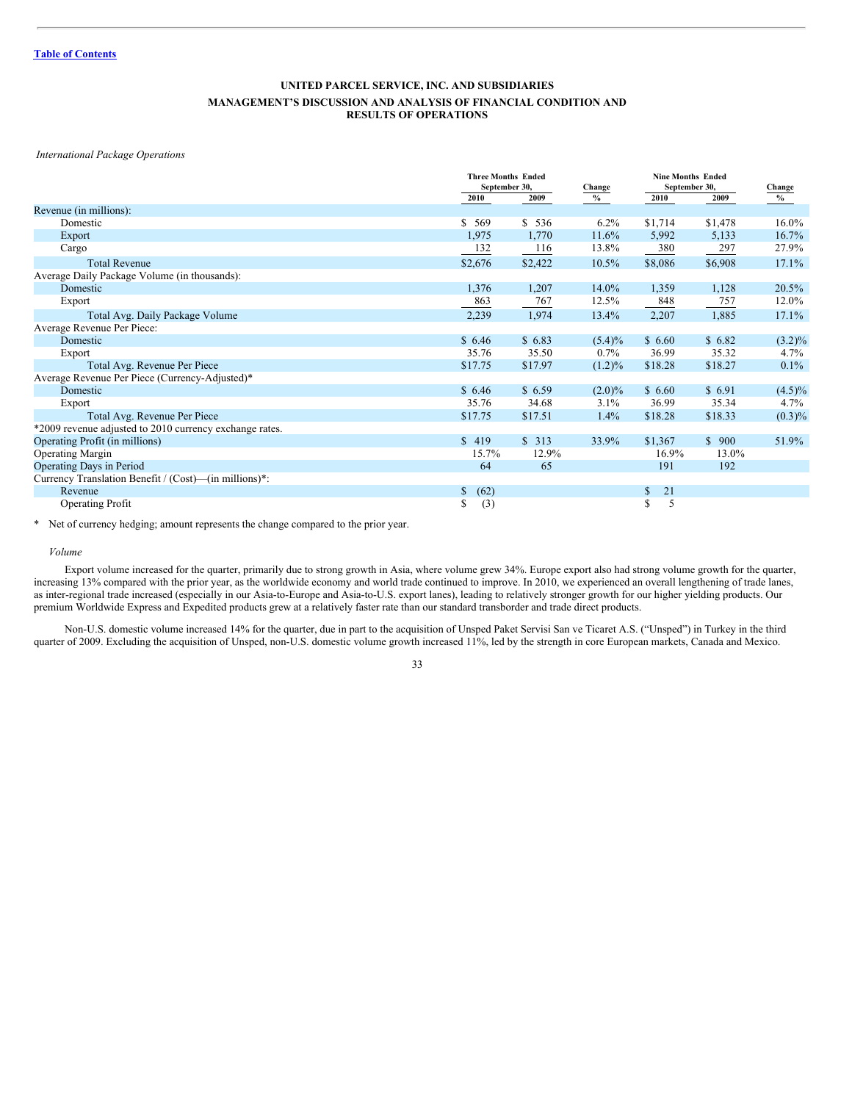### <span id="page-34-0"></span>*International Package Operations*

|                                                         | 2010       | <b>Three Months Ended</b><br>September 30,<br>2009 | Change<br>$\frac{0}{0}$ | <b>Nine Months Ended</b><br>September 30,<br>2010 | 2009    | Change<br>$\frac{0}{0}$ |
|---------------------------------------------------------|------------|----------------------------------------------------|-------------------------|---------------------------------------------------|---------|-------------------------|
| Revenue (in millions):                                  |            |                                                    |                         |                                                   |         |                         |
| Domestic                                                | S.<br>569  | \$536                                              | $6.2\%$                 | \$1,714                                           | \$1,478 | 16.0%                   |
| Export                                                  | 1,975      | 1,770                                              | 11.6%                   | 5,992                                             | 5,133   | 16.7%                   |
| Cargo                                                   | 132        | 116                                                | 13.8%                   | 380                                               | 297     | 27.9%                   |
| <b>Total Revenue</b>                                    | \$2,676    | \$2,422                                            | 10.5%                   | \$8,086                                           | \$6,908 | $17.1\%$                |
| Average Daily Package Volume (in thousands):            |            |                                                    |                         |                                                   |         |                         |
| Domestic                                                | 1,376      | 1,207                                              | 14.0%                   | 1,359                                             | 1,128   | 20.5%                   |
| Export                                                  | 863        | 767                                                | 12.5%                   | 848                                               | 757     | 12.0%                   |
| Total Avg. Daily Package Volume                         | 2,239      | 1,974                                              | 13.4%                   | 2,207                                             | 1,885   | 17.1%                   |
| Average Revenue Per Piece:                              |            |                                                    |                         |                                                   |         |                         |
| Domestic                                                | \$6.46     | \$6.83                                             | $(5.4)\%$               | \$6.60                                            | \$6.82  | $(3.2)\%$               |
| Export                                                  | 35.76      | 35.50                                              | 0.7%                    | 36.99                                             | 35.32   | 4.7%                    |
| Total Avg. Revenue Per Piece                            | \$17.75    | \$17.97                                            | $(1.2)\%$               | \$18.28                                           | \$18.27 | $0.1\%$                 |
| Average Revenue Per Piece (Currency-Adjusted)*          |            |                                                    |                         |                                                   |         |                         |
| Domestic                                                | \$6.46     | \$6.59                                             | $(2.0)\%$               | \$6.60                                            | \$6.91  | $(4.5)\%$               |
| Export                                                  | 35.76      | 34.68                                              | 3.1%                    | 36.99                                             | 35.34   | 4.7%                    |
| Total Avg. Revenue Per Piece                            | \$17.75    | \$17.51                                            | 1.4%                    | \$18.28                                           | \$18.33 | $(0.3)\%$               |
| *2009 revenue adjusted to 2010 currency exchange rates. |            |                                                    |                         |                                                   |         |                         |
| Operating Profit (in millions)                          | \$419      | \$313                                              | 33.9%                   | \$1,367                                           | \$900   | 51.9%                   |
| <b>Operating Margin</b>                                 | 15.7%      | 12.9%                                              |                         | 16.9%                                             | 13.0%   |                         |
| Operating Days in Period                                | 64         | 65                                                 |                         | 191                                               | 192     |                         |
| Currency Translation Benefit / (Cost)—(in millions)*:   |            |                                                    |                         |                                                   |         |                         |
| Revenue                                                 | (62)<br>\$ |                                                    |                         | \$<br>21                                          |         |                         |
| <b>Operating Profit</b>                                 | \$<br>(3)  |                                                    |                         | \$<br>5                                           |         |                         |

\* Net of currency hedging; amount represents the change compared to the prior year.

### *Volume*

Export volume increased for the quarter, primarily due to strong growth in Asia, where volume grew 34%. Europe export also had strong volume growth for the quarter, increasing 13% compared with the prior year, as the worldwide economy and world trade continued to improve. In 2010, we experienced an overall lengthening of trade lanes, as inter-regional trade increased (especially in our Asia-to-Europe and Asia-to-U.S. export lanes), leading to relatively stronger growth for our higher yielding products. Our premium Worldwide Express and Expedited products grew at a relatively faster rate than our standard transborder and trade direct products.

Non-U.S. domestic volume increased 14% for the quarter, due in part to the acquisition of Unsped Paket Servisi San ve Ticaret A.S. ("Unsped") in Turkey in the third quarter of 2009. Excluding the acquisition of Unsped, non-U.S. domestic volume growth increased 11%, led by the strength in core European markets, Canada and Mexico.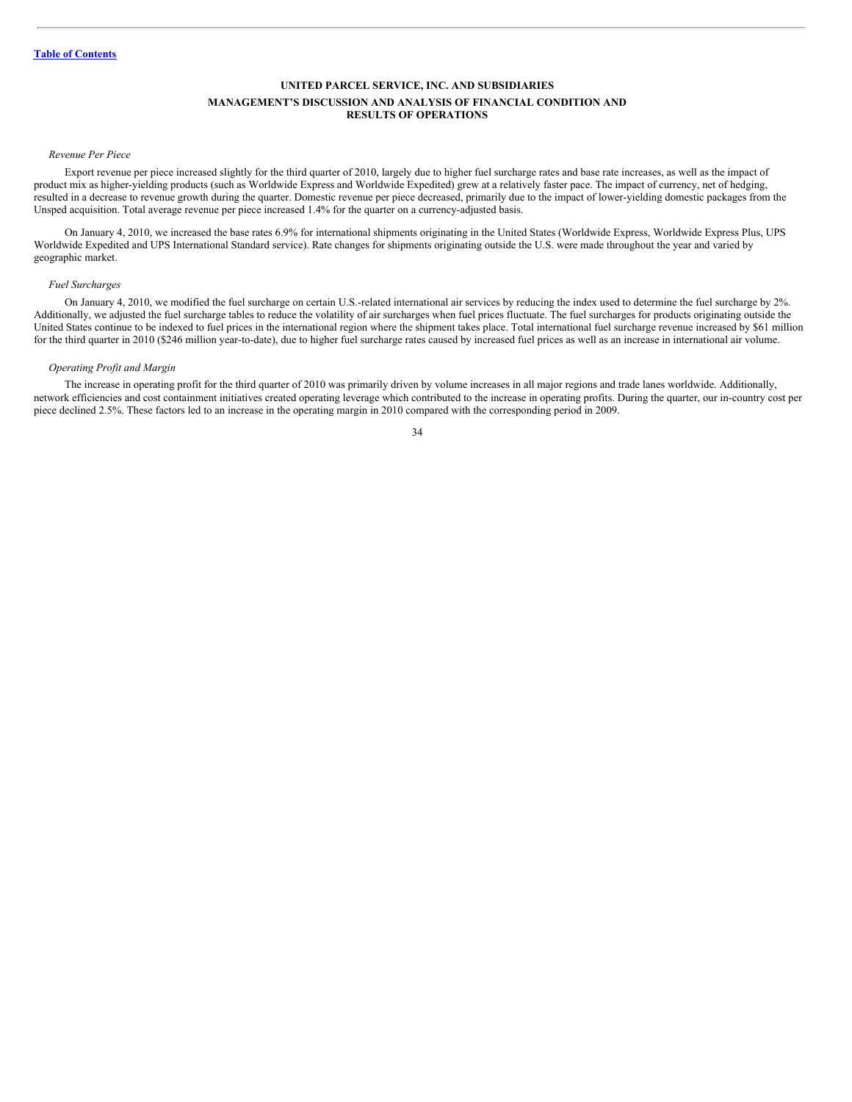### *Revenue Per Piece*

Export revenue per piece increased slightly for the third quarter of 2010, largely due to higher fuel surcharge rates and base rate increases, as well as the impact of product mix as higher-yielding products (such as Worldwide Express and Worldwide Expedited) grew at a relatively faster pace. The impact of currency, net of hedging, resulted in a decrease to revenue growth during the quarter. Domestic revenue per piece decreased, primarily due to the impact of lower-yielding domestic packages from the Unsped acquisition. Total average revenue per piece increased 1.4% for the quarter on a currency-adjusted basis.

On January 4, 2010, we increased the base rates 6.9% for international shipments originating in the United States (Worldwide Express, Worldwide Express Plus, UPS Worldwide Expedited and UPS International Standard service). Rate changes for shipments originating outside the U.S. were made throughout the year and varied by geographic market.

### *Fuel Surcharges*

On January 4, 2010, we modified the fuel surcharge on certain U.S.-related international air services by reducing the index used to determine the fuel surcharge by 2%. Additionally, we adjusted the fuel surcharge tables to reduce the volatility of air surcharges when fuel prices fluctuate. The fuel surcharges for products originating outside the United States continue to be indexed to fuel prices in the international region where the shipment takes place. Total international fuel surcharge revenue increased by \$61 million for the third quarter in 2010 (\$246 million year-to-date), due to higher fuel surcharge rates caused by increased fuel prices as well as an increase in international air volume.

### *Operating Profit and Margin*

The increase in operating profit for the third quarter of 2010 was primarily driven by volume increases in all major regions and trade lanes worldwide. Additionally, network efficiencies and cost containment initiatives created operating leverage which contributed to the increase in operating profits. During the quarter, our in-country cost per piece declined 2.5%. These factors led to an increase in the operating margin in 2010 compared with the corresponding period in 2009.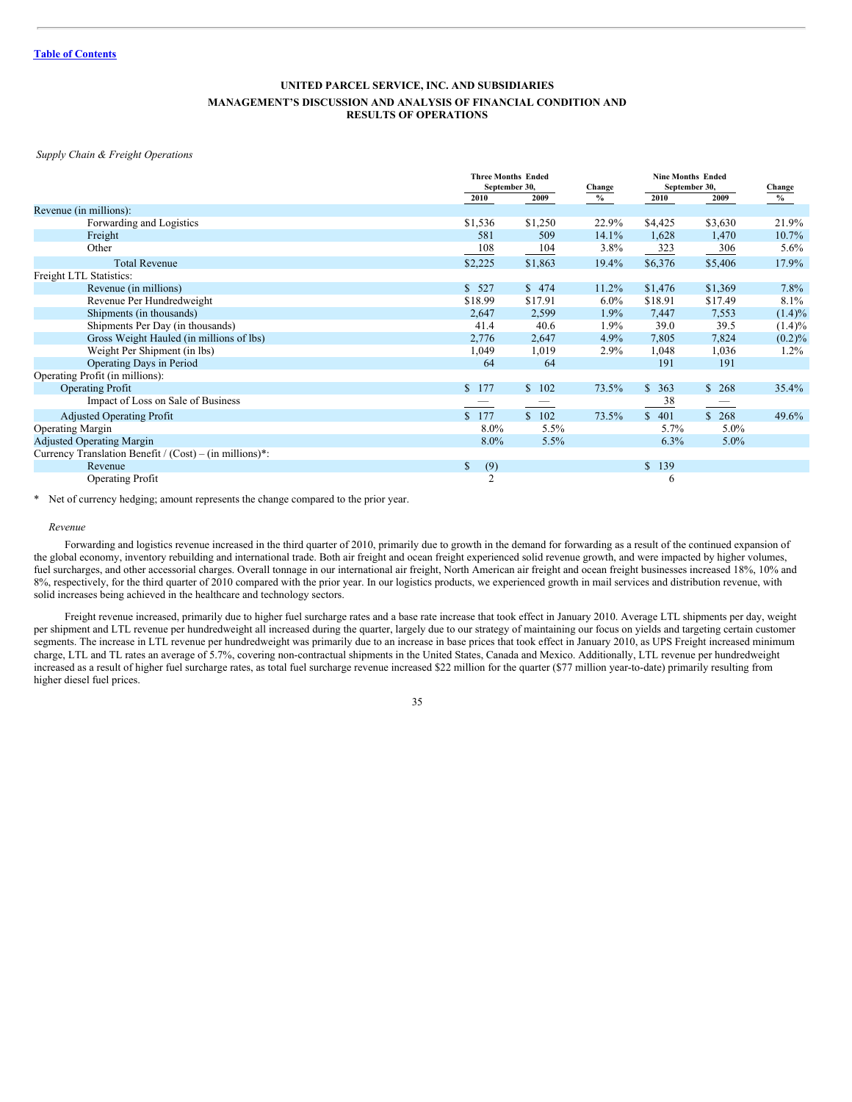<span id="page-36-0"></span>*Supply Chain & Freight Operations*

|                                                           |                     | <b>Three Months Ended</b><br>September 30, |               | <b>Nine Months Ended</b><br>September 30,<br>Change |         | Change        |
|-----------------------------------------------------------|---------------------|--------------------------------------------|---------------|-----------------------------------------------------|---------|---------------|
|                                                           | 2010                | 2009                                       | $\frac{6}{6}$ | 2010                                                | 2009    | $\frac{0}{0}$ |
| Revenue (in millions):                                    |                     |                                            |               |                                                     |         |               |
| Forwarding and Logistics                                  | \$1,536             | \$1,250                                    | 22.9%         | \$4,425                                             | \$3,630 | 21.9%         |
| Freight                                                   | 581                 | 509                                        | 14.1%         | 1,628                                               | 1,470   | 10.7%         |
| Other                                                     | 108                 | 104                                        | $3.8\%$       | 323                                                 | 306     | 5.6%          |
| <b>Total Revenue</b>                                      | \$2,225             | \$1,863                                    | 19.4%         | \$6,376                                             | \$5,406 | 17.9%         |
| Freight LTL Statistics:                                   |                     |                                            |               |                                                     |         |               |
| Revenue (in millions)                                     | \$527               | S.<br>474                                  | $11.2\%$      | \$1,476                                             | \$1,369 | 7.8%          |
| Revenue Per Hundredweight                                 | \$18.99             | \$17.91                                    | $6.0\%$       | \$18.91                                             | \$17.49 | 8.1%          |
| Shipments (in thousands)                                  | 2,647               | 2,599                                      | $1.9\%$       | 7,447                                               | 7,553   | $(1.4)\%$     |
| Shipments Per Day (in thousands)                          | 41.4                | 40.6                                       | $1.9\%$       | 39.0                                                | 39.5    | $(1.4)\%$     |
| Gross Weight Hauled (in millions of lbs)                  | 2,776               | 2,647                                      | $4.9\%$       | 7,805                                               | 7,824   | $(0.2)\%$     |
| Weight Per Shipment (in lbs)                              | 1,049               | 1,019                                      | 2.9%          | 1,048                                               | 1,036   | $1.2\%$       |
| Operating Days in Period                                  | 64                  | 64                                         |               | 191                                                 | 191     |               |
| Operating Profit (in millions):                           |                     |                                            |               |                                                     |         |               |
| <b>Operating Profit</b>                                   | $\mathbf{s}$<br>177 | $\mathbb{S}$<br>102                        | 73.5%         | \$363                                               | \$268   | 35.4%         |
| Impact of Loss on Sale of Business                        |                     |                                            |               | 38                                                  |         |               |
| <b>Adjusted Operating Profit</b>                          | 177                 | \$102                                      | 73.5%         | \$401                                               | \$268   | 49.6%         |
| <b>Operating Margin</b>                                   | 8.0%                | 5.5%                                       |               | 5.7%                                                | 5.0%    |               |
| <b>Adjusted Operating Margin</b>                          | $8.0\%$             | 5.5%                                       |               | 6.3%                                                | $5.0\%$ |               |
| Currency Translation Benefit / $(Cost) - (in$ millions)*: |                     |                                            |               |                                                     |         |               |
| Revenue                                                   | \$<br>(9)           |                                            |               | \$139                                               |         |               |
| <b>Operating Profit</b>                                   | $\overline{2}$      |                                            |               | 6                                                   |         |               |

\* Net of currency hedging; amount represents the change compared to the prior year.

#### *Revenue*

Forwarding and logistics revenue increased in the third quarter of 2010, primarily due to growth in the demand for forwarding as a result of the continued expansion of the global economy, inventory rebuilding and international trade. Both air freight and ocean freight experienced solid revenue growth, and were impacted by higher volumes, fuel surcharges, and other accessorial charges. Overall tonnage in our international air freight, North American air freight and ocean freight businesses increased 18%, 10% and 8%, respectively, for the third quarter of 2010 compared with the prior year. In our logistics products, we experienced growth in mail services and distribution revenue, with solid increases being achieved in the healthcare and technology sectors.

Freight revenue increased, primarily due to higher fuel surcharge rates and a base rate increase that took effect in January 2010. Average LTL shipments per day, weight per shipment and LTL revenue per hundredweight all increased during the quarter, largely due to our strategy of maintaining our focus on yields and targeting certain customer segments. The increase in LTL revenue per hundredweight was primarily due to an increase in base prices that took effect in January 2010, as UPS Freight increased minimum charge, LTL and TL rates an average of 5.7%, covering non-contractual shipments in the United States, Canada and Mexico. Additionally, LTL revenue per hundredweight increased as a result of higher fuel surcharge rates, as total fuel surcharge revenue increased \$22 million for the quarter (\$77 million year-to-date) primarily resulting from higher diesel fuel prices.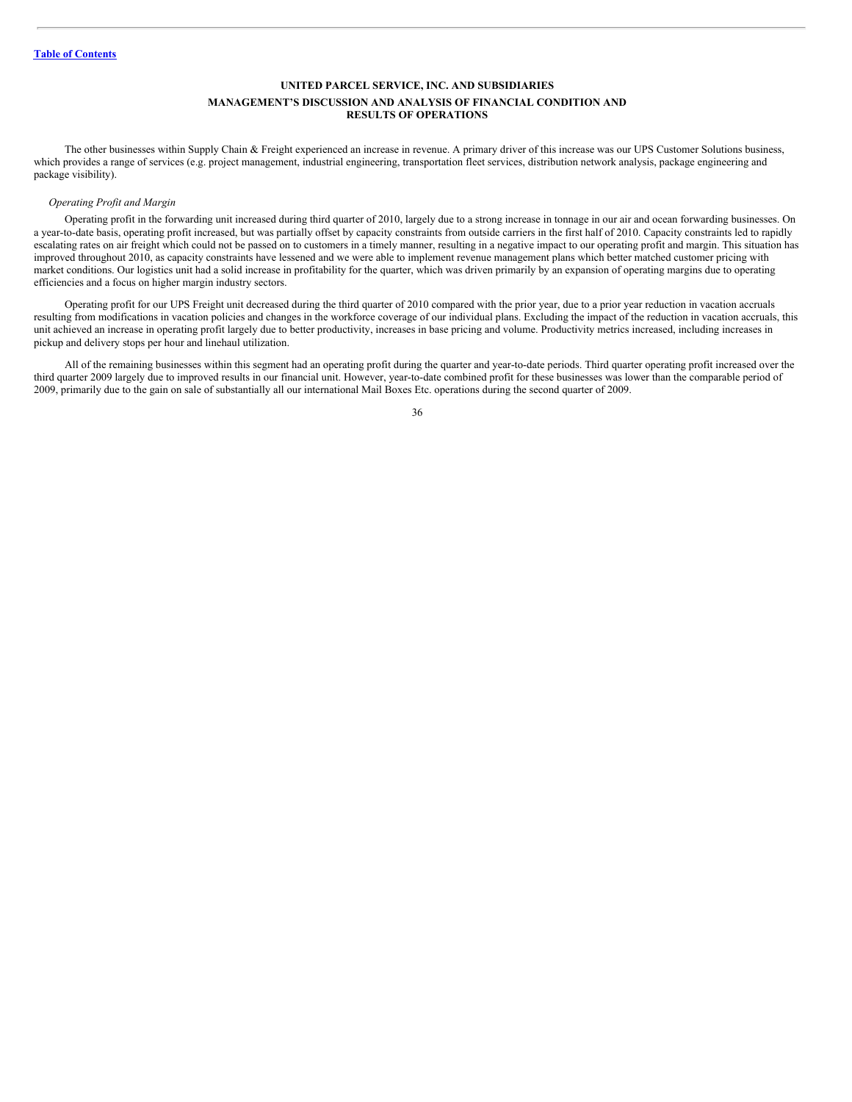The other businesses within Supply Chain & Freight experienced an increase in revenue. A primary driver of this increase was our UPS Customer Solutions business, which provides a range of services (e.g. project management, industrial engineering, transportation fleet services, distribution network analysis, package engineering and package visibility).

### *Operating Profit and Margin*

Operating profit in the forwarding unit increased during third quarter of 2010, largely due to a strong increase in tonnage in our air and ocean forwarding businesses. On a year-to-date basis, operating profit increased, but was partially offset by capacity constraints from outside carriers in the first half of 2010. Capacity constraints led to rapidly escalating rates on air freight which could not be passed on to customers in a timely manner, resulting in a negative impact to our operating profit and margin. This situation has improved throughout 2010, as capacity constraints have lessened and we were able to implement revenue management plans which better matched customer pricing with market conditions. Our logistics unit had a solid increase in profitability for the quarter, which was driven primarily by an expansion of operating margins due to operating efficiencies and a focus on higher margin industry sectors.

Operating profit for our UPS Freight unit decreased during the third quarter of 2010 compared with the prior year, due to a prior year reduction in vacation accruals resulting from modifications in vacation policies and changes in the workforce coverage of our individual plans. Excluding the impact of the reduction in vacation accruals, this unit achieved an increase in operating profit largely due to better productivity, increases in base pricing and volume. Productivity metrics increased, including increases in pickup and delivery stops per hour and linehaul utilization.

All of the remaining businesses within this segment had an operating profit during the quarter and year-to-date periods. Third quarter operating profit increased over the third quarter 2009 largely due to improved results in our financial unit. However, year-to-date combined profit for these businesses was lower than the comparable period of 2009, primarily due to the gain on sale of substantially all our international Mail Boxes Etc. operations during the second quarter of 2009.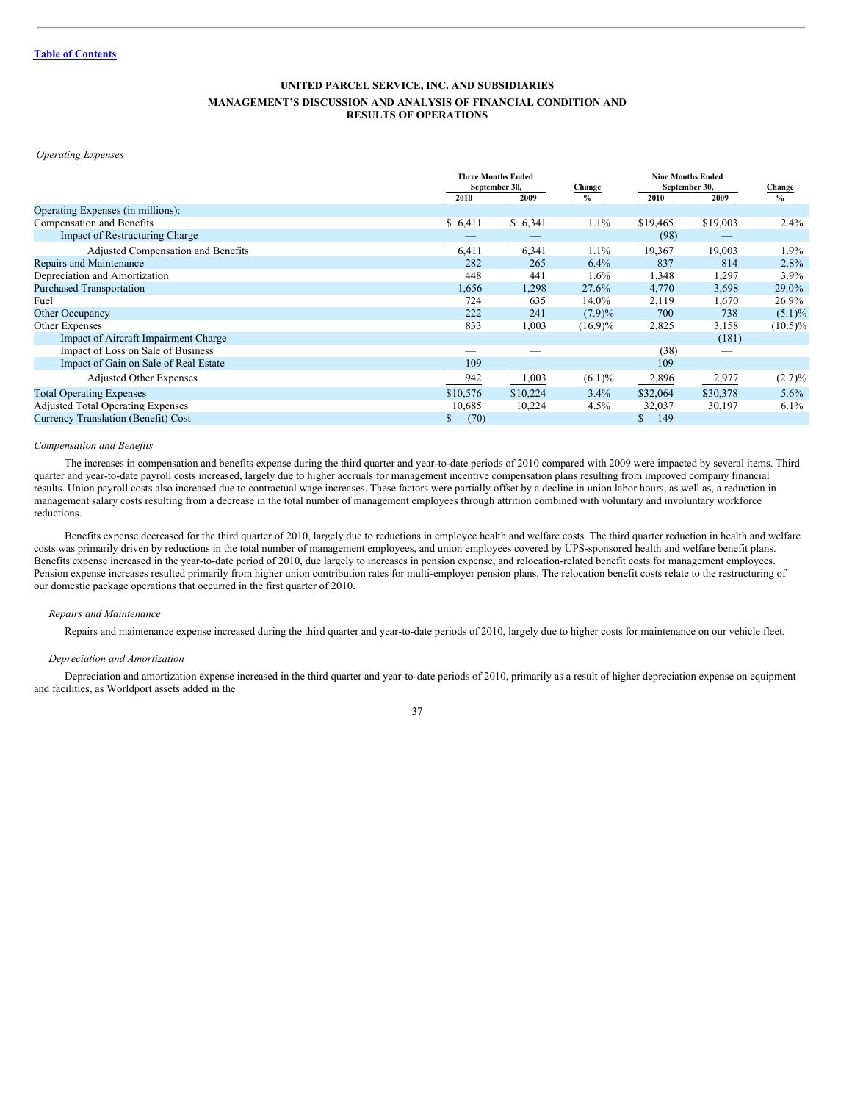### <span id="page-38-0"></span>*Operating Expenses*

|                                          |           | <b>Three Months Ended</b><br>September 30, | Change        |          | <b>Nine Months Ended</b><br>September 30, | $rac{\text{Change}}{\frac{0}{6}}$ |
|------------------------------------------|-----------|--------------------------------------------|---------------|----------|-------------------------------------------|-----------------------------------|
|                                          | 2010      | 2009                                       | $\frac{0}{0}$ | 2010     | 2009                                      |                                   |
| Operating Expenses (in millions):        |           |                                            |               |          |                                           |                                   |
| Compensation and Benefits                | \$6,411   | \$6,341                                    | $1.1\%$       | \$19,465 | \$19,003                                  | 2.4%                              |
| Impact of Restructuring Charge           |           |                                            |               | (98)     |                                           |                                   |
| Adjusted Compensation and Benefits       | 6.411     | 6,341                                      | 1.1%          | 19,367   | 19,003                                    | 1.9%                              |
| <b>Repairs and Maintenance</b>           | 282       | 265                                        | 6.4%          | 837      | 814                                       | 2.8%                              |
| Depreciation and Amortization            | 448       | 441                                        | $1.6\%$       | 1,348    | 1,297                                     | 3.9%                              |
| <b>Purchased Transportation</b>          | 1,656     | 1,298                                      | 27.6%         | 4,770    | 3,698                                     | 29.0%                             |
| Fuel                                     | 724       | 635                                        | 14.0%         | 2,119    | 1,670                                     | 26.9%                             |
| <b>Other Occupancy</b>                   | 222       | 241                                        | $(7.9)\%$     | 700      | 738                                       | $(5.1)\%$                         |
| Other Expenses                           | 833       | 1,003                                      | $(16.9)\%$    | 2,825    | 3,158                                     | $(10.5)\%$                        |
| Impact of Aircraft Impairment Charge     |           | _                                          |               |          | (181)                                     |                                   |
| Impact of Loss on Sale of Business       | _         | --                                         |               | (38)     |                                           |                                   |
| Impact of Gain on Sale of Real Estate    | 109       |                                            |               | 109      |                                           |                                   |
| <b>Adjusted Other Expenses</b>           | 942       | 1,003                                      | $(6.1)\%$     | 2,896    | 2,977                                     | (2.7)%                            |
| <b>Total Operating Expenses</b>          | \$10,576  | \$10,224                                   | $3.4\%$       | \$32,064 | \$30,378                                  | $5.6\%$                           |
| <b>Adjusted Total Operating Expenses</b> | 10,685    | 10,224                                     | 4.5%          | 32,037   | 30,197                                    | 6.1%                              |
| Currency Translation (Benefit) Cost      | (70)<br>ъ |                                            |               | 149<br>S |                                           |                                   |

#### *Compensation and Benefits*

The increases in compensation and benefits expense during the third quarter and year-to-date periods of 2010 compared with 2009 were impacted by several items. Third quarter and year-to-date payroll costs increased, largely due to higher accruals for management incentive compensation plans resulting from improved company financial results. Union payroll costs also increased due to contractual wage increases. These factors were partially offset by a decline in union labor hours, as well as, a reduction in management salary costs resulting from a decrease in the total number of management employees through attrition combined with voluntary and involuntary workforce reductions.

Benefits expense decreased for the third quarter of 2010, largely due to reductions in employee health and welfare costs. The third quarter reduction in health and welfare costs was primarily driven by reductions in the total number of management employees, and union employees covered by UPS-sponsored health and welfare benefit plans. Benefits expense increased in the year-to-date period of 2010, due largely to increases in pension expense, and relocation-related benefit costs for management employees. Pension expense increases resulted primarily from higher union contribution rates for multi-employer pension plans. The relocation benefit costs relate to the restructuring of our domestic package operations that occurred in the first quarter of 2010.

#### *Repairs and Maintenance*

Repairs and maintenance expense increased during the third quarter and year-to-date periods of 2010, largely due to higher costs for maintenance on our vehicle fleet.

#### *Depreciation and Amortization*

Depreciation and amortization expense increased in the third quarter and year-to-date periods of 2010, primarily as a result of higher depreciation expense on equipment and facilities, as Worldport assets added in the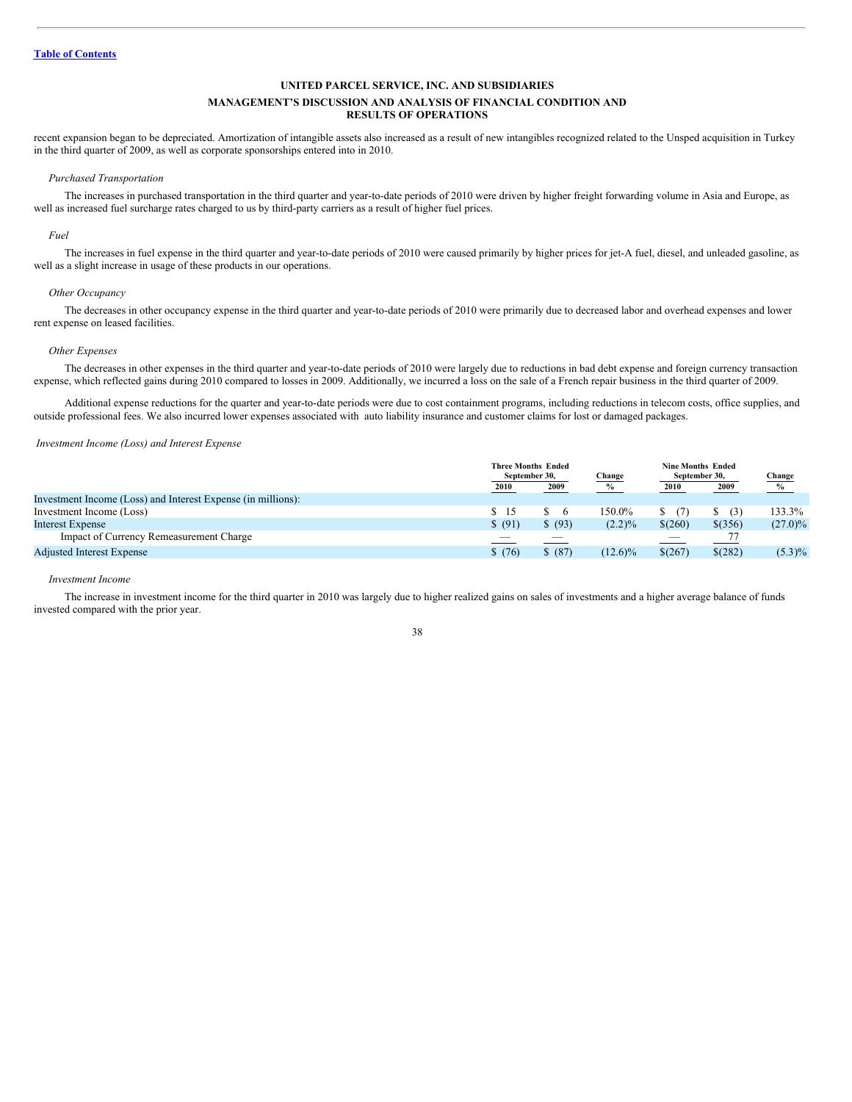# **UNITED PARCEL SERVICE, INC. AND SUBSIDIARIES**

### **MANAGEMENT'S DISCUSSION AND ANALYSIS OF FINANCIAL CONDITION AND RESULTS OF OPERATIONS**

recent expansion began to be depreciated. Amortization of intangible assets also increased as a result of new intangibles recognized related to the Unsped acquisition in Turkey in the third quarter of 2009, as well as corporate sponsorships entered into in 2010.

## *Purchased Transportation*

The increases in purchased transportation in the third quarter and year-to-date periods of 2010 were driven by higher freight forwarding volume in Asia and Europe, as well as increased fuel surcharge rates charged to us by third-party carriers as a result of higher fuel prices.

### *Fuel*

The increases in fuel expense in the third quarter and year-to-date periods of 2010 were caused primarily by higher prices for jet-A fuel, diesel, and unleaded gasoline, as well as a slight increase in usage of these products in our operations.

#### *Other Occupancy*

The decreases in other occupancy expense in the third quarter and year-to-date periods of 2010 were primarily due to decreased labor and overhead expenses and lower rent expense on leased facilities.

#### *Other Expenses*

The decreases in other expenses in the third quarter and year-to-date periods of 2010 were largely due to reductions in bad debt expense and foreign currency transaction expense, which reflected gains during 2010 compared to losses in 2009. Additionally, we incurred a loss on the sale of a French repair business in the third quarter of 2009.

Additional expense reductions for the quarter and year-to-date periods were due to cost containment programs, including reductions in telecom costs, office supplies, and outside professional fees. We also incurred lower expenses associated with auto liability insurance and customer claims for lost or damaged packages.

### <span id="page-39-0"></span>*Investment Income (Loss) and Interest Expense*

|                                                              |         | <b>Three Months Ended</b> |               |                         | <b>Nine Months Ended</b> |               |  |
|--------------------------------------------------------------|---------|---------------------------|---------------|-------------------------|--------------------------|---------------|--|
|                                                              |         | September 30,             |               | September 30,<br>Change |                          | <u>Change</u> |  |
|                                                              | 2010    | 2009                      | $\frac{9}{6}$ | 2010                    | 2009                     | $\%$          |  |
| Investment Income (Loss) and Interest Expense (in millions): |         |                           |               |                         |                          |               |  |
| Investment Income (Loss)                                     |         |                           | 150.0%        | (7)                     | (3)                      | 133.3%        |  |
| <b>Interest Expense</b>                                      | \$ (91) | \$ (93)                   | $(2.2)\%$     | $$^{(260)}$             | $$$ (356)                | $(27.0)\%$    |  |
| Impact of Currency Remeasurement Charge                      | _       |                           |               |                         |                          |               |  |
| <b>Adjusted Interest Expense</b>                             | \$ (76) | \$ (87)                   | $(12.6)\%$    | \$(267)                 | \$(282)                  | $(5.3)\%$     |  |
|                                                              |         |                           |               |                         |                          |               |  |

### *Investment Income*

The increase in investment income for the third quarter in 2010 was largely due to higher realized gains on sales of investments and a higher average balance of funds invested compared with the prior year.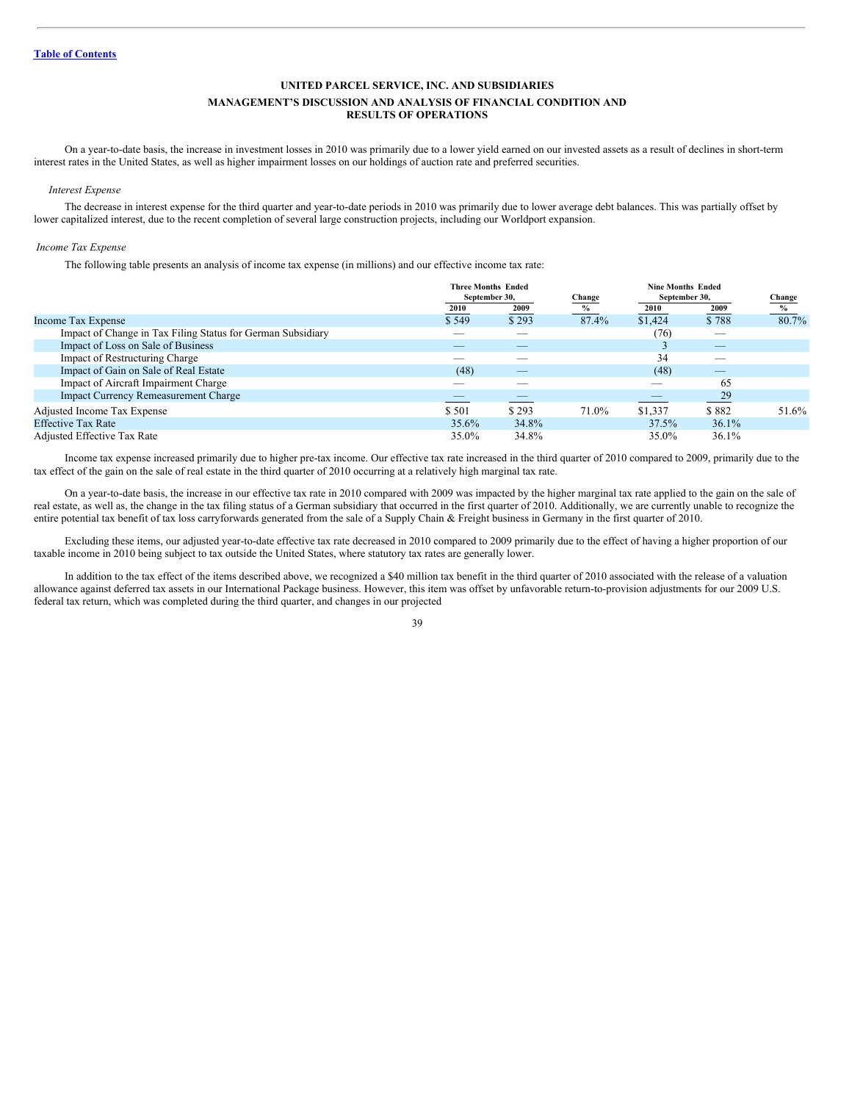On a year-to-date basis, the increase in investment losses in 2010 was primarily due to a lower yield earned on our invested assets as a result of declines in short-term interest rates in the United States, as well as higher impairment losses on our holdings of auction rate and preferred securities.

### *Interest Expense*

The decrease in interest expense for the third quarter and year-to-date periods in 2010 was primarily due to lower average debt balances. This was partially offset by lower capitalized interest, due to the recent completion of several large construction projects, including our Worldport expansion.

### <span id="page-40-0"></span>*Income Tax Expense*

The following table presents an analysis of income tax expense (in millions) and our effective income tax rate:

|                                                             |       | <b>Three Months Ended</b><br>September 30, |       | <b>Nine Months Ended</b><br>September 30, |              | Change        |
|-------------------------------------------------------------|-------|--------------------------------------------|-------|-------------------------------------------|--------------|---------------|
|                                                             | 2010  | 2009                                       | $\%$  | 2010                                      | 2009         | $\frac{9}{6}$ |
| Income Tax Expense                                          | \$549 | \$293                                      | 87.4% | \$1,424                                   | \$788        | 80.7%         |
| Impact of Change in Tax Filing Status for German Subsidiary |       |                                            |       | (76)                                      | _            |               |
| Impact of Loss on Sale of Business                          |       |                                            |       |                                           | _            |               |
| <b>Impact of Restructuring Charge</b>                       |       |                                            |       | 34                                        | ___          |               |
| Impact of Gain on Sale of Real Estate                       | (48)  | _                                          |       | (48)                                      | $-$          |               |
| Impact of Aircraft Impairment Charge                        |       |                                            |       |                                           | 65           |               |
| <b>Impact Currency Remeasurement Charge</b>                 |       |                                            |       |                                           | $\boxed{29}$ |               |
| Adjusted Income Tax Expense                                 | \$501 | \$293                                      | 71.0% | \$1.337                                   | \$882        | 51.6%         |
| <b>Effective Tax Rate</b>                                   | 35.6% | 34.8%                                      |       | 37.5%                                     | 36.1%        |               |
| <b>Adjusted Effective Tax Rate</b>                          | 35.0% | 34.8%                                      |       | 35.0%                                     | 36.1%        |               |

Income tax expense increased primarily due to higher pre-tax income. Our effective tax rate increased in the third quarter of 2010 compared to 2009, primarily due to the tax effect of the gain on the sale of real estate in the third quarter of 2010 occurring at a relatively high marginal tax rate.

On a year-to-date basis, the increase in our effective tax rate in 2010 compared with 2009 was impacted by the higher marginal tax rate applied to the gain on the sale of real estate, as well as, the change in the tax filing status of a German subsidiary that occurred in the first quarter of 2010. Additionally, we are currently unable to recognize the entire potential tax benefit of tax loss carryforwards generated from the sale of a Supply Chain & Freight business in Germany in the first quarter of 2010.

Excluding these items, our adjusted year-to-date effective tax rate decreased in 2010 compared to 2009 primarily due to the effect of having a higher proportion of our taxable income in 2010 being subject to tax outside the United States, where statutory tax rates are generally lower.

In addition to the tax effect of the items described above, we recognized a \$40 million tax benefit in the third quarter of 2010 associated with the release of a valuation allowance against deferred tax assets in our International Package business. However, this item was offset by unfavorable return-to-provision adjustments for our 2009 U.S. federal tax return, which was completed during the third quarter, and changes in our projected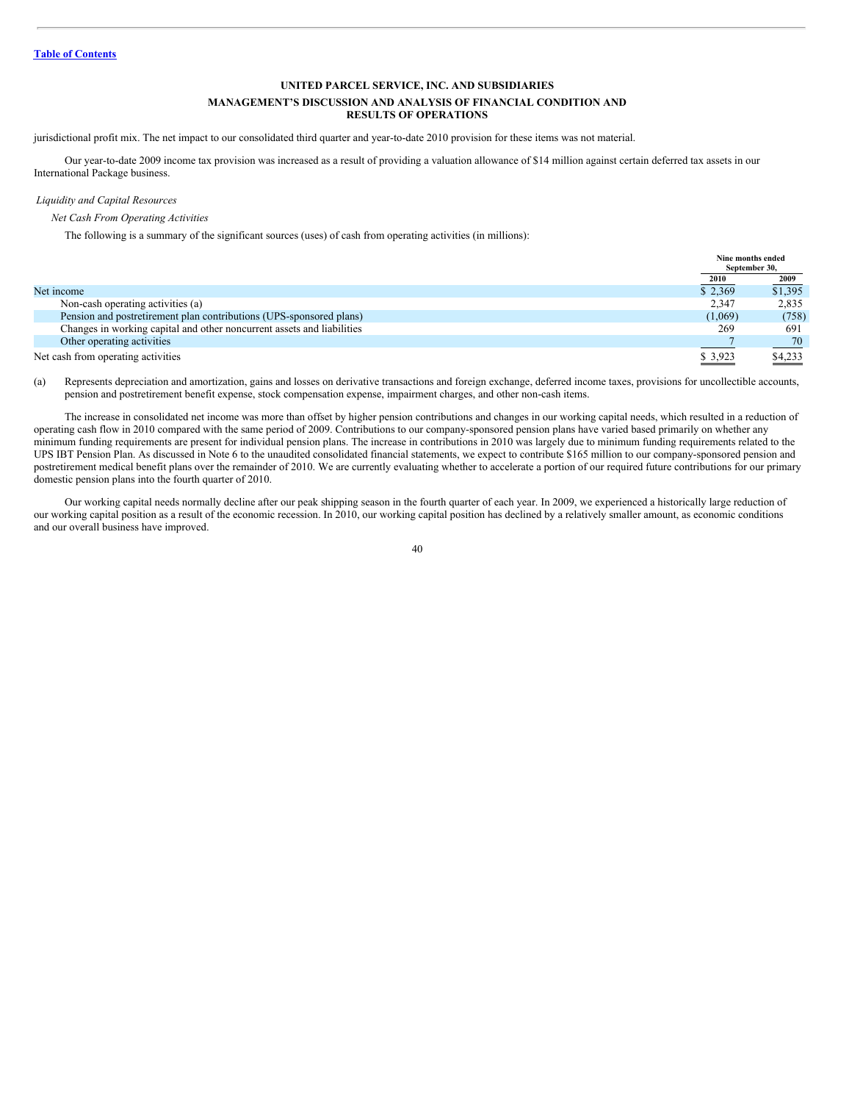### **UNITED PARCEL SERVICE, INC. AND SUBSIDIARIES**

#### **MANAGEMENT'S DISCUSSION AND ANALYSIS OF FINANCIAL CONDITION AND RESULTS OF OPERATIONS**

jurisdictional profit mix. The net impact to our consolidated third quarter and year-to-date 2010 provision for these items was not material.

Our year-to-date 2009 income tax provision was increased as a result of providing a valuation allowance of \$14 million against certain deferred tax assets in our International Package business.

#### <span id="page-41-0"></span>*Liquidity and Capital Resources*

<span id="page-41-1"></span>*Net Cash From Operating Activities*

The following is a summary of the significant sources (uses) of cash from operating activities (in millions):

|                                                                        | Nine months ended |         |
|------------------------------------------------------------------------|-------------------|---------|
|                                                                        | September 30,     |         |
|                                                                        | 2010              | 2009    |
| Net income                                                             | \$2,369           | \$1,395 |
| Non-cash operating activities (a)                                      | 2,347             | 2,835   |
| Pension and postretirement plan contributions (UPS-sponsored plans)    | (1,069)           | (758)   |
| Changes in working capital and other noncurrent assets and liabilities | 269               | 691     |
| Other operating activities                                             |                   | 70      |
| Net cash from operating activities                                     | \$3,923           | \$4,233 |

(a) Represents depreciation and amortization, gains and losses on derivative transactions and foreign exchange, deferred income taxes, provisions for uncollectible accounts, pension and postretirement benefit expense, stock compensation expense, impairment charges, and other non-cash items.

The increase in consolidated net income was more than offset by higher pension contributions and changes in our working capital needs, which resulted in a reduction of operating cash flow in 2010 compared with the same period of 2009. Contributions to our company-sponsored pension plans have varied based primarily on whether any minimum funding requirements are present for individual pension plans. The increase in contributions in 2010 was largely due to minimum funding requirements related to the UPS IBT Pension Plan. As discussed in Note 6 to the unaudited consolidated financial statements, we expect to contribute \$165 million to our company-sponsored pension and postretirement medical benefit plans over the remainder of 2010. We are currently evaluating whether to accelerate a portion of our required future contributions for our primary domestic pension plans into the fourth quarter of 2010.

Our working capital needs normally decline after our peak shipping season in the fourth quarter of each year. In 2009, we experienced a historically large reduction of our working capital position as a result of the economic recession. In 2010, our working capital position has declined by a relatively smaller amount, as economic conditions and our overall business have improved.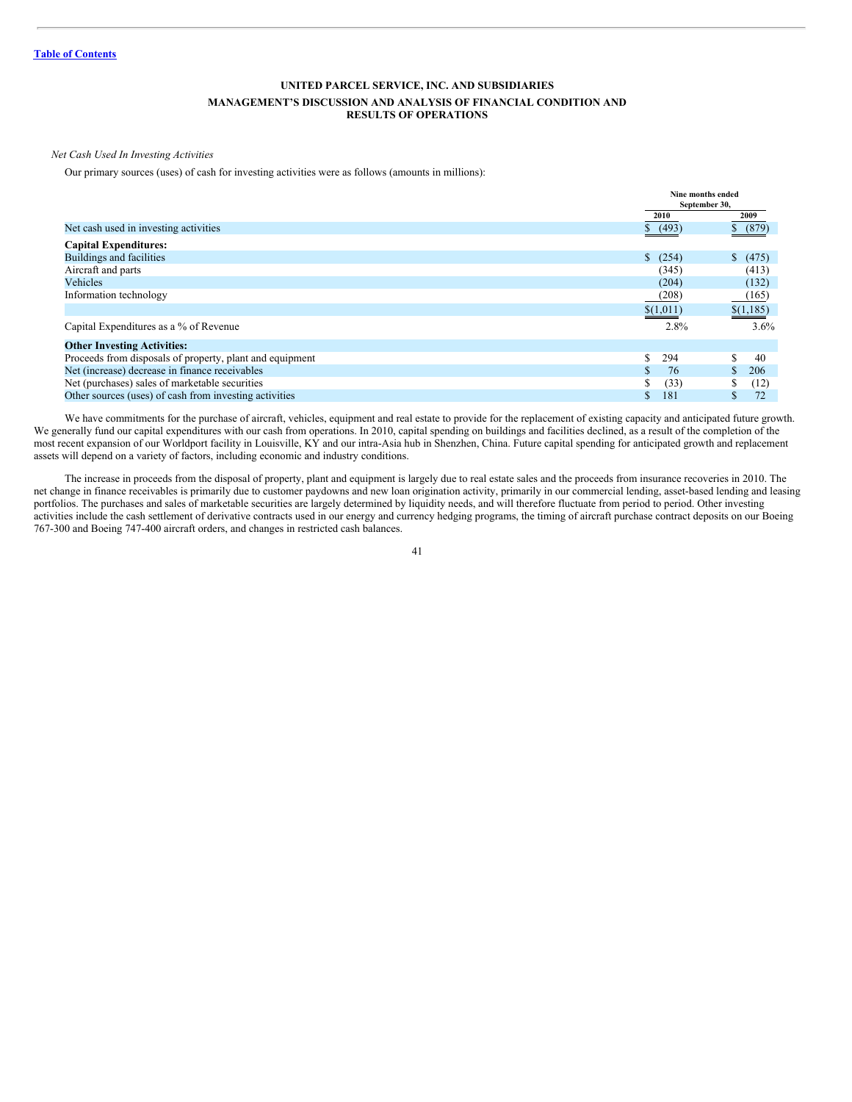### <span id="page-42-0"></span>*Net Cash Used In Investing Activities*

Our primary sources (uses) of cash for investing activities were as follows (amounts in millions):

|                                                          | Nine months ended |           |
|----------------------------------------------------------|-------------------|-----------|
|                                                          | September 30,     |           |
|                                                          | 2010              | 2009      |
| Net cash used in investing activities                    | \$ (493)          | \$ (879)  |
| <b>Capital Expenditures:</b>                             |                   |           |
| <b>Buildings and facilities</b>                          | \$ (254)          | \$ (475)  |
| Aircraft and parts                                       | (345)             | (413)     |
| Vehicles                                                 | (204)             | (132)     |
| Information technology                                   | (208)             | (165)     |
|                                                          | \$(1,011)         | \$(1,185) |
| Capital Expenditures as a % of Revenue                   | 2.8%              | $3.6\%$   |
| <b>Other Investing Activities:</b>                       |                   |           |
| Proceeds from disposals of property, plant and equipment | 294               | 40        |
| Net (increase) decrease in finance receivables           | 76                | 206       |
| Net (purchases) sales of marketable securities           | (33)<br>ъ         | (12)<br>ъ |
| Other sources (uses) of cash from investing activities   | 181               | 72        |

We have commitments for the purchase of aircraft, vehicles, equipment and real estate to provide for the replacement of existing capacity and anticipated future growth. We generally fund our capital expenditures with our cash from operations. In 2010, capital spending on buildings and facilities declined, as a result of the completion of the most recent expansion of our Worldport facility in Louisville, KY and our intra-Asia hub in Shenzhen, China. Future capital spending for anticipated growth and replacement assets will depend on a variety of factors, including economic and industry conditions.

The increase in proceeds from the disposal of property, plant and equipment is largely due to real estate sales and the proceeds from insurance recoveries in 2010. The net change in finance receivables is primarily due to customer paydowns and new loan origination activity, primarily in our commercial lending, asset-based lending and leasing portfolios. The purchases and sales of marketable securities are largely determined by liquidity needs, and will therefore fluctuate from period to period. Other investing activities include the cash settlement of derivative contracts used in our energy and currency hedging programs, the timing of aircraft purchase contract deposits on our Boeing 767-300 and Boeing 747-400 aircraft orders, and changes in restricted cash balances.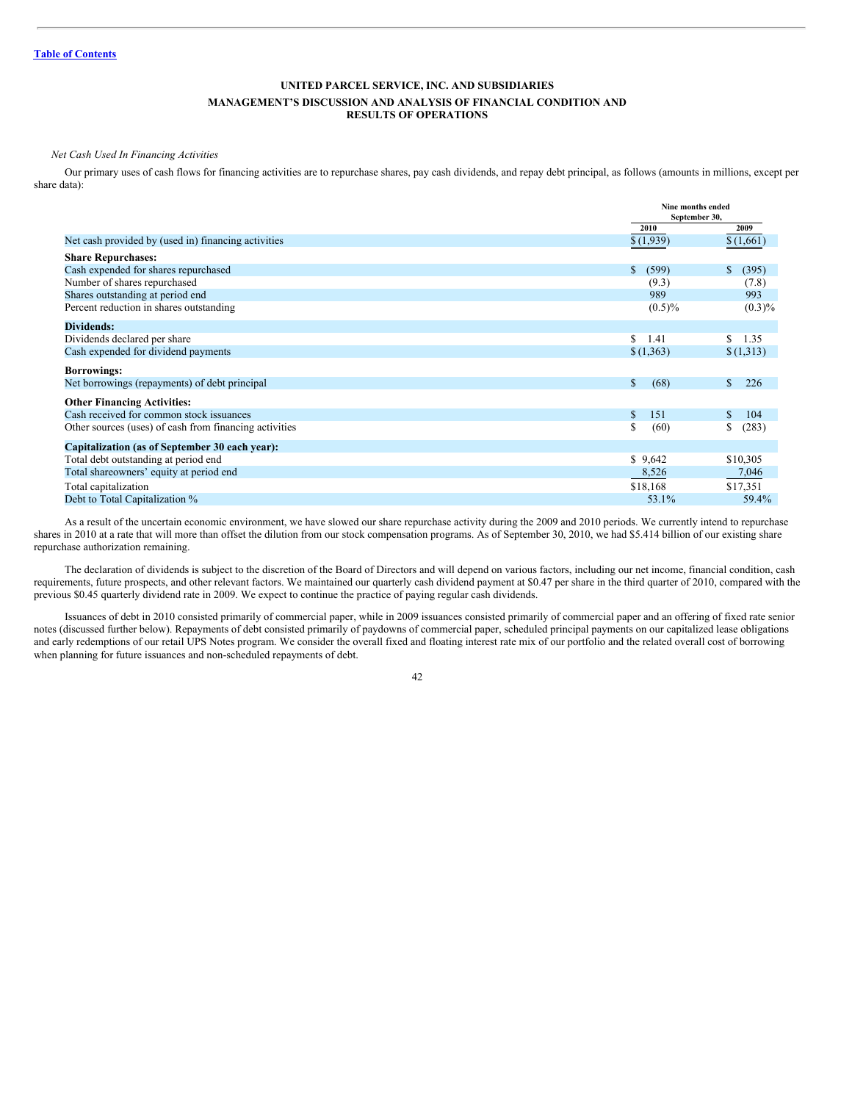### <span id="page-43-0"></span>*Net Cash Used In Financing Activities*

Our primary uses of cash flows for financing activities are to repurchase shares, pay cash dividends, and repay debt principal, as follows (amounts in millions, except per share data):

|                                                        | Nine months ended |                     |
|--------------------------------------------------------|-------------------|---------------------|
|                                                        | September 30,     |                     |
|                                                        | 2010              | 2009                |
| Net cash provided by (used in) financing activities    | \$(1,939)         | \$(1,661)           |
| <b>Share Repurchases:</b>                              |                   |                     |
| Cash expended for shares repurchased                   | \$<br>(599)       | \$<br>(395)         |
| Number of shares repurchased                           | (9.3)             | (7.8)               |
| Shares outstanding at period end                       | 989               | 993                 |
| Percent reduction in shares outstanding                | $(0.5)\%$         | $(0.3)\%$           |
| <b>Dividends:</b>                                      |                   |                     |
| Dividends declared per share                           | \$.<br>1.41       | \$.<br>1.35         |
| Cash expended for dividend payments                    | \$(1,363)         | \$(1,313)           |
| <b>Borrowings:</b>                                     |                   |                     |
| Net borrowings (repayments) of debt principal          | \$<br>(68)        | $\mathbf{s}$<br>226 |
| <b>Other Financing Activities:</b>                     |                   |                     |
| Cash received for common stock issuances               | \$<br>151         | \$<br>104           |
| Other sources (uses) of cash from financing activities | \$<br>(60)        | \$<br>(283)         |
| Capitalization (as of September 30 each year):         |                   |                     |
| Total debt outstanding at period end                   | \$9,642           | \$10,305            |
| Total shareowners' equity at period end                | 8,526             | 7,046               |
| Total capitalization                                   | \$18,168          | \$17,351            |
| Debt to Total Capitalization %                         | 53.1%             | 59.4%               |

As a result of the uncertain economic environment, we have slowed our share repurchase activity during the 2009 and 2010 periods. We currently intend to repurchase shares in 2010 at a rate that will more than offset the dilution from our stock compensation programs. As of September 30, 2010, we had \$5.414 billion of our existing share repurchase authorization remaining.

The declaration of dividends is subject to the discretion of the Board of Directors and will depend on various factors, including our net income, financial condition, cash requirements, future prospects, and other relevant factors. We maintained our quarterly cash dividend payment at \$0.47 per share in the third quarter of 2010, compared with the previous \$0.45 quarterly dividend rate in 2009. We expect to continue the practice of paying regular cash dividends.

Issuances of debt in 2010 consisted primarily of commercial paper, while in 2009 issuances consisted primarily of commercial paper and an offering of fixed rate senior notes (discussed further below). Repayments of debt consisted primarily of paydowns of commercial paper, scheduled principal payments on our capitalized lease obligations and early redemptions of our retail UPS Notes program. We consider the overall fixed and floating interest rate mix of our portfolio and the related overall cost of borrowing when planning for future issuances and non-scheduled repayments of debt.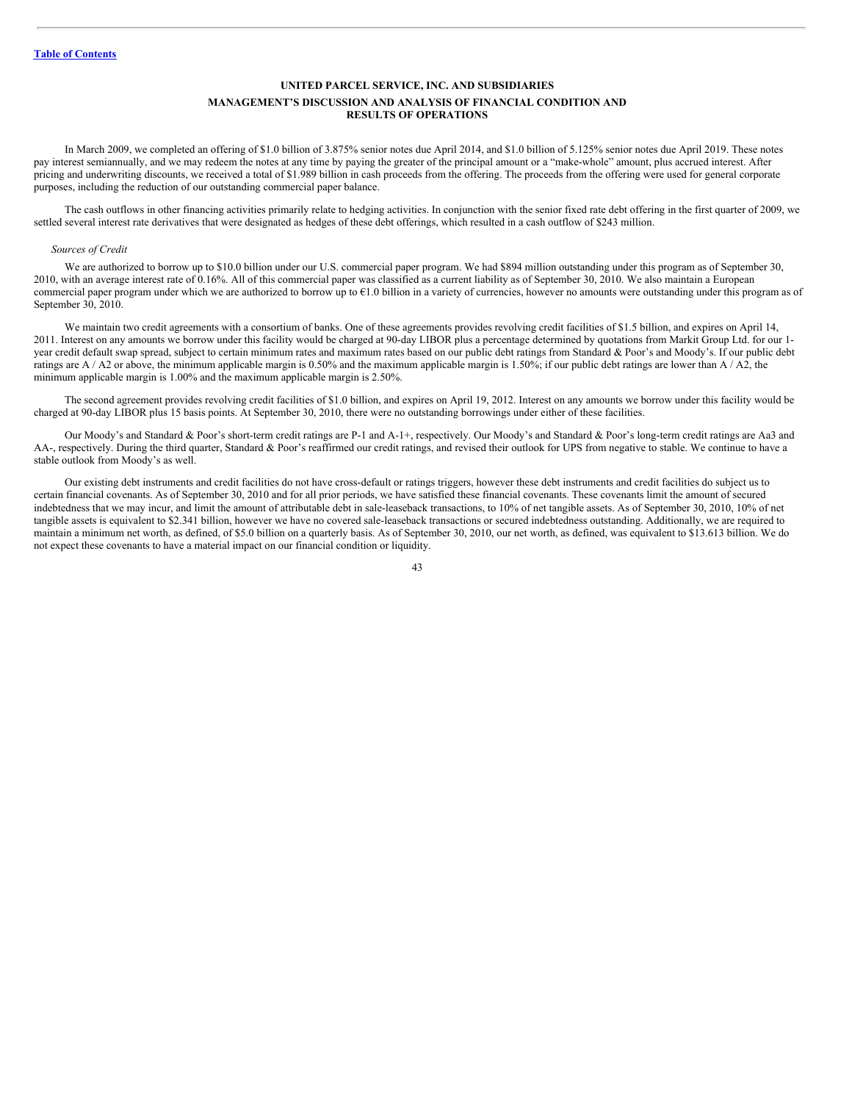### **UNITED PARCEL SERVICE, INC. AND SUBSIDIARIES**

### **MANAGEMENT'S DISCUSSION AND ANALYSIS OF FINANCIAL CONDITION AND RESULTS OF OPERATIONS**

In March 2009, we completed an offering of \$1.0 billion of 3.875% senior notes due April 2014, and \$1.0 billion of 5.125% senior notes due April 2019. These notes pay interest semiannually, and we may redeem the notes at any time by paying the greater of the principal amount or a "make-whole" amount, plus accrued interest. After pricing and underwriting discounts, we received a total of \$1.989 billion in cash proceeds from the offering. The proceeds from the offering were used for general corporate purposes, including the reduction of our outstanding commercial paper balance.

The cash outflows in other financing activities primarily relate to hedging activities. In conjunction with the senior fixed rate debt offering in the first quarter of 2009, we settled several interest rate derivatives that were designated as hedges of these debt offerings, which resulted in a cash outflow of \$243 million.

### <span id="page-44-0"></span>*Sources of Credit*

We are authorized to borrow up to \$10.0 billion under our U.S. commercial paper program. We had \$894 million outstanding under this program as of September 30, 2010, with an average interest rate of 0.16%. All of this commercial paper was classified as a current liability as of September 30, 2010. We also maintain a European commercial paper program under which we are authorized to borrow up to €1.0 billion in a variety of currencies, however no amounts were outstanding under this program as of September 30, 2010.

We maintain two credit agreements with a consortium of banks. One of these agreements provides revolving credit facilities of \$1.5 billion, and expires on April 14, 2011. Interest on any amounts we borrow under this facility would be charged at 90-day LIBOR plus a percentage determined by quotations from Markit Group Ltd. for our 1year credit default swap spread, subject to certain minimum rates and maximum rates based on our public debt ratings from Standard & Poor's and Moody's. If our public debt ratings are A / A2 or above, the minimum applicable margin is 0.50% and the maximum applicable margin is 1.50%; if our public debt ratings are lower than A / A2, the minimum applicable margin is 1.00% and the maximum applicable margin is 2.50%.

The second agreement provides revolving credit facilities of \$1.0 billion, and expires on April 19, 2012. Interest on any amounts we borrow under this facility would be charged at 90-day LIBOR plus 15 basis points. At September 30, 2010, there were no outstanding borrowings under either of these facilities.

Our Moody's and Standard & Poor's short-term credit ratings are P-1 and A-1+, respectively. Our Moody's and Standard & Poor's long-term credit ratings are Aa3 and AA-, respectively. During the third quarter, Standard & Poor's reaffirmed our credit ratings, and revised their outlook for UPS from negative to stable. We continue to have a stable outlook from Moody's as well.

Our existing debt instruments and credit facilities do not have cross-default or ratings triggers, however these debt instruments and credit facilities do subject us to certain financial covenants. As of September 30, 2010 and for all prior periods, we have satisfied these financial covenants. These covenants limit the amount of secured indebtedness that we may incur, and limit the amount of attributable debt in sale-leaseback transactions, to 10% of net tangible assets. As of September 30, 2010, 10% of net tangible assets is equivalent to \$2.341 billion, however we have no covered sale-leaseback transactions or secured indebtedness outstanding. Additionally, we are required to maintain a minimum net worth, as defined, of \$5.0 billion on a quarterly basis. As of September 30, 2010, our net worth, as defined, was equivalent to \$13.613 billion. We do not expect these covenants to have a material impact on our financial condition or liquidity.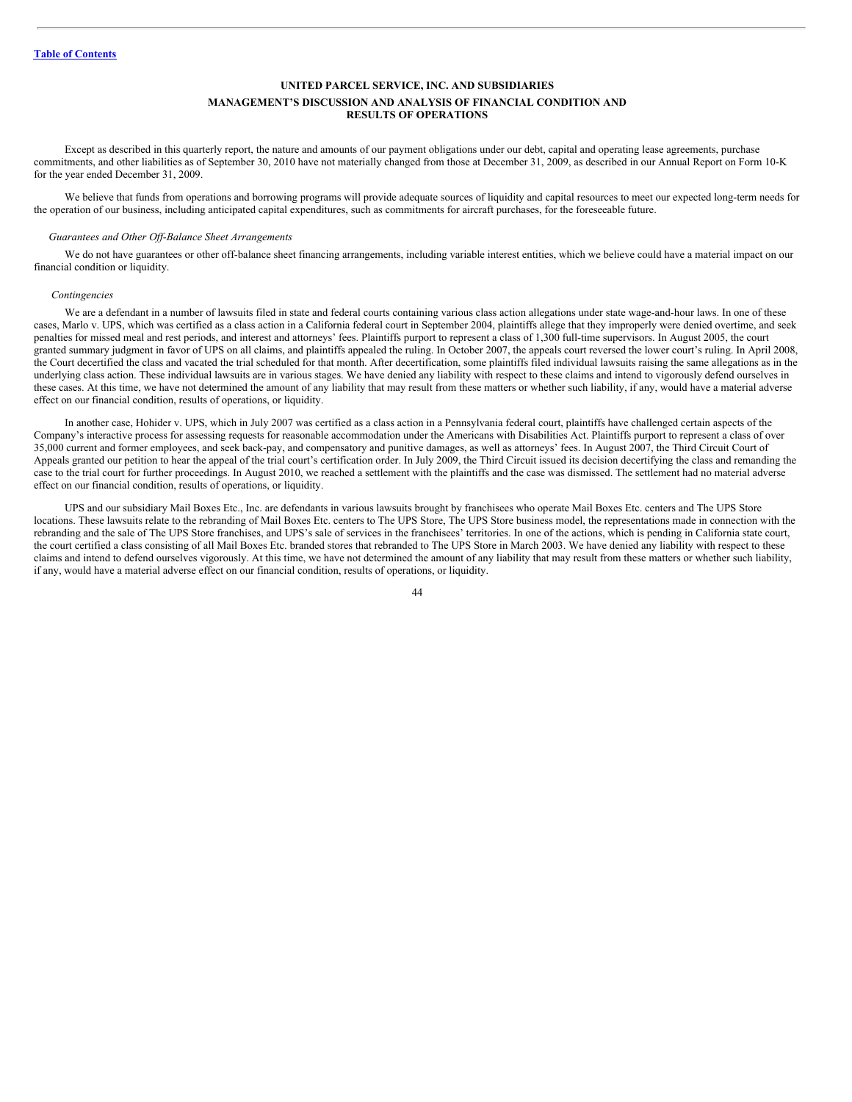### **UNITED PARCEL SERVICE, INC. AND SUBSIDIARIES**

### **MANAGEMENT'S DISCUSSION AND ANALYSIS OF FINANCIAL CONDITION AND RESULTS OF OPERATIONS**

Except as described in this quarterly report, the nature and amounts of our payment obligations under our debt, capital and operating lease agreements, purchase commitments, and other liabilities as of September 30, 2010 have not materially changed from those at December 31, 2009, as described in our Annual Report on Form 10-K for the year ended December 31, 2009.

We believe that funds from operations and borrowing programs will provide adequate sources of liquidity and capital resources to meet our expected long-term needs for the operation of our business, including anticipated capital expenditures, such as commitments for aircraft purchases, for the foreseeable future.

#### *Guarantees and Other Of -Balance Sheet Arrangements*

We do not have guarantees or other off-balance sheet financing arrangements, including variable interest entities, which we believe could have a material impact on our financial condition or liquidity.

#### <span id="page-45-0"></span>*Contingencies*

We are a defendant in a number of lawsuits filed in state and federal courts containing various class action allegations under state wage-and-hour laws. In one of these cases, Marlo v. UPS, which was certified as a class action in a California federal court in September 2004, plaintiffs allege that they improperly were denied overtime, and seek penalties for missed meal and rest periods, and interest and attorneys' fees. Plaintiffs purport to represent a class of 1,300 full-time supervisors. In August 2005, the court granted summary judgment in favor of UPS on all claims, and plaintiffs appealed the ruling. In October 2007, the appeals court reversed the lower court's ruling. In April 2008, the Court decertified the class and vacated the trial scheduled for that month. After decertification, some plaintiffs filed individual lawsuits raising the same allegations as in the underlying class action. These individual lawsuits are in various stages. We have denied any liability with respect to these claims and intend to vigorously defend ourselves in these cases. At this time, we have not determined the amount of any liability that may result from these matters or whether such liability, if any, would have a material adverse effect on our financial condition, results of operations, or liquidity.

In another case, Hohider v. UPS, which in July 2007 was certified as a class action in a Pennsylvania federal court, plaintiffs have challenged certain aspects of the Company's interactive process for assessing requests for reasonable accommodation under the Americans with Disabilities Act. Plaintiffs purport to represent a class of over 35,000 current and former employees, and seek back-pay, and compensatory and punitive damages, as well as attorneys' fees. In August 2007, the Third Circuit Court of Appeals granted our petition to hear the appeal of the trial court's certification order. In July 2009, the Third Circuit issued its decision decertifying the class and remanding the case to the trial court for further proceedings. In August 2010, we reached a settlement with the plaintiffs and the case was dismissed. The settlement had no material adverse effect on our financial condition, results of operations, or liquidity.

UPS and our subsidiary Mail Boxes Etc., Inc. are defendants in various lawsuits brought by franchisees who operate Mail Boxes Etc. centers and The UPS Store locations. These lawsuits relate to the rebranding of Mail Boxes Etc. centers to The UPS Store, The UPS Store business model, the representations made in connection with the rebranding and the sale of The UPS Store franchises, and UPS's sale of services in the franchisees' territories. In one of the actions, which is pending in California state court, the court certified a class consisting of all Mail Boxes Etc. branded stores that rebranded to The UPS Store in March 2003. We have denied any liability with respect to these claims and intend to defend ourselves vigorously. At this time, we have not determined the amount of any liability that may result from these matters or whether such liability, if any, would have a material adverse effect on our financial condition, results of operations, or liquidity.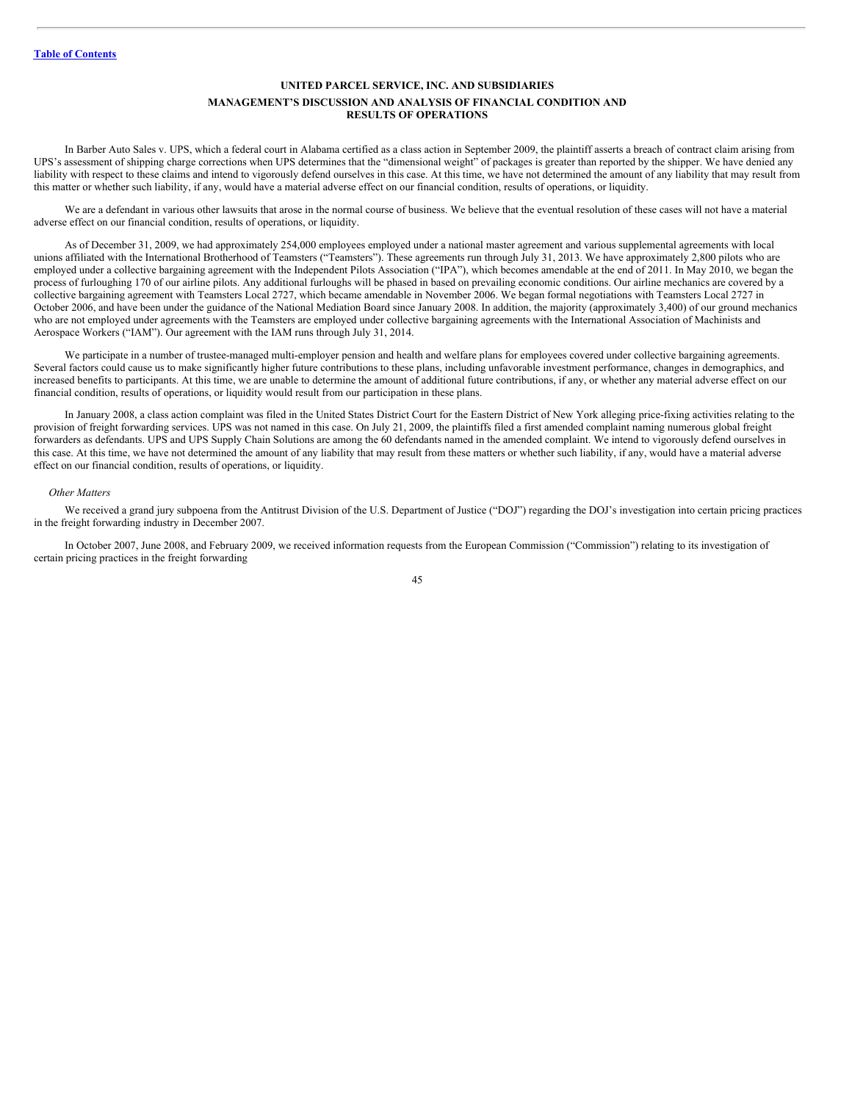In Barber Auto Sales v. UPS, which a federal court in Alabama certified as a class action in September 2009, the plaintiff asserts a breach of contract claim arising from UPS's assessment of shipping charge corrections when UPS determines that the "dimensional weight" of packages is greater than reported by the shipper. We have denied any liability with respect to these claims and intend to vigorously defend ourselves in this case. At this time, we have not determined the amount of any liability that may result from this matter or whether such liability, if any, would have a material adverse effect on our financial condition, results of operations, or liquidity.

We are a defendant in various other lawsuits that arose in the normal course of business. We believe that the eventual resolution of these cases will not have a material adverse effect on our financial condition, results of operations, or liquidity.

As of December 31, 2009, we had approximately 254,000 employees employed under a national master agreement and various supplemental agreements with local unions affiliated with the International Brotherhood of Teamsters ("Teamsters"). These agreements run through July 31, 2013. We have approximately 2,800 pilots who are employed under a collective bargaining agreement with the Independent Pilots Association ("IPA"), which becomes amendable at the end of 2011. In May 2010, we began the process of furloughing 170 of our airline pilots. Any additional furloughs will be phased in based on prevailing economic conditions. Our airline mechanics are covered by a collective bargaining agreement with Teamsters Local 2727, which became amendable in November 2006. We began formal negotiations with Teamsters Local 2727 in October 2006, and have been under the guidance of the National Mediation Board since January 2008. In addition, the majority (approximately 3,400) of our ground mechanics who are not employed under agreements with the Teamsters are employed under collective bargaining agreements with the International Association of Machinists and Aerospace Workers ("IAM"). Our agreement with the IAM runs through July 31, 2014.

We participate in a number of trustee-managed multi-employer pension and health and welfare plans for employees covered under collective bargaining agreements. Several factors could cause us to make significantly higher future contributions to these plans, including unfavorable investment performance, changes in demographics, and increased benefits to participants. At this time, we are unable to determine the amount of additional future contributions, if any, or whether any material adverse effect on our financial condition, results of operations, or liquidity would result from our participation in these plans.

In January 2008, a class action complaint was filed in the United States District Court for the Eastern District of New York alleging price-fixing activities relating to the provision of freight forwarding services. UPS was not named in this case. On July 21, 2009, the plaintiffs filed a first amended complaint naming numerous global freight forwarders as defendants. UPS and UPS Supply Chain Solutions are among the 60 defendants named in the amended complaint. We intend to vigorously defend ourselves in this case. At this time, we have not determined the amount of any liability that may result from these matters or whether such liability, if any, would have a material adverse effect on our financial condition, results of operations, or liquidity.

#### *Other Matters*

We received a grand jury subpoena from the Antitrust Division of the U.S. Department of Justice ("DOJ") regarding the DOJ's investigation into certain pricing practices in the freight forwarding industry in December 2007.

In October 2007, June 2008, and February 2009, we received information requests from the European Commission ("Commission") relating to its investigation of certain pricing practices in the freight forwarding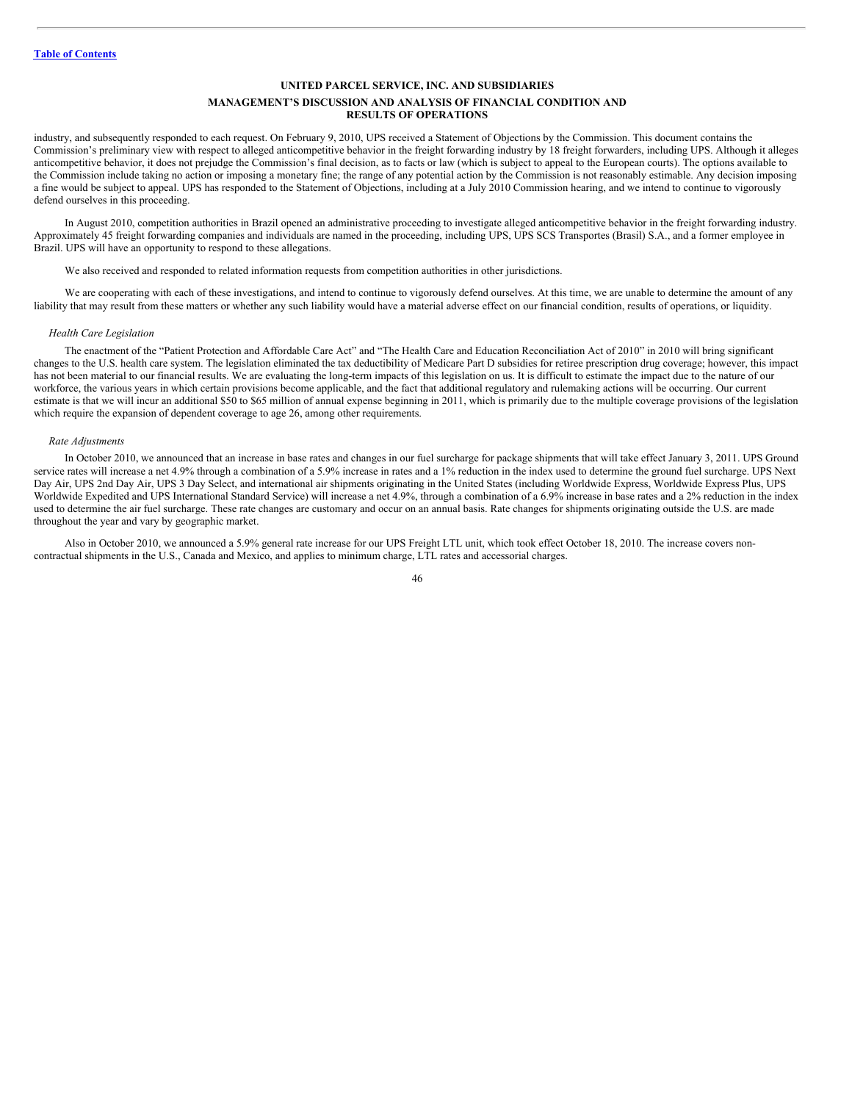### **UNITED PARCEL SERVICE, INC. AND SUBSIDIARIES**

### **MANAGEMENT'S DISCUSSION AND ANALYSIS OF FINANCIAL CONDITION AND RESULTS OF OPERATIONS**

industry, and subsequently responded to each request. On February 9, 2010, UPS received a Statement of Objections by the Commission. This document contains the Commission's preliminary view with respect to alleged anticompetitive behavior in the freight forwarding industry by 18 freight forwarders, including UPS. Although it alleges anticompetitive behavior, it does not prejudge the Commission's final decision, as to facts or law (which is subject to appeal to the European courts). The options available to the Commission include taking no action or imposing a monetary fine; the range of any potential action by the Commission is not reasonably estimable. Any decision imposing a fine would be subject to appeal. UPS has responded to the Statement of Objections, including at a July 2010 Commission hearing, and we intend to continue to vigorously defend ourselves in this proceeding.

In August 2010, competition authorities in Brazil opened an administrative proceeding to investigate alleged anticompetitive behavior in the freight forwarding industry. Approximately 45 freight forwarding companies and individuals are named in the proceeding, including UPS, UPS SCS Transportes (Brasil) S.A., and a former employee in Brazil. UPS will have an opportunity to respond to these allegations.

We also received and responded to related information requests from competition authorities in other jurisdictions.

We are cooperating with each of these investigations, and intend to continue to vigorously defend ourselves. At this time, we are unable to determine the amount of any liability that may result from these matters or whether any such liability would have a material adverse effect on our financial condition, results of operations, or liquidity.

#### *Health Care Legislation*

The enactment of the "Patient Protection and Affordable Care Act" and "The Health Care and Education Reconciliation Act of 2010" in 2010 will bring significant changes to the U.S. health care system. The legislation eliminated the tax deductibility of Medicare Part D subsidies for retiree prescription drug coverage; however, this impact has not been material to our financial results. We are evaluating the long-term impacts of this legislation on us. It is difficult to estimate the impact due to the nature of our workforce, the various years in which certain provisions become applicable, and the fact that additional regulatory and rulemaking actions will be occurring. Our current estimate is that we will incur an additional \$50 to \$65 million of annual expense beginning in 2011, which is primarily due to the multiple coverage provisions of the legislation which require the expansion of dependent coverage to age 26, among other requirements.

#### *Rate Adjustments*

In October 2010, we announced that an increase in base rates and changes in our fuel surcharge for package shipments that will take effect January 3, 2011. UPS Ground service rates will increase a net 4.9% through a combination of a 5.9% increase in rates and a 1% reduction in the index used to determine the ground fuel surcharge. UPS Next Day Air, UPS 2nd Day Air, UPS 3 Day Select, and international air shipments originating in the United States (including Worldwide Express, Worldwide Express Plus, UPS Worldwide Expedited and UPS International Standard Service) will increase a net 4.9%, through a combination of a 6.9% increase in base rates and a 2% reduction in the index used to determine the air fuel surcharge. These rate changes are customary and occur on an annual basis. Rate changes for shipments originating outside the U.S. are made throughout the year and vary by geographic market.

Also in October 2010, we announced a 5.9% general rate increase for our UPS Freight LTL unit, which took effect October 18, 2010. The increase covers noncontractual shipments in the U.S., Canada and Mexico, and applies to minimum charge, LTL rates and accessorial charges.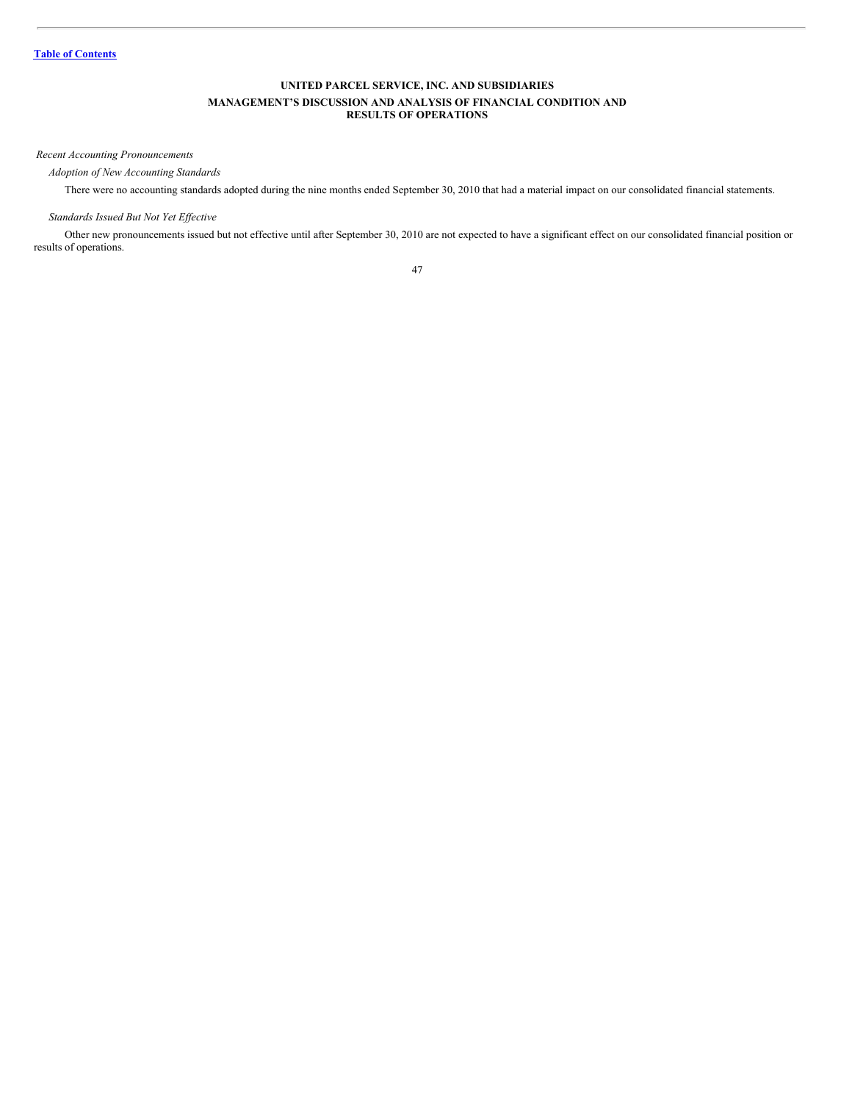<span id="page-48-0"></span>*Recent Accounting Pronouncements*

*Adoption of New Accounting Standards*

There were no accounting standards adopted during the nine months ended September 30, 2010 that had a material impact on our consolidated financial statements.

# *Standards Issued But Not Yet Ef ective*

Other new pronouncements issued but not effective until after September 30, 2010 are not expected to have a significant effect on our consolidated financial position or results of operations.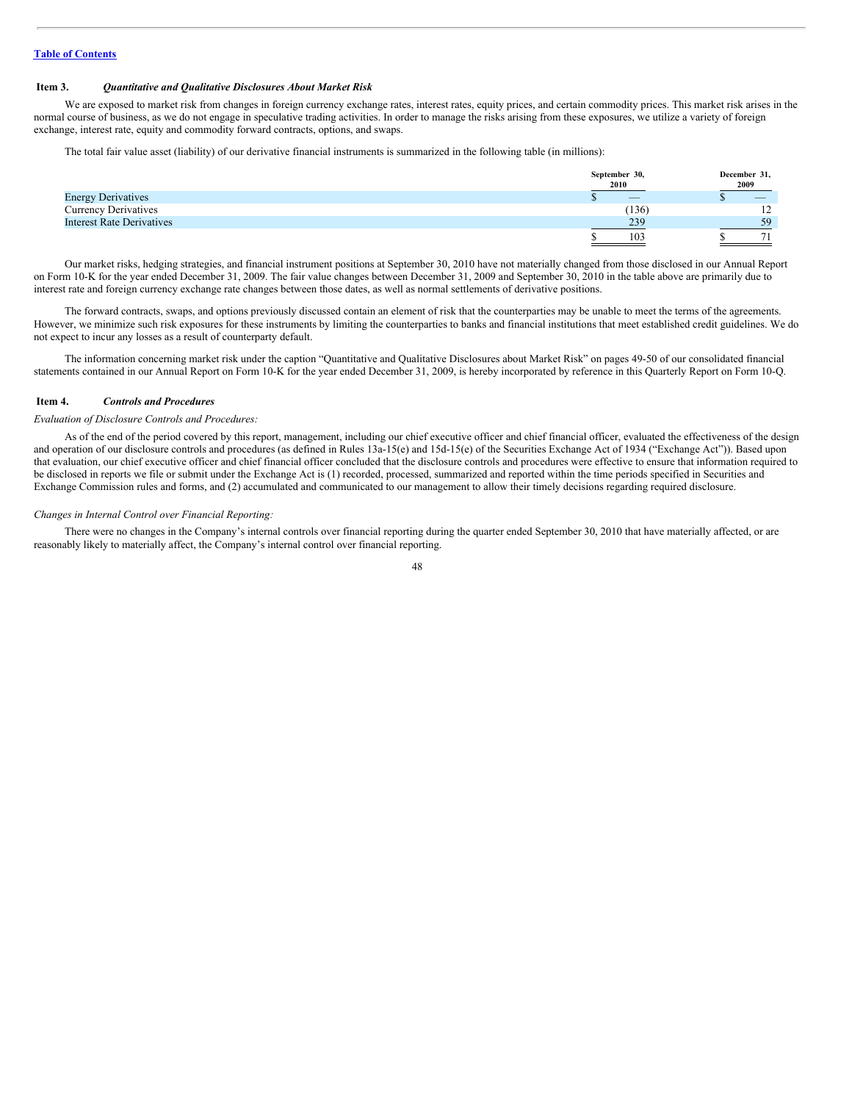#### <span id="page-49-0"></span>**Item 3.** *Quantitative and Qualitative Disclosures About Market Risk*

We are exposed to market risk from changes in foreign currency exchange rates, interest rates, equity prices, and certain commodity prices. This market risk arises in the normal course of business, as we do not engage in speculative trading activities. In order to manage the risks arising from these exposures, we utilize a variety of foreign exchange, interest rate, equity and commodity forward contracts, options, and swaps.

The total fair value asset (liability) of our derivative financial instruments is summarized in the following table (in millions):

|                                  | September 30,<br>2010 | December 31,<br>2009     |
|----------------------------------|-----------------------|--------------------------|
| <b>Energy Derivatives</b>        |                       |                          |
| <b>Currency Derivatives</b>      | (136)                 | 12                       |
| <b>Interest Rate Derivatives</b> | 239                   | 59                       |
|                                  | 103                   | $\overline{\phantom{a}}$ |

Our market risks, hedging strategies, and financial instrument positions at September 30, 2010 have not materially changed from those disclosed in our Annual Report on Form 10-K for the year ended December 31, 2009. The fair value changes between December 31, 2009 and September 30, 2010 in the table above are primarily due to interest rate and foreign currency exchange rate changes between those dates, as well as normal settlements of derivative positions.

The forward contracts, swaps, and options previously discussed contain an element of risk that the counterparties may be unable to meet the terms of the agreements. However, we minimize such risk exposures for these instruments by limiting the counterparties to banks and financial institutions that meet established credit guidelines. We do not expect to incur any losses as a result of counterparty default.

The information concerning market risk under the caption "Quantitative and Qualitative Disclosures about Market Risk" on pages 49-50 of our consolidated financial statements contained in our Annual Report on Form 10-K for the year ended December 31, 2009, is hereby incorporated by reference in this Quarterly Report on Form 10-Q.

#### <span id="page-49-1"></span>**Item 4.** *Controls and Procedures*

### *Evaluation of Disclosure Controls and Procedures:*

As of the end of the period covered by this report, management, including our chief executive officer and chief financial officer, evaluated the effectiveness of the design and operation of our disclosure controls and procedures (as defined in Rules 13a-15(e) and 15d-15(e) of the Securities Exchange Act of 1934 ("Exchange Act")). Based upon that evaluation, our chief executive officer and chief financial officer concluded that the disclosure controls and procedures were effective to ensure that information required to be disclosed in reports we file or submit under the Exchange Act is (1) recorded, processed, summarized and reported within the time periods specified in Securities and Exchange Commission rules and forms, and (2) accumulated and communicated to our management to allow their timely decisions regarding required disclosure.

#### *Changes in Internal Control over Financial Reporting:*

There were no changes in the Company's internal controls over financial reporting during the quarter ended September 30, 2010 that have materially affected, or are reasonably likely to materially affect, the Company's internal control over financial reporting.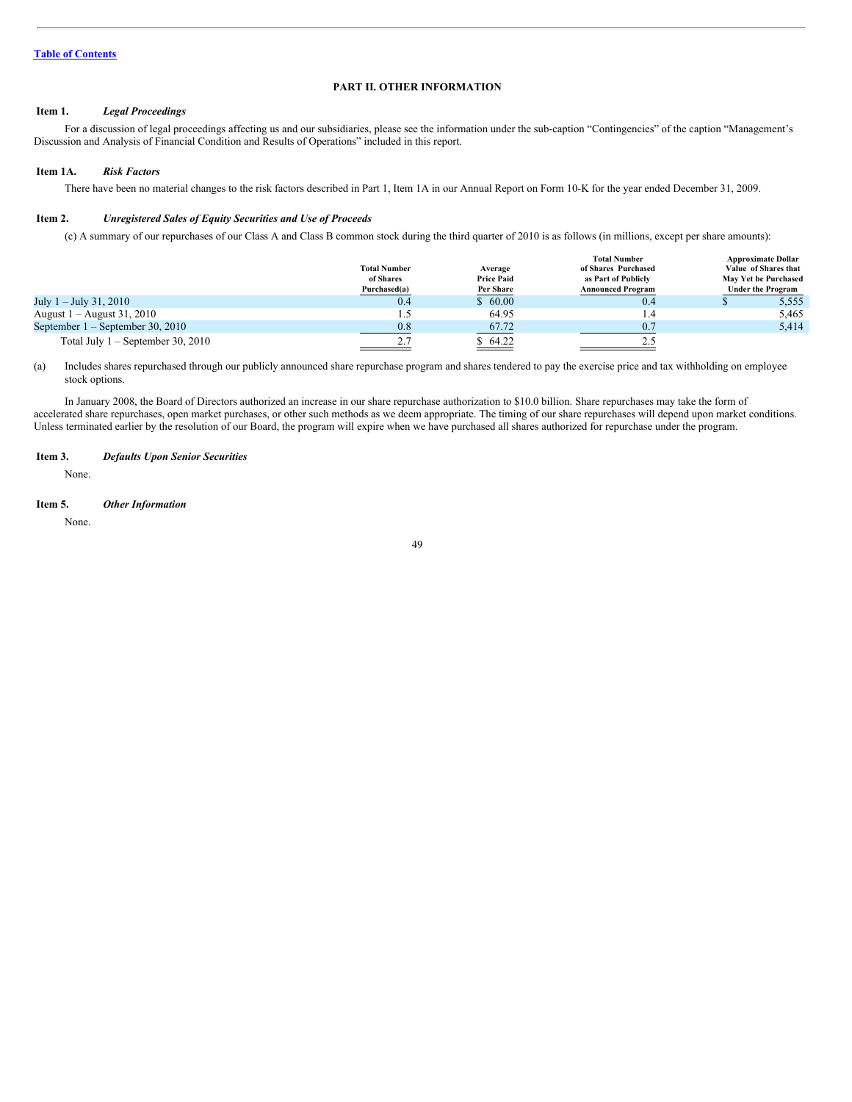## **PART II. OTHER INFORMATION**

# <span id="page-50-0"></span>**Item 1.** *Legal Proceedings*

For a discussion of legal proceedings affecting us and our subsidiaries, please see the information under the sub-caption "Contingencies" of the caption "Management's Discussion and Analysis of Financial Condition and Results of Operations" included in this report.

### <span id="page-50-1"></span>**Item 1A.** *Risk Factors*

There have been no material changes to the risk factors described in Part 1, Item 1A in our Annual Report on Form 10-K for the year ended December 31, 2009.

### <span id="page-50-2"></span>**Item 2.** *Unregistered Sales of Equity Securities and Use of Proceeds*

(c) A summary of our repurchases of our Class A and Class B common stock during the third quarter of 2010 is as follows (in millions, except per share amounts):

|                                     |                                  |                              | <b>Total Number</b>                        | <b>Approximate Dollar</b>                    |                          |  |
|-------------------------------------|----------------------------------|------------------------------|--------------------------------------------|----------------------------------------------|--------------------------|--|
|                                     | <b>Total Number</b><br>of Shares | Average<br><b>Price Paid</b> | of Shares Purchased<br>as Part of Publicly | Value of Shares that<br>May Yet be Purchased |                          |  |
|                                     | Purchased(a)                     | Per Share                    | <b>Announced Program</b>                   |                                              | <b>Under the Program</b> |  |
| July 1 – July 31, 2010              | 0.4                              | \$60.00                      | 0.4                                        |                                              | 5,555                    |  |
| August $1 -$ August 31, 2010        | 1.5                              | 64.95                        | 1.4                                        |                                              | 5,465                    |  |
| September $1 -$ September 30, 2010  | 0.8                              | 67.72                        | 0.7                                        |                                              | 5,414                    |  |
| Total July $1 -$ September 30, 2010 |                                  | \$64.22                      |                                            |                                              |                          |  |

(a) Includes shares repurchased through our publicly announced share repurchase program and shares tendered to pay the exercise price and tax withholding on employee stock options.

In January 2008, the Board of Directors authorized an increase in our share repurchase authorization to \$10.0 billion. Share repurchases may take the form of accelerated share repurchases, open market purchases, or other such methods as we deem appropriate. The timing of our share repurchases will depend upon market conditions. Unless terminated earlier by the resolution of our Board, the program will expire when we have purchased all shares authorized for repurchase under the program.

### <span id="page-50-3"></span>**Item 3.** *Defaults Upon Senior Securities*

None.

# <span id="page-50-4"></span>**Item 5.** *Other Information*

None.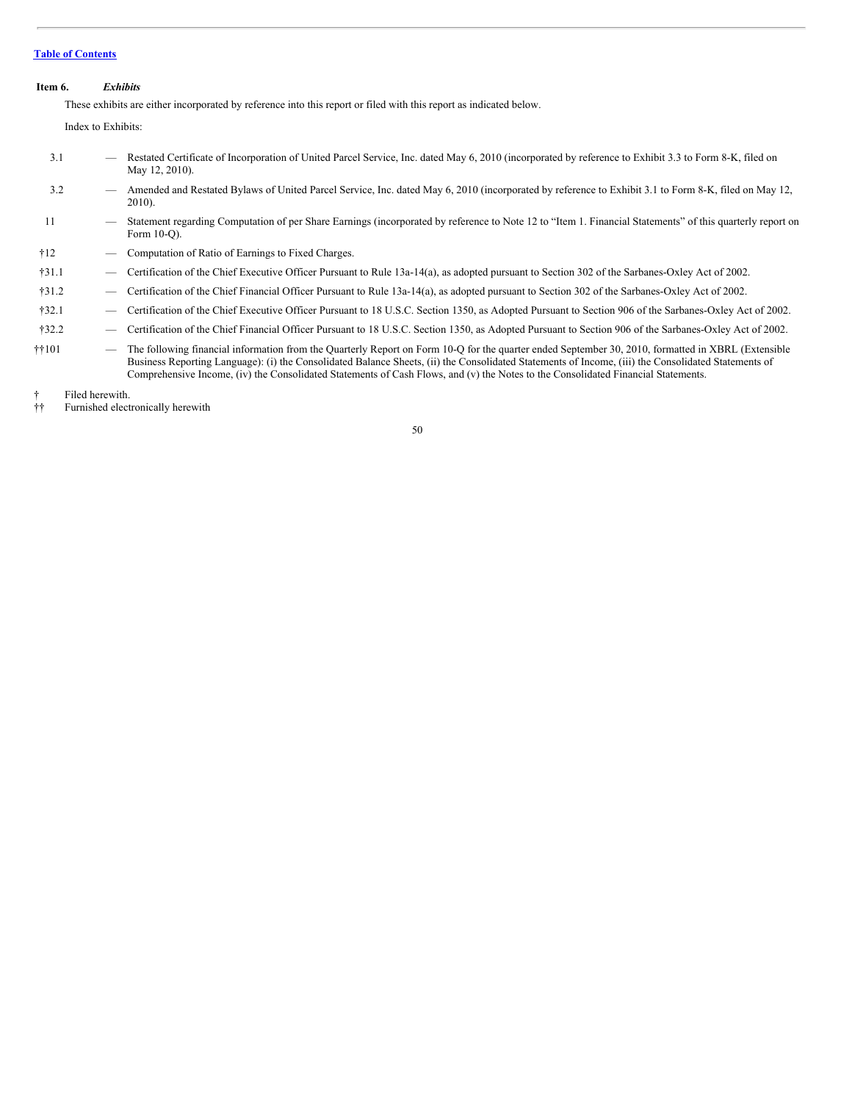### <span id="page-51-0"></span>**Item 6.** *Exhibits*

These exhibits are either incorporated by reference into this report or filed with this report as indicated below.

Index to Exhibits:

| 3.1 | - Restated Certificate of Incorporation of United Parcel Service, Inc. dated May 6, 2010 (incorporated by reference to Exhibit 3.3 to Form 8-K, filed on<br>May 12, 2010). |
|-----|----------------------------------------------------------------------------------------------------------------------------------------------------------------------------|
| 3.2 | - Amended and Restated Bylaws of United Parcel Service, Inc. dated May 6, 2010 (incorporated by reference to Exhibit 3.1 to Form 8-K, filed on May 12,                     |

- 2010).
- 11 Statement regarding Computation of per Share Earnings (incorporated by reference to Note 12 to "Item 1. Financial Statements" of this quarterly report on Form 10-Q).
- †12 Computation of Ratio of Earnings to Fixed Charges.
- †31.1 Certification of the Chief Executive Officer Pursuant to Rule 13a-14(a), as adopted pursuant to Section 302 of the Sarbanes-Oxley Act of 2002.
- †31.2 Certification of the Chief Financial Officer Pursuant to Rule 13a-14(a), as adopted pursuant to Section 302 of the Sarbanes-Oxley Act of 2002.
- †32.1 Certification of the Chief Executive Officer Pursuant to 18 U.S.C. Section 1350, as Adopted Pursuant to Section 906 of the Sarbanes-Oxley Act of 2002.
- †32.2 Certification of the Chief Financial Officer Pursuant to 18 U.S.C. Section 1350, as Adopted Pursuant to Section 906 of the Sarbanes-Oxley Act of 2002.
- ††101 The following financial information from the Quarterly Report on Form 10-Q for the quarter ended September 30, 2010, formatted in XBRL (Extensible Business Reporting Language): (i) the Consolidated Balance Sheets, (ii) the Consolidated Statements of Income, (iii) the Consolidated Statements of Comprehensive Income, (iv) the Consolidated Statements of Cash Flows, and (v) the Notes to the Consolidated Financial Statements.

† Filed herewith.

†† Furnished electronically herewith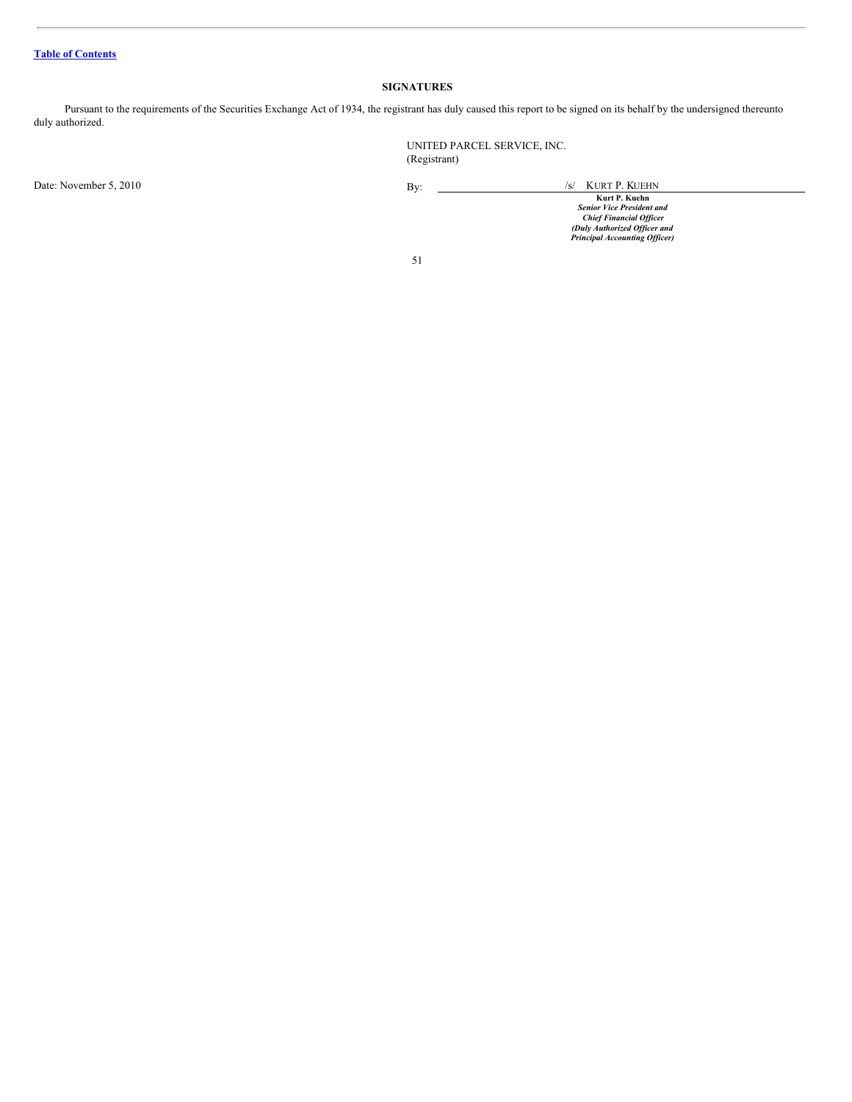## **SIGNATURES**

Pursuant to the requirements of the Securities Exchange Act of 1934, the registrant has duly caused this report to be signed on its behalf by the undersigned thereunto duly authorized.

> UNITED PARCEL SERVICE, INC. (Registrant)

Date: November 5, 2010 By:

/s/ KURT P. KUEHN

**Kurt P. Kuehn** Senior Vice President and<br>Chief Financial Officer<br>(Duly Authorized Officer and<br>Principal Accounting Officer)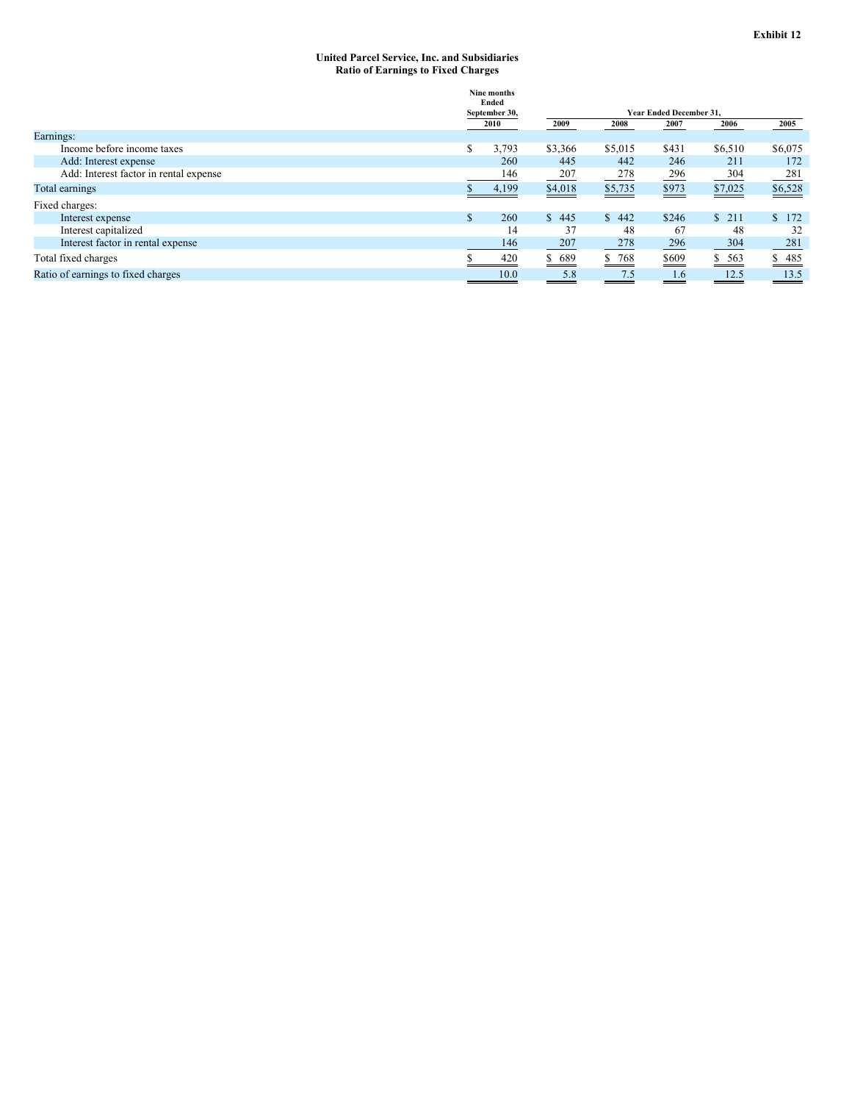## **United Parcel Service, Inc. and Subsidiaries Ratio of Earnings to Fixed Charges**

|             | 2009                                          | 2008       | 2007    | 2006                                       | 2005                               |
|-------------|-----------------------------------------------|------------|---------|--------------------------------------------|------------------------------------|
|             |                                               |            |         |                                            |                                    |
| \$<br>3,793 | \$3,366                                       | \$5,015    | \$431   | \$6,510                                    | \$6,075                            |
| 260         | 445                                           | 442        | 246     | 211                                        | 172                                |
| 146         | 207                                           | 278        |         | 304                                        | 281                                |
| 4,199       |                                               |            |         |                                            | \$6,528                            |
|             |                                               |            |         |                                            |                                    |
| \$<br>260   | \$445                                         | \$.<br>442 | \$246   | \$211                                      | \$172                              |
| 14          | 37                                            | 48         | 67      | 48                                         | 32                                 |
| 146         | 207                                           | 278        |         | 304                                        | 281                                |
| 420         | \$689                                         | 768<br>D.  |         | \$563                                      | \$485                              |
| 10.0        | 5.8                                           | 7.5        | 1.6     | 12.5                                       | 13.5                               |
|             | Nine months<br>Ended<br>September 30,<br>2010 | \$4,018    | \$5,735 | <u>296</u><br>\$973<br><u>296</u><br>\$609 | Year Ended December 31,<br>\$7,025 |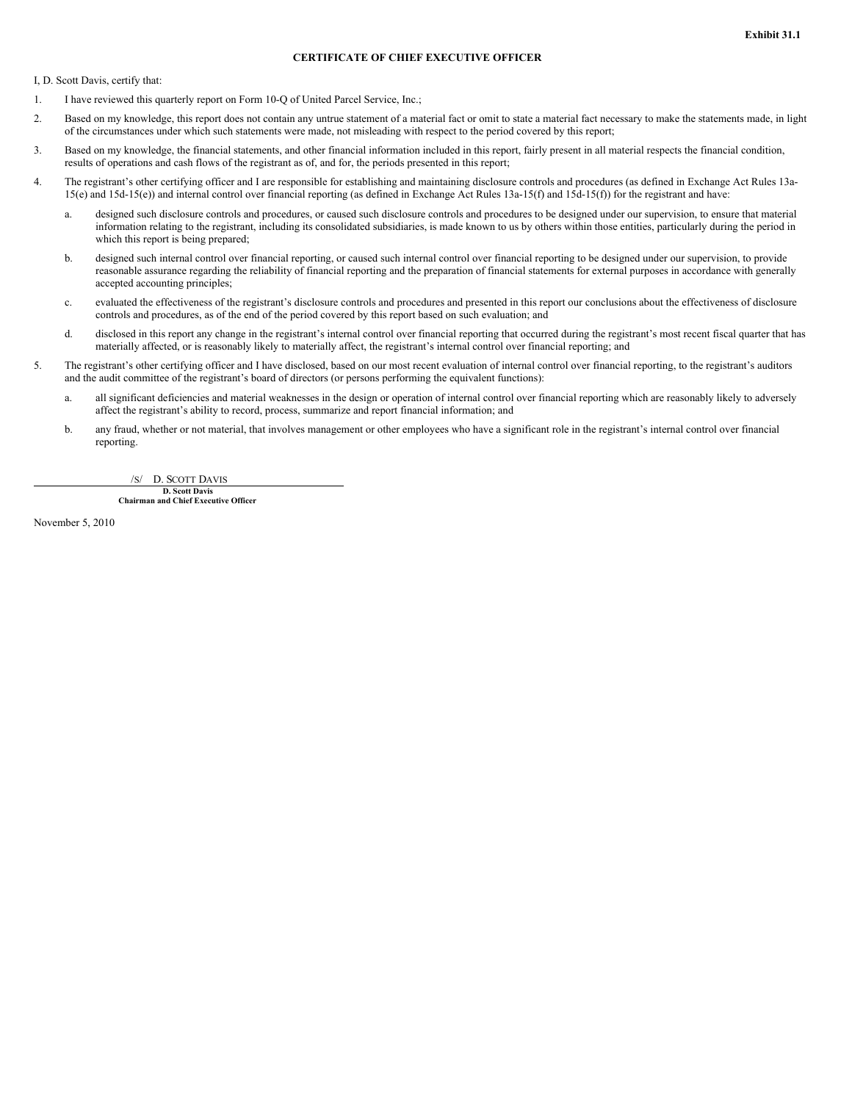### **CERTIFICATE OF CHIEF EXECUTIVE OFFICER**

I, D. Scott Davis, certify that:

- 1. I have reviewed this quarterly report on Form 10-Q of United Parcel Service, Inc.;
- 2. Based on my knowledge, this report does not contain any untrue statement of a material fact or omit to state a material fact necessary to make the statements made, in light of the circumstances under which such statements were made, not misleading with respect to the period covered by this report;
- 3. Based on my knowledge, the financial statements, and other financial information included in this report, fairly present in all material respects the financial condition, results of operations and cash flows of the registrant as of, and for, the periods presented in this report;
- 4. The registrant's other certifying officer and I are responsible for establishing and maintaining disclosure controls and procedures (as defined in Exchange Act Rules 13a- $15(e)$  and  $15d-15(e)$  and internal control over financial reporting (as defined in Exchange Act Rules  $13a-15(f)$  and  $15d-15(f)$ ) for the registrant and have:
	- a. designed such disclosure controls and procedures, or caused such disclosure controls and procedures to be designed under our supervision, to ensure that material information relating to the registrant, including its consolidated subsidiaries, is made known to us by others within those entities, particularly during the period in which this report is being prepared;
	- b. designed such internal control over financial reporting, or caused such internal control over financial reporting to be designed under our supervision, to provide reasonable assurance regarding the reliability of financial reporting and the preparation of financial statements for external purposes in accordance with generally accepted accounting principles;
	- c. evaluated the effectiveness of the registrant's disclosure controls and procedures and presented in this report our conclusions about the effectiveness of disclosure controls and procedures, as of the end of the period covered by this report based on such evaluation; and
	- d. disclosed in this report any change in the registrant's internal control over financial reporting that occurred during the registrant's most recent fiscal quarter that has materially affected, or is reasonably likely to materially affect, the registrant's internal control over financial reporting; and
- 5. The registrant's other certifying officer and I have disclosed, based on our most recent evaluation of internal control over financial reporting, to the registrant's auditors and the audit committee of the registrant's board of directors (or persons performing the equivalent functions):
	- a. all significant deficiencies and material weaknesses in the design or operation of internal control over financial reporting which are reasonably likely to adversely affect the registrant's ability to record, process, summarize and report financial information; and
	- b. any fraud, whether or not material, that involves management or other employees who have a significant role in the registrant's internal control over financial reporting.

/S/ D. SCOTT DAVIS **D. Scott Davis**

**Chairman and Chief Executive Officer**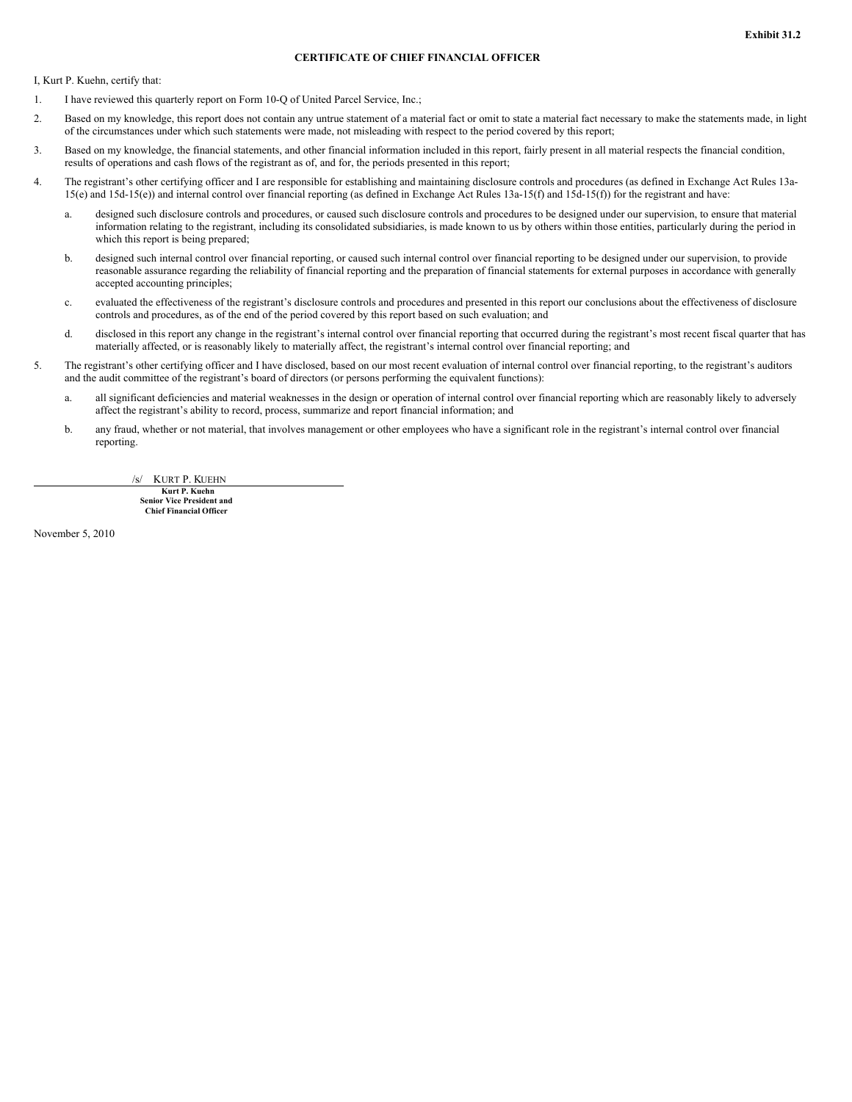#### **CERTIFICATE OF CHIEF FINANCIAL OFFICER**

I, Kurt P. Kuehn, certify that:

- 1. I have reviewed this quarterly report on Form 10-Q of United Parcel Service, Inc.;
- 2. Based on my knowledge, this report does not contain any untrue statement of a material fact or omit to state a material fact necessary to make the statements made, in light of the circumstances under which such statements were made, not misleading with respect to the period covered by this report;
- 3. Based on my knowledge, the financial statements, and other financial information included in this report, fairly present in all material respects the financial condition, results of operations and cash flows of the registrant as of, and for, the periods presented in this report;
- 4. The registrant's other certifying officer and I are responsible for establishing and maintaining disclosure controls and procedures (as defined in Exchange Act Rules 13a- $15(e)$  and  $15d-15(e)$  and internal control over financial reporting (as defined in Exchange Act Rules  $13a-15(f)$  and  $15d-15(f)$ ) for the registrant and have:
	- a. designed such disclosure controls and procedures, or caused such disclosure controls and procedures to be designed under our supervision, to ensure that material information relating to the registrant, including its consolidated subsidiaries, is made known to us by others within those entities, particularly during the period in which this report is being prepared;
	- b. designed such internal control over financial reporting, or caused such internal control over financial reporting to be designed under our supervision, to provide reasonable assurance regarding the reliability of financial reporting and the preparation of financial statements for external purposes in accordance with generally accepted accounting principles;
	- c. evaluated the effectiveness of the registrant's disclosure controls and procedures and presented in this report our conclusions about the effectiveness of disclosure controls and procedures, as of the end of the period covered by this report based on such evaluation; and
	- d. disclosed in this report any change in the registrant's internal control over financial reporting that occurred during the registrant's most recent fiscal quarter that has materially affected, or is reasonably likely to materially affect, the registrant's internal control over financial reporting; and
- 5. The registrant's other certifying officer and I have disclosed, based on our most recent evaluation of internal control over financial reporting, to the registrant's auditors and the audit committee of the registrant's board of directors (or persons performing the equivalent functions):
	- a. all significant deficiencies and material weaknesses in the design or operation of internal control over financial reporting which are reasonably likely to adversely affect the registrant's ability to record, process, summarize and report financial information; and
	- b. any fraud, whether or not material, that involves management or other employees who have a significant role in the registrant's internal control over financial reporting.

/s/ KURT P. KUEHN **Kurt P. Kuehn**

**Senior Vice President and Chief Financial Officer**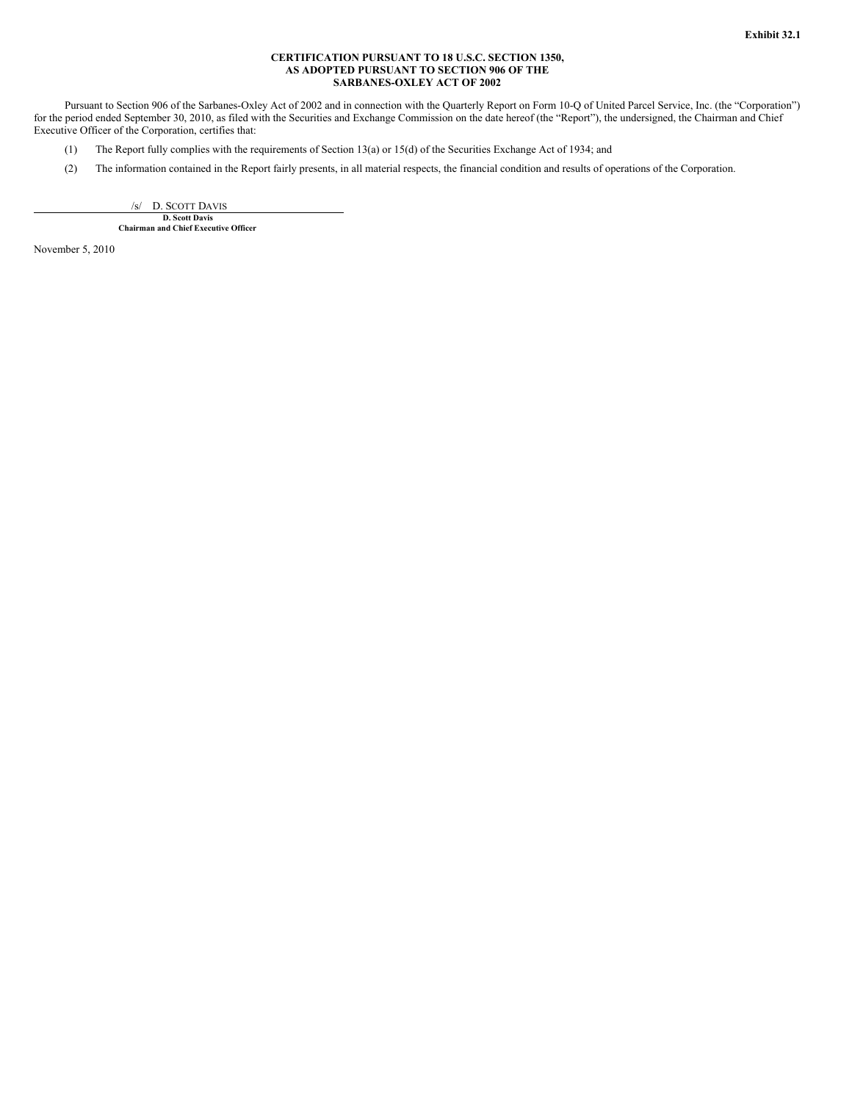### **CERTIFICATION PURSUANT TO 18 U.S.C. SECTION 1350, AS ADOPTED PURSUANT TO SECTION 906 OF THE SARBANES-OXLEY ACT OF 2002**

Pursuant to Section 906 of the Sarbanes-Oxley Act of 2002 and in connection with the Quarterly Report on Form 10-Q of United Parcel Service, Inc. (the "Corporation") for the period ended September 30, 2010, as filed with the Securities and Exchange Commission on the date hereof (the "Report"), the undersigned, the Chairman and Chief Executive Officer of the Corporation, certifies that:

- (1) The Report fully complies with the requirements of Section 13(a) or 15(d) of the Securities Exchange Act of 1934; and
- (2) The information contained in the Report fairly presents, in all material respects, the financial condition and results of operations of the Corporation.

/s/ D. SCOTT DAVIS

**D. Scott Davis Chairman and Chief Executive Officer**